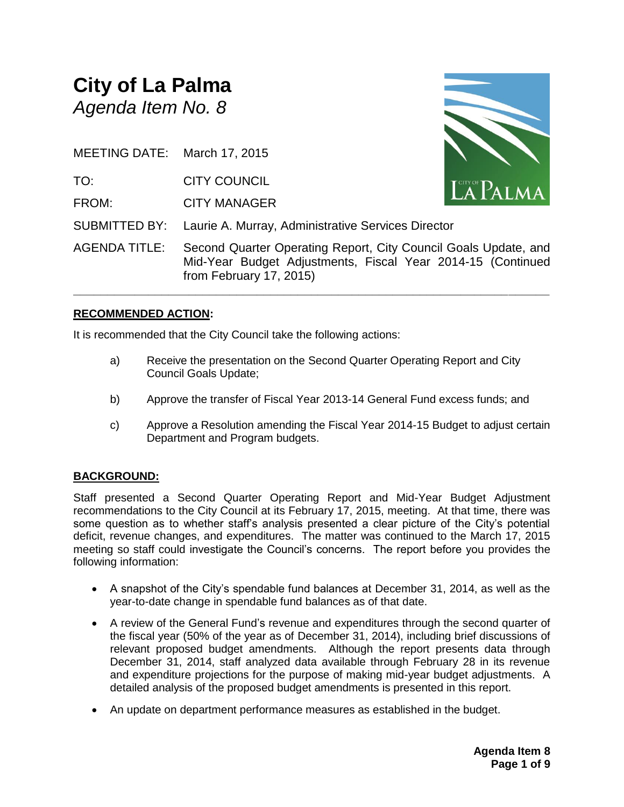## **City of La Palma** *Agenda Item No. 8*

MEETING DATE: March 17, 2015 TO: CITY COUNCIL FROM: CITY MANAGER SUBMITTED BY: Laurie A. Murray, Administrative Services Director AGENDA TITLE: Second Quarter Operating Report, City Council Goals Update, and Mid-Year Budget Adjustments, Fiscal Year 2014-15 (Continued from February 17, 2015)

**\_\_\_\_\_\_\_\_\_\_\_\_\_\_\_\_\_\_\_\_\_\_\_\_\_\_\_\_\_\_\_\_\_\_\_\_\_\_\_\_\_\_\_\_\_\_\_\_\_\_\_\_\_\_\_\_\_\_\_\_\_\_\_\_\_\_\_\_\_\_**

#### **RECOMMENDED ACTION:**

It is recommended that the City Council take the following actions:

- a) Receive the presentation on the Second Quarter Operating Report and City Council Goals Update;
- b) Approve the transfer of Fiscal Year 2013-14 General Fund excess funds; and
- c) Approve a Resolution amending the Fiscal Year 2014-15 Budget to adjust certain Department and Program budgets.

#### **BACKGROUND:**

Staff presented a Second Quarter Operating Report and Mid-Year Budget Adjustment recommendations to the City Council at its February 17, 2015, meeting. At that time, there was some question as to whether staff's analysis presented a clear picture of the City's potential deficit, revenue changes, and expenditures. The matter was continued to the March 17, 2015 meeting so staff could investigate the Council's concerns. The report before you provides the following information:

- A snapshot of the City's spendable fund balances at December 31, 2014, as well as the year-to-date change in spendable fund balances as of that date.
- A review of the General Fund's revenue and expenditures through the second quarter of the fiscal year (50% of the year as of December 31, 2014), including brief discussions of relevant proposed budget amendments. Although the report presents data through December 31, 2014, staff analyzed data available through February 28 in its revenue and expenditure projections for the purpose of making mid-year budget adjustments. A detailed analysis of the proposed budget amendments is presented in this report.
- An update on department performance measures as established in the budget.

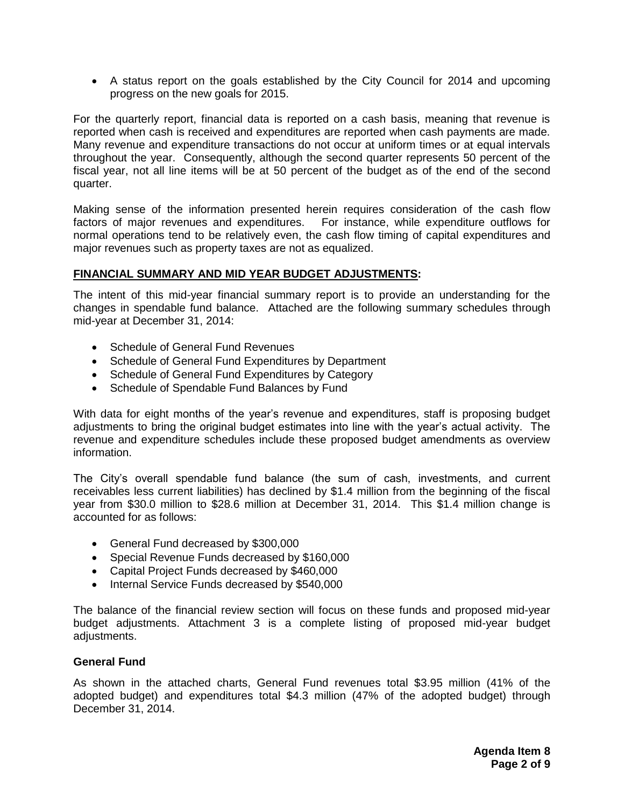A status report on the goals established by the City Council for 2014 and upcoming progress on the new goals for 2015.

For the quarterly report, financial data is reported on a cash basis, meaning that revenue is reported when cash is received and expenditures are reported when cash payments are made. Many revenue and expenditure transactions do not occur at uniform times or at equal intervals throughout the year. Consequently, although the second quarter represents 50 percent of the fiscal year, not all line items will be at 50 percent of the budget as of the end of the second quarter.

Making sense of the information presented herein requires consideration of the cash flow factors of major revenues and expenditures. For instance, while expenditure outflows for normal operations tend to be relatively even, the cash flow timing of capital expenditures and major revenues such as property taxes are not as equalized.

#### **FINANCIAL SUMMARY AND MID YEAR BUDGET ADJUSTMENTS:**

The intent of this mid-year financial summary report is to provide an understanding for the changes in spendable fund balance. Attached are the following summary schedules through mid-year at December 31, 2014:

- Schedule of General Fund Revenues
- Schedule of General Fund Expenditures by Department
- Schedule of General Fund Expenditures by Category
- Schedule of Spendable Fund Balances by Fund

With data for eight months of the year's revenue and expenditures, staff is proposing budget adjustments to bring the original budget estimates into line with the year's actual activity. The revenue and expenditure schedules include these proposed budget amendments as overview information.

The City's overall spendable fund balance (the sum of cash, investments, and current receivables less current liabilities) has declined by \$1.4 million from the beginning of the fiscal year from \$30.0 million to \$28.6 million at December 31, 2014. This \$1.4 million change is accounted for as follows:

- General Fund decreased by \$300,000
- Special Revenue Funds decreased by \$160,000
- Capital Project Funds decreased by \$460,000
- Internal Service Funds decreased by \$540,000

The balance of the financial review section will focus on these funds and proposed mid-year budget adjustments. Attachment 3 is a complete listing of proposed mid-year budget adjustments.

#### **General Fund**

As shown in the attached charts, General Fund revenues total \$3.95 million (41% of the adopted budget) and expenditures total \$4.3 million (47% of the adopted budget) through December 31, 2014.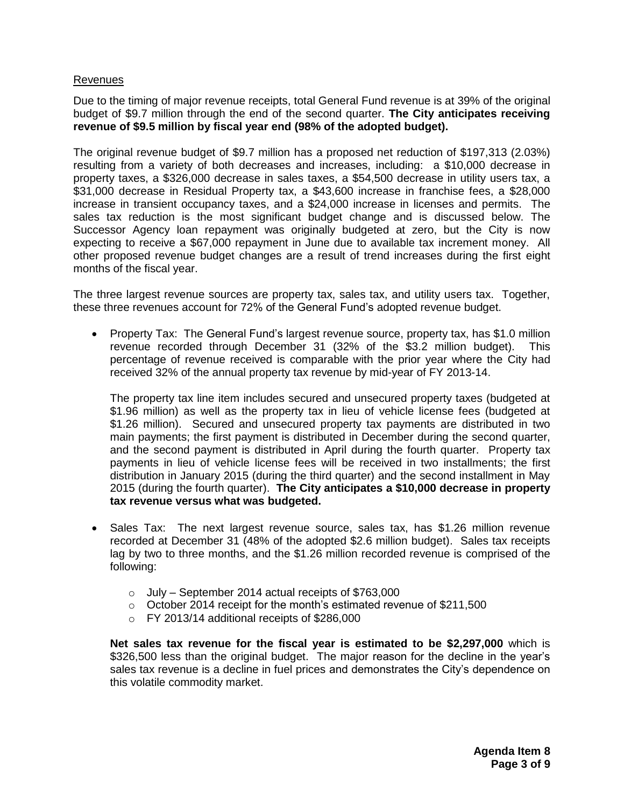#### Revenues

Due to the timing of major revenue receipts, total General Fund revenue is at 39% of the original budget of \$9.7 million through the end of the second quarter. **The City anticipates receiving revenue of \$9.5 million by fiscal year end (98% of the adopted budget).**

The original revenue budget of \$9.7 million has a proposed net reduction of \$197,313 (2.03%) resulting from a variety of both decreases and increases, including: a \$10,000 decrease in property taxes, a \$326,000 decrease in sales taxes, a \$54,500 decrease in utility users tax, a \$31,000 decrease in Residual Property tax, a \$43,600 increase in franchise fees, a \$28,000 increase in transient occupancy taxes, and a \$24,000 increase in licenses and permits. The sales tax reduction is the most significant budget change and is discussed below. The Successor Agency loan repayment was originally budgeted at zero, but the City is now expecting to receive a \$67,000 repayment in June due to available tax increment money. All other proposed revenue budget changes are a result of trend increases during the first eight months of the fiscal year.

The three largest revenue sources are property tax, sales tax, and utility users tax. Together, these three revenues account for 72% of the General Fund's adopted revenue budget.

• Property Tax: The General Fund's largest revenue source, property tax, has \$1.0 million revenue recorded through December 31 (32% of the \$3.2 million budget). This percentage of revenue received is comparable with the prior year where the City had received 32% of the annual property tax revenue by mid-year of FY 2013-14.

The property tax line item includes secured and unsecured property taxes (budgeted at \$1.96 million) as well as the property tax in lieu of vehicle license fees (budgeted at \$1.26 million). Secured and unsecured property tax payments are distributed in two main payments; the first payment is distributed in December during the second quarter, and the second payment is distributed in April during the fourth quarter. Property tax payments in lieu of vehicle license fees will be received in two installments; the first distribution in January 2015 (during the third quarter) and the second installment in May 2015 (during the fourth quarter). **The City anticipates a \$10,000 decrease in property tax revenue versus what was budgeted.**

- Sales Tax: The next largest revenue source, sales tax, has \$1.26 million revenue recorded at December 31 (48% of the adopted \$2.6 million budget). Sales tax receipts lag by two to three months, and the \$1.26 million recorded revenue is comprised of the following:
	- $\circ$  July September 2014 actual receipts of \$763,000
	- o October 2014 receipt for the month's estimated revenue of \$211,500
	- o FY 2013/14 additional receipts of \$286,000

**Net sales tax revenue for the fiscal year is estimated to be \$2,297,000** which is \$326,500 less than the original budget. The major reason for the decline in the year's sales tax revenue is a decline in fuel prices and demonstrates the City's dependence on this volatile commodity market.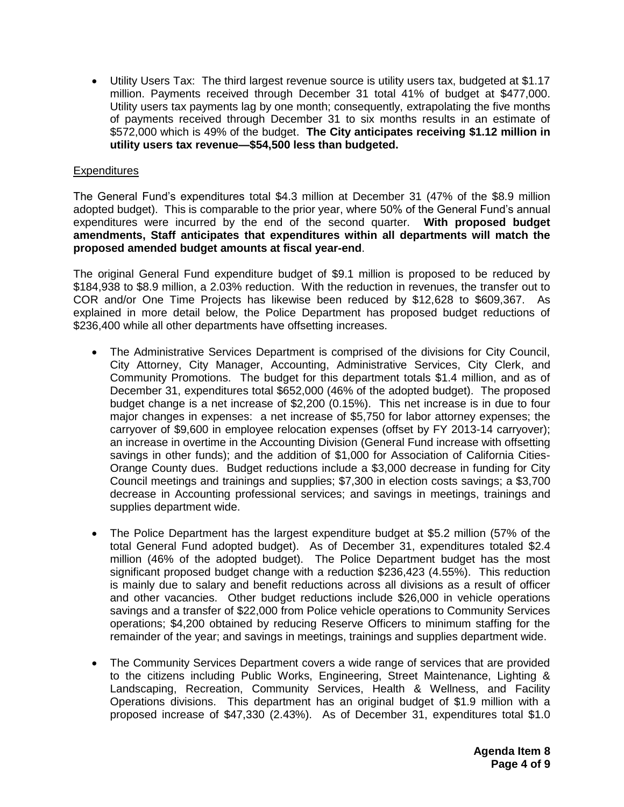Utility Users Tax: The third largest revenue source is utility users tax, budgeted at \$1.17 million. Payments received through December 31 total 41% of budget at \$477,000. Utility users tax payments lag by one month; consequently, extrapolating the five months of payments received through December 31 to six months results in an estimate of \$572,000 which is 49% of the budget. **The City anticipates receiving \$1.12 million in utility users tax revenue—\$54,500 less than budgeted.**

#### **Expenditures**

The General Fund's expenditures total \$4.3 million at December 31 (47% of the \$8.9 million adopted budget). This is comparable to the prior year, where 50% of the General Fund's annual expenditures were incurred by the end of the second quarter. **With proposed budget amendments, Staff anticipates that expenditures within all departments will match the proposed amended budget amounts at fiscal year-end**.

The original General Fund expenditure budget of \$9.1 million is proposed to be reduced by \$184,938 to \$8.9 million, a 2.03% reduction. With the reduction in revenues, the transfer out to COR and/or One Time Projects has likewise been reduced by \$12,628 to \$609,367. As explained in more detail below, the Police Department has proposed budget reductions of \$236,400 while all other departments have offsetting increases.

- The Administrative Services Department is comprised of the divisions for City Council, City Attorney, City Manager, Accounting, Administrative Services, City Clerk, and Community Promotions. The budget for this department totals \$1.4 million, and as of December 31, expenditures total \$652,000 (46% of the adopted budget). The proposed budget change is a net increase of \$2,200 (0.15%). This net increase is in due to four major changes in expenses: a net increase of \$5,750 for labor attorney expenses; the carryover of \$9,600 in employee relocation expenses (offset by FY 2013-14 carryover); an increase in overtime in the Accounting Division (General Fund increase with offsetting savings in other funds); and the addition of \$1,000 for Association of California Cities-Orange County dues. Budget reductions include a \$3,000 decrease in funding for City Council meetings and trainings and supplies; \$7,300 in election costs savings; a \$3,700 decrease in Accounting professional services; and savings in meetings, trainings and supplies department wide.
- The Police Department has the largest expenditure budget at \$5.2 million (57% of the total General Fund adopted budget). As of December 31, expenditures totaled \$2.4 million (46% of the adopted budget). The Police Department budget has the most significant proposed budget change with a reduction \$236,423 (4.55%). This reduction is mainly due to salary and benefit reductions across all divisions as a result of officer and other vacancies. Other budget reductions include \$26,000 in vehicle operations savings and a transfer of \$22,000 from Police vehicle operations to Community Services operations; \$4,200 obtained by reducing Reserve Officers to minimum staffing for the remainder of the year; and savings in meetings, trainings and supplies department wide.
- The Community Services Department covers a wide range of services that are provided to the citizens including Public Works, Engineering, Street Maintenance, Lighting & Landscaping, Recreation, Community Services, Health & Wellness, and Facility Operations divisions. This department has an original budget of \$1.9 million with a proposed increase of \$47,330 (2.43%). As of December 31, expenditures total \$1.0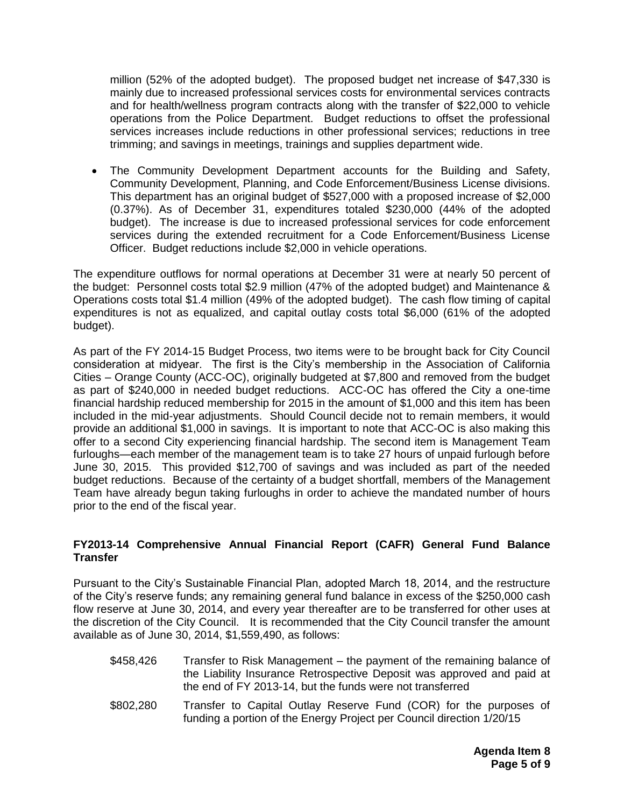million (52% of the adopted budget). The proposed budget net increase of \$47,330 is mainly due to increased professional services costs for environmental services contracts and for health/wellness program contracts along with the transfer of \$22,000 to vehicle operations from the Police Department. Budget reductions to offset the professional services increases include reductions in other professional services; reductions in tree trimming; and savings in meetings, trainings and supplies department wide.

 The Community Development Department accounts for the Building and Safety, Community Development, Planning, and Code Enforcement/Business License divisions. This department has an original budget of \$527,000 with a proposed increase of \$2,000 (0.37%). As of December 31, expenditures totaled \$230,000 (44% of the adopted budget). The increase is due to increased professional services for code enforcement services during the extended recruitment for a Code Enforcement/Business License Officer. Budget reductions include \$2,000 in vehicle operations.

The expenditure outflows for normal operations at December 31 were at nearly 50 percent of the budget: Personnel costs total \$2.9 million (47% of the adopted budget) and Maintenance & Operations costs total \$1.4 million (49% of the adopted budget). The cash flow timing of capital expenditures is not as equalized, and capital outlay costs total \$6,000 (61% of the adopted budget).

As part of the FY 2014-15 Budget Process, two items were to be brought back for City Council consideration at midyear. The first is the City's membership in the Association of California Cities – Orange County (ACC-OC), originally budgeted at \$7,800 and removed from the budget as part of \$240,000 in needed budget reductions. ACC-OC has offered the City a one-time financial hardship reduced membership for 2015 in the amount of \$1,000 and this item has been included in the mid-year adjustments. Should Council decide not to remain members, it would provide an additional \$1,000 in savings. It is important to note that ACC-OC is also making this offer to a second City experiencing financial hardship. The second item is Management Team furloughs—each member of the management team is to take 27 hours of unpaid furlough before June 30, 2015. This provided \$12,700 of savings and was included as part of the needed budget reductions. Because of the certainty of a budget shortfall, members of the Management Team have already begun taking furloughs in order to achieve the mandated number of hours prior to the end of the fiscal year.

#### **FY2013-14 Comprehensive Annual Financial Report (CAFR) General Fund Balance Transfer**

Pursuant to the City's Sustainable Financial Plan, adopted March 18, 2014, and the restructure of the City's reserve funds; any remaining general fund balance in excess of the \$250,000 cash flow reserve at June 30, 2014, and every year thereafter are to be transferred for other uses at the discretion of the City Council. It is recommended that the City Council transfer the amount available as of June 30, 2014, \$1,559,490, as follows:

- \$458,426 Transfer to Risk Management the payment of the remaining balance of the Liability Insurance Retrospective Deposit was approved and paid at the end of FY 2013-14, but the funds were not transferred
- \$802,280 Transfer to Capital Outlay Reserve Fund (COR) for the purposes of funding a portion of the Energy Project per Council direction 1/20/15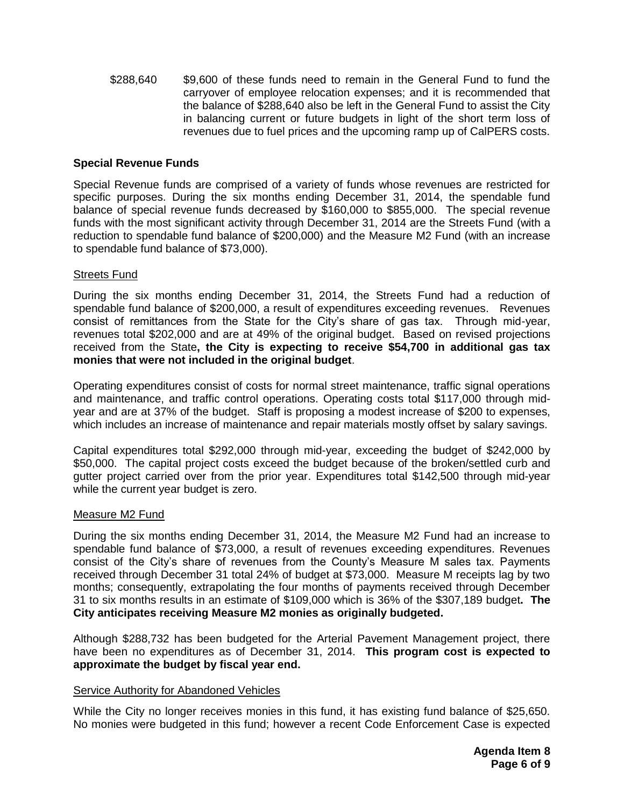\$288,640 \$9,600 of these funds need to remain in the General Fund to fund the carryover of employee relocation expenses; and it is recommended that the balance of \$288,640 also be left in the General Fund to assist the City in balancing current or future budgets in light of the short term loss of revenues due to fuel prices and the upcoming ramp up of CalPERS costs.

#### **Special Revenue Funds**

Special Revenue funds are comprised of a variety of funds whose revenues are restricted for specific purposes. During the six months ending December 31, 2014, the spendable fund balance of special revenue funds decreased by \$160,000 to \$855,000. The special revenue funds with the most significant activity through December 31, 2014 are the Streets Fund (with a reduction to spendable fund balance of \$200,000) and the Measure M2 Fund (with an increase to spendable fund balance of \$73,000).

#### Streets Fund

During the six months ending December 31, 2014, the Streets Fund had a reduction of spendable fund balance of \$200,000, a result of expenditures exceeding revenues. Revenues consist of remittances from the State for the City's share of gas tax. Through mid-year, revenues total \$202,000 and are at 49% of the original budget. Based on revised projections received from the State**, the City is expecting to receive \$54,700 in additional gas tax monies that were not included in the original budget**.

Operating expenditures consist of costs for normal street maintenance, traffic signal operations and maintenance, and traffic control operations. Operating costs total \$117,000 through midyear and are at 37% of the budget. Staff is proposing a modest increase of \$200 to expenses, which includes an increase of maintenance and repair materials mostly offset by salary savings.

Capital expenditures total \$292,000 through mid-year, exceeding the budget of \$242,000 by \$50,000. The capital project costs exceed the budget because of the broken/settled curb and gutter project carried over from the prior year. Expenditures total \$142,500 through mid-year while the current year budget is zero.

#### Measure M2 Fund

During the six months ending December 31, 2014, the Measure M2 Fund had an increase to spendable fund balance of \$73,000, a result of revenues exceeding expenditures. Revenues consist of the City's share of revenues from the County's Measure M sales tax. Payments received through December 31 total 24% of budget at \$73,000. Measure M receipts lag by two months; consequently, extrapolating the four months of payments received through December 31 to six months results in an estimate of \$109,000 which is 36% of the \$307,189 budget**. The City anticipates receiving Measure M2 monies as originally budgeted.**

Although \$288,732 has been budgeted for the Arterial Pavement Management project, there have been no expenditures as of December 31, 2014. **This program cost is expected to approximate the budget by fiscal year end.**

#### Service Authority for Abandoned Vehicles

While the City no longer receives monies in this fund, it has existing fund balance of \$25,650. No monies were budgeted in this fund; however a recent Code Enforcement Case is expected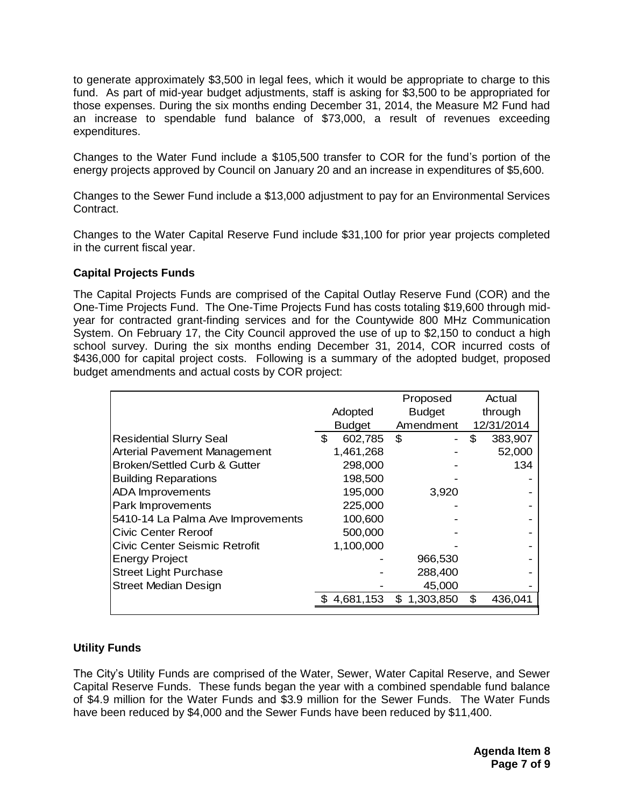to generate approximately \$3,500 in legal fees, which it would be appropriate to charge to this fund. As part of mid-year budget adjustments, staff is asking for \$3,500 to be appropriated for those expenses. During the six months ending December 31, 2014, the Measure M2 Fund had an increase to spendable fund balance of \$73,000, a result of revenues exceeding expenditures.

Changes to the Water Fund include a \$105,500 transfer to COR for the fund's portion of the energy projects approved by Council on January 20 and an increase in expenditures of \$5,600.

Changes to the Sewer Fund include a \$13,000 adjustment to pay for an Environmental Services Contract.

Changes to the Water Capital Reserve Fund include \$31,100 for prior year projects completed in the current fiscal year.

#### **Capital Projects Funds**

The Capital Projects Funds are comprised of the Capital Outlay Reserve Fund (COR) and the One-Time Projects Fund. The One-Time Projects Fund has costs totaling \$19,600 through midyear for contracted grant-finding services and for the Countywide 800 MHz Communication System. On February 17, the City Council approved the use of up to \$2,150 to conduct a high school survey. During the six months ending December 31, 2014, COR incurred costs of \$436,000 for capital project costs. Following is a summary of the adopted budget, proposed budget amendments and actual costs by COR project:

|                                         |               | Proposed        | Actual     |
|-----------------------------------------|---------------|-----------------|------------|
|                                         | Adopted       | <b>Budget</b>   | through    |
|                                         | <b>Budget</b> | Amendment       | 12/31/2014 |
| <b>Residential Slurry Seal</b>          | \$<br>602,785 | \$              | 383,907    |
| <b>Arterial Pavement Management</b>     | 1,461,268     |                 | 52,000     |
| <b>Broken/Settled Curb &amp; Gutter</b> | 298,000       |                 | 134        |
| <b>Building Reparations</b>             | 198,500       |                 |            |
| <b>ADA</b> Improvements                 | 195,000       | 3,920           |            |
| Park Improvements                       | 225,000       |                 |            |
| 5410-14 La Palma Ave Improvements       | 100,600       |                 |            |
| <b>Civic Center Reroof</b>              | 500,000       |                 |            |
| Civic Center Seismic Retrofit           | 1,100,000     |                 |            |
| <b>Energy Project</b>                   |               | 966,530         |            |
| <b>Street Light Purchase</b>            |               | 288,400         |            |
| <b>Street Median Design</b>             |               | 45,000          |            |
|                                         | 4,681,153     | 1,303,850<br>\$ | 436,041    |
|                                         |               |                 |            |

#### **Utility Funds**

The City's Utility Funds are comprised of the Water, Sewer, Water Capital Reserve, and Sewer Capital Reserve Funds. These funds began the year with a combined spendable fund balance of \$4.9 million for the Water Funds and \$3.9 million for the Sewer Funds. The Water Funds have been reduced by \$4,000 and the Sewer Funds have been reduced by \$11,400.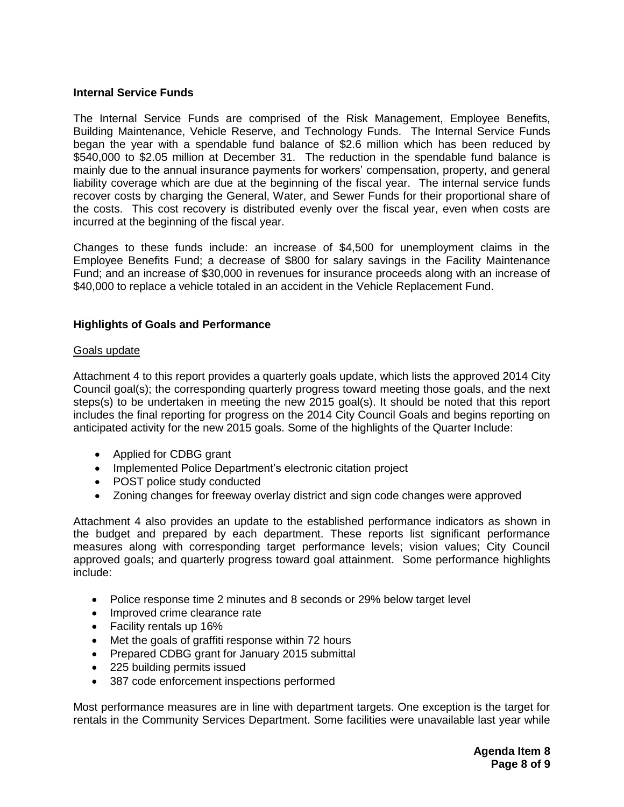#### **Internal Service Funds**

The Internal Service Funds are comprised of the Risk Management, Employee Benefits, Building Maintenance, Vehicle Reserve, and Technology Funds. The Internal Service Funds began the year with a spendable fund balance of \$2.6 million which has been reduced by \$540,000 to \$2.05 million at December 31. The reduction in the spendable fund balance is mainly due to the annual insurance payments for workers' compensation, property, and general liability coverage which are due at the beginning of the fiscal year. The internal service funds recover costs by charging the General, Water, and Sewer Funds for their proportional share of the costs. This cost recovery is distributed evenly over the fiscal year, even when costs are incurred at the beginning of the fiscal year.

Changes to these funds include: an increase of \$4,500 for unemployment claims in the Employee Benefits Fund; a decrease of \$800 for salary savings in the Facility Maintenance Fund; and an increase of \$30,000 in revenues for insurance proceeds along with an increase of \$40,000 to replace a vehicle totaled in an accident in the Vehicle Replacement Fund.

#### **Highlights of Goals and Performance**

#### Goals update

Attachment 4 to this report provides a quarterly goals update, which lists the approved 2014 City Council goal(s); the corresponding quarterly progress toward meeting those goals, and the next steps(s) to be undertaken in meeting the new 2015 goal(s). It should be noted that this report includes the final reporting for progress on the 2014 City Council Goals and begins reporting on anticipated activity for the new 2015 goals. Some of the highlights of the Quarter Include:

- Applied for CDBG grant
- Implemented Police Department's electronic citation project
- POST police study conducted
- Zoning changes for freeway overlay district and sign code changes were approved

Attachment 4 also provides an update to the established performance indicators as shown in the budget and prepared by each department. These reports list significant performance measures along with corresponding target performance levels; vision values; City Council approved goals; and quarterly progress toward goal attainment. Some performance highlights include:

- Police response time 2 minutes and 8 seconds or 29% below target level
- Improved crime clearance rate
- Facility rentals up 16%
- Met the goals of graffiti response within 72 hours
- Prepared CDBG grant for January 2015 submittal
- 225 building permits issued
- 387 code enforcement inspections performed

Most performance measures are in line with department targets. One exception is the target for rentals in the Community Services Department. Some facilities were unavailable last year while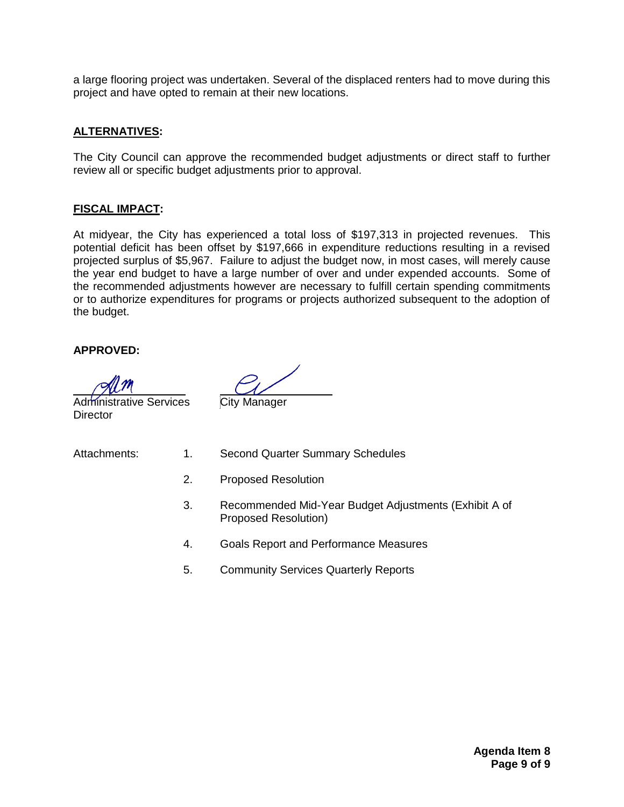a large flooring project was undertaken. Several of the displaced renters had to move during this project and have opted to remain at their new locations.

#### **ALTERNATIVES:**

The City Council can approve the recommended budget adjustments or direct staff to further review all or specific budget adjustments prior to approval.

#### **FISCAL IMPACT:**

At midyear, the City has experienced a total loss of \$197,313 in projected revenues. This potential deficit has been offset by \$197,666 in expenditure reductions resulting in a revised projected surplus of \$5,967. Failure to adjust the budget now, in most cases, will merely cause the year end budget to have a large number of over and under expended accounts. Some of the recommended adjustments however are necessary to fulfill certain spending commitments or to authorize expenditures for programs or projects authorized subsequent to the adoption of the budget.

#### **APPROVED:**

**Director** 

Administrative Services City Manager

- Attachments: 1. Second Quarter Summary Schedules
	- 2. Proposed Resolution
	- 3. Recommended Mid-Year Budget Adjustments (Exhibit A of Proposed Resolution)
	- 4. Goals Report and Performance Measures
	- 5. Community Services Quarterly Reports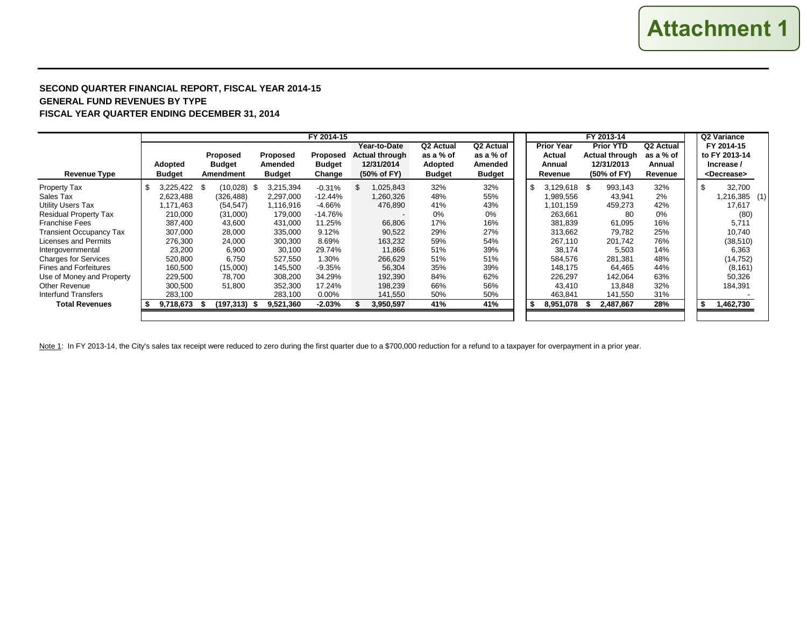#### **SECOND QUARTER FINANCIAL REPORT, FISCAL YEAR 2014-15 GENERAL FUND REVENUES BY TYPE FISCAL YEAR QUARTER ENDING DECEMBER 31, 2014**

|                                |                          | FY 2013-14                                    |                                      |                                     |                                                             |                                                                |                                                    | Q2 Variance |                                                  |  |                                                                        |                                             |    |                                                                    |  |
|--------------------------------|--------------------------|-----------------------------------------------|--------------------------------------|-------------------------------------|-------------------------------------------------------------|----------------------------------------------------------------|----------------------------------------------------|-------------|--------------------------------------------------|--|------------------------------------------------------------------------|---------------------------------------------|----|--------------------------------------------------------------------|--|
| <b>Revenue Type</b>            | Adopted<br><b>Budget</b> | <b>Proposed</b><br><b>Budget</b><br>Amendment | Proposed<br>Amended<br><b>Budget</b> | Proposed<br><b>Budget</b><br>Change | Year-to-Date<br>Actual through<br>12/31/2014<br>(50% of FY) | Q <sub>2</sub> Actual<br>as a % of<br>Adopted<br><b>Budget</b> | Q2 Actual<br>as a % of<br>Amended<br><b>Budget</b> |             | <b>Prior Year</b><br>Actual<br>Annual<br>Revenue |  | <b>Prior YTD</b><br><b>Actual through</b><br>12/31/2013<br>(50% of FY) | Q2 Actual<br>as a % of<br>Annual<br>Revenue |    | FY 2014-15<br>to FY 2013-14<br>Increase /<br><decrease></decrease> |  |
| Property Tax                   | 3,225,422                | (10,028)<br>- \$                              | 3,215,394<br>- \$                    | $-0.31%$                            | 025,843                                                     | 32%                                                            | 32%                                                | -\$         | 3,129,618 \$                                     |  | 993,143                                                                | 32%                                         | S  | 32,700                                                             |  |
| Sales Tax                      | 2,623,488                | (326, 488)                                    | 2,297,000                            | $-12.44%$                           | 1,260,326                                                   | 48%                                                            | 55%                                                |             | 1,989,556                                        |  | 43,941                                                                 | 2%                                          |    | (1) 216,385                                                        |  |
| <b>Utility Users Tax</b>       | 1,171,463                | (54, 547)                                     | 1,116,916                            | $-4.66%$                            | 476,890                                                     | 41%                                                            | 43%                                                |             | 1,101,159                                        |  | 459,273                                                                | 42%                                         |    | 17,617                                                             |  |
| <b>Residual Property Tax</b>   | 210.000                  | (31,000)                                      | 179,000                              | -14.76%                             |                                                             | 0%                                                             | 0%                                                 |             | 263.661                                          |  | 80                                                                     | 0%                                          |    | (80)                                                               |  |
| <b>Franchise Fees</b>          | 387,400                  | 43,600                                        | 431,000                              | 11.25%                              | 66,806                                                      | 17%                                                            | 16%                                                |             | 381,839                                          |  | 61,095                                                                 | 16%                                         |    | 5,711                                                              |  |
| <b>Transient Occupancy Tax</b> | 307,000                  | 28,000                                        | 335,000                              | 9.12%                               | 90,522                                                      | 29%                                                            | 27%                                                |             | 313.662                                          |  | 79,782                                                                 | 25%                                         |    | 10,740                                                             |  |
| Licenses and Permits           | 276,300                  | 24,000                                        | 300,300                              | 8.69%                               | 163,232                                                     | 59%                                                            | 54%                                                |             | 267.110                                          |  | 201,742                                                                | 76%                                         |    | (38, 510)                                                          |  |
| Intergovernmental              | 23,200                   | 6,900                                         | 30,100                               | 29.74%                              | 11,866                                                      | 51%                                                            | 39%                                                |             | 38,174                                           |  | 5,503                                                                  | 14%                                         |    | 6,363                                                              |  |
| <b>Charges for Services</b>    | 520.800                  | 6.750                                         | 527.550                              | 1.30%                               | 266,629                                                     | 51%                                                            | 51%                                                |             | 584.576                                          |  | 281,381                                                                | 48%                                         |    | (14, 752)                                                          |  |
| <b>Fines and Forfeitures</b>   | 160,500                  | (15,000)                                      | 145,500                              | $-9.35%$                            | 56,304                                                      | 35%                                                            | 39%                                                |             | 148.175                                          |  | 64,465                                                                 | 44%                                         |    | (8, 161)                                                           |  |
| Use of Money and Property      | 229,500                  | 78,700                                        | 308,200                              | 34.29%                              | 192,390                                                     | 84%                                                            | 62%                                                |             | 226,297                                          |  | 142,064                                                                | 63%                                         |    | 50,326                                                             |  |
| Other Revenue                  | 300,500                  | 51,800                                        | 352,300                              | 17.24%                              | 198,239                                                     | 66%                                                            | 56%                                                |             | 43,410                                           |  | 13,848                                                                 | 32%                                         |    | 184,391                                                            |  |
| <b>Interfund Transfers</b>     | 283,100                  |                                               | 283,100                              | $0.00\%$                            | 141,550                                                     | 50%                                                            | 50%                                                |             | 463,841                                          |  | 141,550                                                                | 31%                                         |    |                                                                    |  |
| <b>Total Revenues</b>          | 9,718,673                | (197,313) \$                                  | 9,521,360                            | $-2.03%$                            | 3,950,597                                                   | 41%                                                            | 41%                                                | - \$        | 8,951,078                                        |  | 2,487,867                                                              | 28%                                         | \$ | 1,462,730                                                          |  |
|                                |                          |                                               |                                      |                                     |                                                             |                                                                |                                                    |             |                                                  |  |                                                                        |                                             |    |                                                                    |  |

Note 1: In FY 2013-14, the City's sales tax receipt were reduced to zero during the first quarter due to a \$700,000 reduction for a refund to a taxpayer for overpayment in a prior year.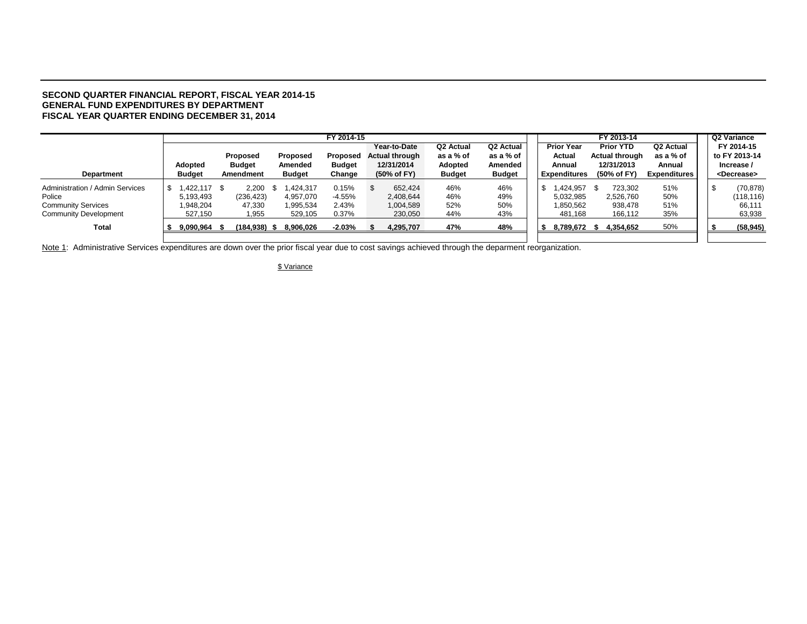#### **SECOND QUARTER FINANCIAL REPORT, FISCAL YEAR 2014-15 GENERAL FUND EXPENDITURES BY DEPARTMENT FISCAL YEAR QUARTER ENDING DECEMBER 31, 2014**

|                                 |               |               |   |               | FY 2014-15    |                       |                       |         |               |  |                     |      | FY 2013-14            |                     |  | Q2 Variance           |
|---------------------------------|---------------|---------------|---|---------------|---------------|-----------------------|-----------------------|---------|---------------|--|---------------------|------|-----------------------|---------------------|--|-----------------------|
|                                 |               |               |   |               |               | Year-to-Date          | Q <sub>2</sub> Actual |         | Q2 Actual     |  | <b>Prior Year</b>   |      | <b>Prior YTD</b>      | Q2 Actual           |  | FY 2014-15            |
|                                 |               | Proposed      |   | Proposed      | Proposed      | <b>Actual through</b> | as a % of             |         | as a % of     |  | Actual              |      | <b>Actual through</b> | as a % of           |  | to FY 2013-14         |
|                                 | Adopted       | <b>Budget</b> |   | Amended       | <b>Budget</b> | 12/31/2014            |                       | Adopted | Amended       |  | Annual              |      | 12/31/2013            | Annual              |  | Increase /            |
| <b>Department</b>               | <b>Budget</b> | Amendment     |   | <b>Budget</b> | Change        | (50% of FY)           | <b>Budget</b>         |         | <b>Budget</b> |  | <b>Expenditures</b> |      | (50% of FY)           | <b>Expenditures</b> |  | <decrease></decrease> |
| Administration / Admin Services | $,422,117$ \$ | 2,200         | £ | .424.317      | 0.15%         | 652.424               | 46%                   |         | 46%           |  | .424.957            | - 96 | 723.302               | 51%                 |  | (70, 878)             |
| Police                          | 5,193,493     | (236, 423)    |   | 4,957,070     | -4.55%        | 2,408,644             | 46%                   |         | 49%           |  | 5,032,985           |      | 2,526,760             | 50%                 |  | (118, 116)            |
| <b>Community Services</b>       | 948.204       | 47.330        |   | 1.995.534     | 2.43%         | 1,004,589             | 52%                   |         | 50%           |  | 1.850.562           |      | 938.478               | 51%                 |  | 66.111                |
| <b>Community Development</b>    | 527.150       | 1,955         |   | 529,105       | 0.37%         | 230.050               | 44%                   |         | 43%           |  | 481,168             |      | 166.112               | 35%                 |  | 63,938                |
| Total                           | 9,090,964     | (184,938)     |   | 8,906,026     | $-2.03\%$     | 4,295,707             | 47%                   |         | 48%           |  | 8,789,672 \$        |      | 4,354,652             | 50%                 |  | (58, 945)             |
|                                 |               |               |   |               |               |                       |                       |         |               |  |                     |      |                       |                     |  |                       |

Note 1: Administrative Services expenditures are down over the prior fiscal year due to cost savings achieved through the deparment reorganization.

\$ Variance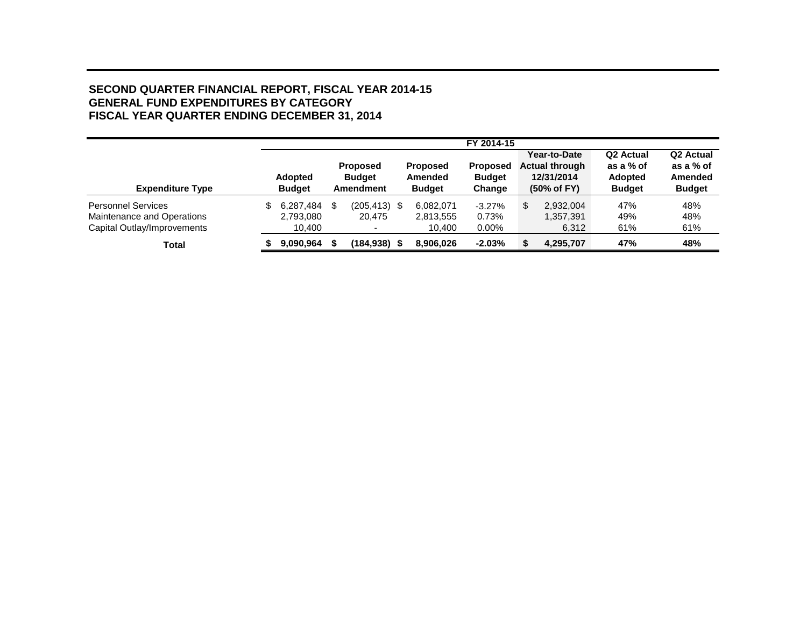#### **SECOND QUARTER FINANCIAL REPORT, FISCAL YEAR 2014-15 GENERAL FUND EXPENDITURES BY CATEGORY FISCAL YEAR QUARTER ENDING DECEMBER 31, 2014**

|                                                                                        |   |                                  |     |                                                      |                                             | FY 2014-15                                 |                                                                    |                                                                       |                                                                |
|----------------------------------------------------------------------------------------|---|----------------------------------|-----|------------------------------------------------------|---------------------------------------------|--------------------------------------------|--------------------------------------------------------------------|-----------------------------------------------------------------------|----------------------------------------------------------------|
| <b>Expenditure Type</b>                                                                |   | <b>Adopted</b><br><b>Budget</b>  |     | <b>Proposed</b><br><b>Budget</b><br><b>Amendment</b> | <b>Proposed</b><br>Amended<br><b>Budget</b> | <b>Proposed</b><br><b>Budget</b><br>Change | Year-to-Date<br><b>Actual through</b><br>12/31/2014<br>(50% of FY) | Q <sub>2</sub> Actual<br>as a % of<br><b>Adopted</b><br><b>Budget</b> | Q <sub>2</sub> Actual<br>as a % of<br>Amended<br><b>Budget</b> |
| <b>Personnel Services</b><br>Maintenance and Operations<br>Capital Outlay/Improvements | S | 6.287.484<br>2,793,080<br>10,400 | \$. | $(205, 413)$ \$<br>20.475                            | 6,082,071<br>2,813,555<br>10,400            | $-3.27%$<br>0.73%<br>$0.00\%$              | \$<br>2.932.004<br>1,357,391<br>6,312                              | 47%<br>49%<br>61%                                                     | 48%<br>48%<br>61%                                              |
| Total                                                                                  |   | 9,090,964                        |     | $(184, 938)$ \$                                      | 8.906.026                                   | $-2.03%$                                   | 4,295,707                                                          | 47%                                                                   | 48%                                                            |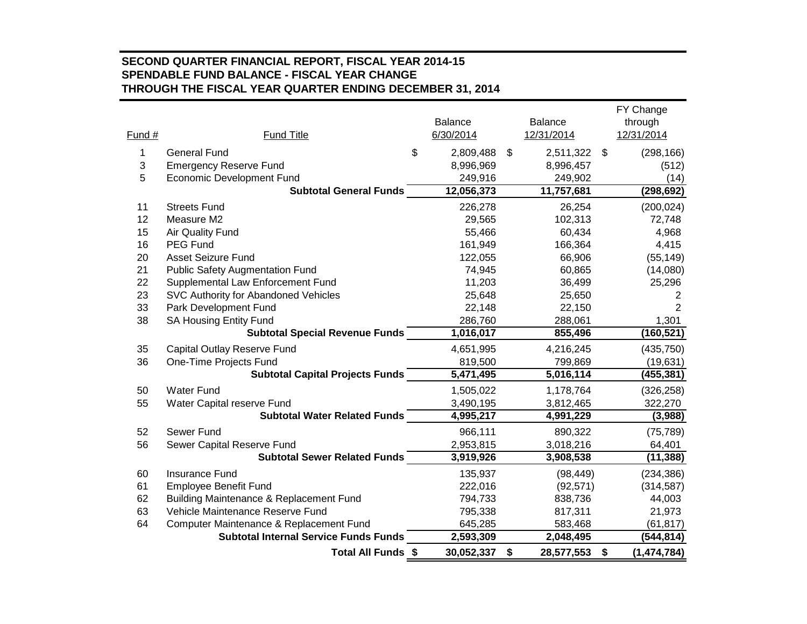#### **SECOND QUARTER FINANCIAL REPORT, FISCAL YEAR 2014-15 SPENDABLE FUND BALANCE - FISCAL YEAR CHANGE THROUGH THE FISCAL YEAR QUARTER ENDING DECEMBER 31, 2014**

|        |                                              |                         |                  | FY Change         |
|--------|----------------------------------------------|-------------------------|------------------|-------------------|
|        |                                              | Balance                 | <b>Balance</b>   | through           |
| Fund # | <b>Fund Title</b>                            | 6/30/2014               | 12/31/2014       | 12/31/2014        |
| 1      | <b>General Fund</b>                          | \$<br>2,809,488         | \$<br>2,511,322  | \$<br>(298, 166)  |
| 3      | <b>Emergency Reserve Fund</b>                | 8,996,969               | 8,996,457        | (512)             |
| 5      | <b>Economic Development Fund</b>             | 249,916                 | 249,902          | (14)              |
|        | <b>Subtotal General Funds</b>                | 12,056,373              | 11,757,681       | (298, 692)        |
| 11     | <b>Streets Fund</b>                          | 226,278                 | 26,254           | (200, 024)        |
| 12     | Measure M2                                   | 29,565                  | 102,313          | 72,748            |
| 15     | <b>Air Quality Fund</b>                      | 55,466                  | 60,434           | 4,968             |
| 16     | <b>PEG Fund</b>                              | 161,949                 | 166,364          | 4,415             |
| 20     | <b>Asset Seizure Fund</b>                    | 122,055                 | 66,906           | (55, 149)         |
| 21     | <b>Public Safety Augmentation Fund</b>       | 74,945                  | 60,865           | (14,080)          |
| 22     | Supplemental Law Enforcement Fund            | 11,203                  | 36,499           | 25,296            |
| 23     | SVC Authority for Abandoned Vehicles         | 25,648                  | 25,650           | 2                 |
| 33     | Park Development Fund                        | 22,148                  | 22,150           | 2                 |
| 38     | <b>SA Housing Entity Fund</b>                | 286,760                 | 288,061          | 1,301             |
|        | <b>Subtotal Special Revenue Funds</b>        | 1,016,017               | 855,496          | (160, 521)        |
| 35     | Capital Outlay Reserve Fund                  | 4,651,995               | 4,216,245        | (435, 750)        |
| 36     | One-Time Projects Fund                       | 819,500                 | 799,869          | (19, 631)         |
|        | <b>Subtotal Capital Projects Funds</b>       | $\overline{5}$ ,471,495 | 5,016,114        | (455,381)         |
| 50     | <b>Water Fund</b>                            | 1,505,022               | 1,178,764        | (326, 258)        |
| 55     | Water Capital reserve Fund                   | 3,490,195               | 3,812,465        | 322,270           |
|        | <b>Subtotal Water Related Funds</b>          | 4,995,217               | 4,991,229        | (3,988)           |
| 52     | Sewer Fund                                   | 966,111                 | 890,322          | (75, 789)         |
| 56     | Sewer Capital Reserve Fund                   | 2,953,815               | 3,018,216        | 64,401            |
|        | <b>Subtotal Sewer Related Funds</b>          | 3,919,926               | 3,908,538        | (11, 388)         |
| 60     | <b>Insurance Fund</b>                        | 135,937                 | (98, 449)        | (234, 386)        |
| 61     | <b>Employee Benefit Fund</b>                 | 222,016                 | (92, 571)        | (314, 587)        |
| 62     | Building Maintenance & Replacement Fund      | 794,733                 | 838,736          | 44,003            |
| 63     | Vehicle Maintenance Reserve Fund             | 795,338                 | 817,311          | 21,973            |
| 64     | Computer Maintenance & Replacement Fund      | 645,285                 | 583,468          | (61, 817)         |
|        | <b>Subtotal Internal Service Funds Funds</b> | 2,593,309               | 2,048,495        | (544,814)         |
|        | Total All Funds \$                           | 30,052,337              | \$<br>28,577,553 | \$<br>(1,474,784) |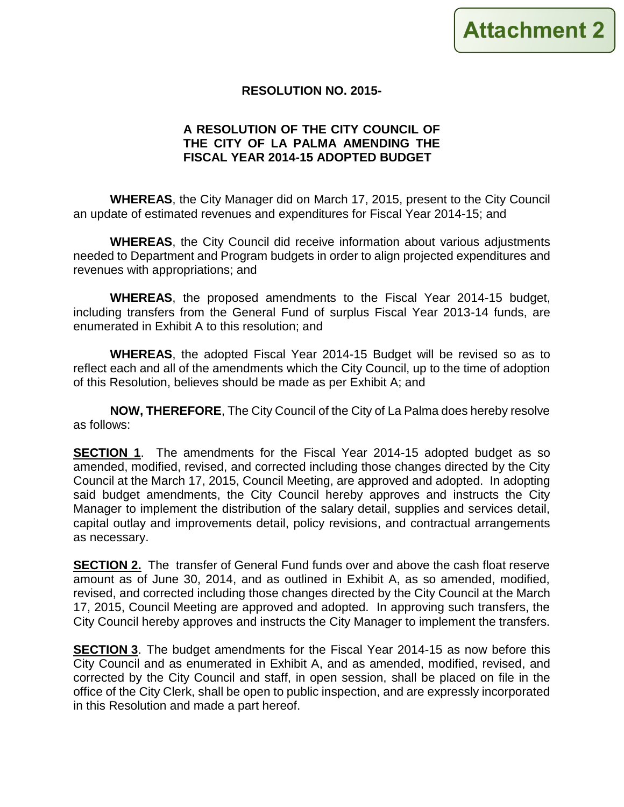#### **RESOLUTION NO. 2015-**

#### **A RESOLUTION OF THE CITY COUNCIL OF THE CITY OF LA PALMA AMENDING THE FISCAL YEAR 2014-15 ADOPTED BUDGET**

**WHEREAS**, the City Manager did on March 17, 2015, present to the City Council an update of estimated revenues and expenditures for Fiscal Year 2014-15; and

**WHEREAS**, the City Council did receive information about various adjustments needed to Department and Program budgets in order to align projected expenditures and revenues with appropriations; and

**WHEREAS**, the proposed amendments to the Fiscal Year 2014-15 budget, including transfers from the General Fund of surplus Fiscal Year 2013-14 funds, are enumerated in Exhibit A to this resolution; and

**WHEREAS**, the adopted Fiscal Year 2014-15 Budget will be revised so as to reflect each and all of the amendments which the City Council, up to the time of adoption of this Resolution, believes should be made as per Exhibit A; and

**NOW, THEREFORE**, The City Council of the City of La Palma does hereby resolve as follows:

**SECTION 1**. The amendments for the Fiscal Year 2014-15 adopted budget as so amended, modified, revised, and corrected including those changes directed by the City Council at the March 17, 2015, Council Meeting, are approved and adopted. In adopting said budget amendments, the City Council hereby approves and instructs the City Manager to implement the distribution of the salary detail, supplies and services detail, capital outlay and improvements detail, policy revisions, and contractual arrangements as necessary.

**SECTION 2.** The transfer of General Fund funds over and above the cash float reserve amount as of June 30, 2014, and as outlined in Exhibit A, as so amended, modified, revised, and corrected including those changes directed by the City Council at the March 17, 2015, Council Meeting are approved and adopted. In approving such transfers, the City Council hereby approves and instructs the City Manager to implement the transfers.

**SECTION 3**. The budget amendments for the Fiscal Year 2014-15 as now before this City Council and as enumerated in Exhibit A, and as amended, modified, revised, and corrected by the City Council and staff, in open session, shall be placed on file in the office of the City Clerk, shall be open to public inspection, and are expressly incorporated in this Resolution and made a part hereof.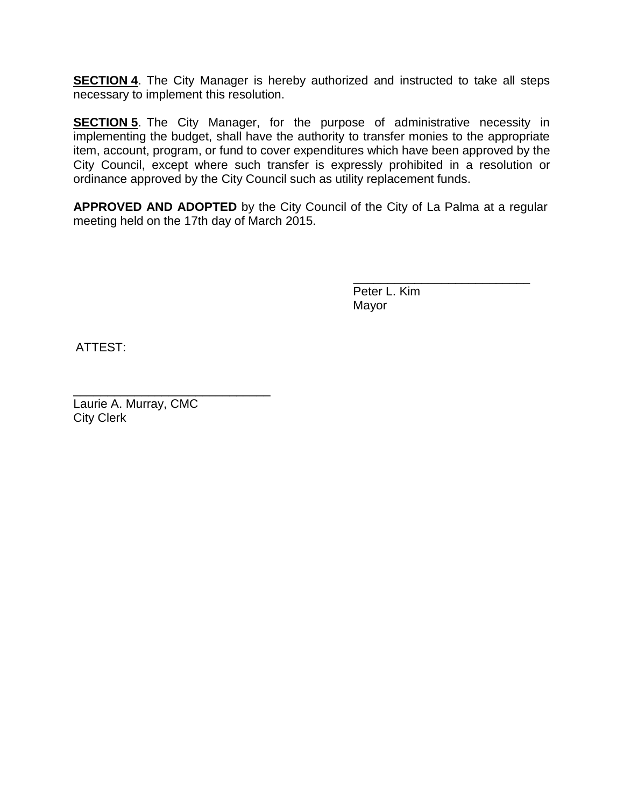**SECTION 4**. The City Manager is hereby authorized and instructed to take all steps necessary to implement this resolution.

**SECTION 5**. The City Manager, for the purpose of administrative necessity in implementing the budget, shall have the authority to transfer monies to the appropriate item, account, program, or fund to cover expenditures which have been approved by the City Council, except where such transfer is expressly prohibited in a resolution or ordinance approved by the City Council such as utility replacement funds.

**APPROVED AND ADOPTED** by the City Council of the City of La Palma at a regular meeting held on the 17th day of March 2015.

> Peter L. Kim Mayor

\_\_\_\_\_\_\_\_\_\_\_\_\_\_\_\_\_\_\_\_\_\_\_\_\_\_

ATTEST:

\_\_\_\_\_\_\_\_\_\_\_\_\_\_\_\_\_\_\_\_\_\_\_\_\_\_\_\_\_ Laurie A. Murray, CMC City Clerk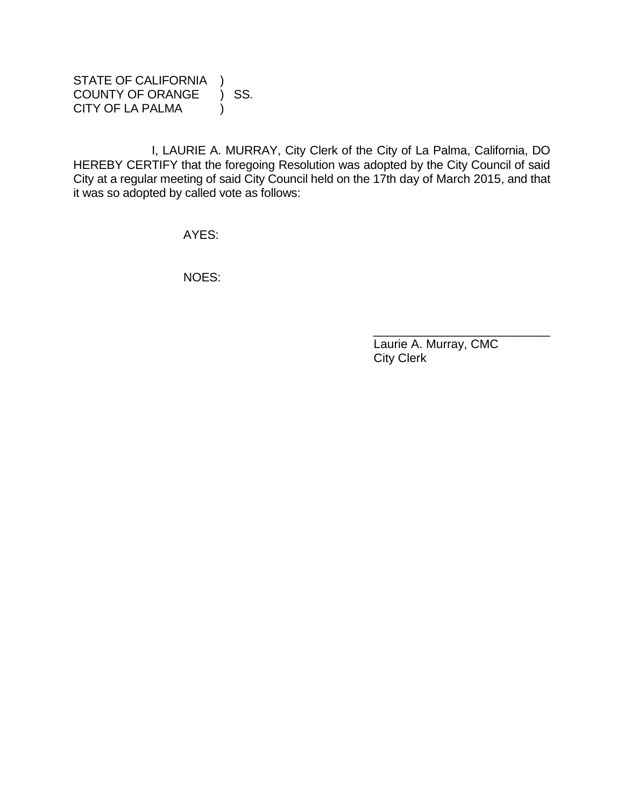STATE OF CALIFORNIA )<br>COUNTY OF ORANGE ) SS. COUNTY OF ORANGE CITY OF LA PALMA (1)

I, LAURIE A. MURRAY, City Clerk of the City of La Palma, California, DO HEREBY CERTIFY that the foregoing Resolution was adopted by the City Council of said City at a regular meeting of said City Council held on the 17th day of March 2015, and that it was so adopted by called vote as follows:

AYES:

NOES:

 Laurie A. Murray, CMC City Clerk

\_\_\_\_\_\_\_\_\_\_\_\_\_\_\_\_\_\_\_\_\_\_\_\_\_\_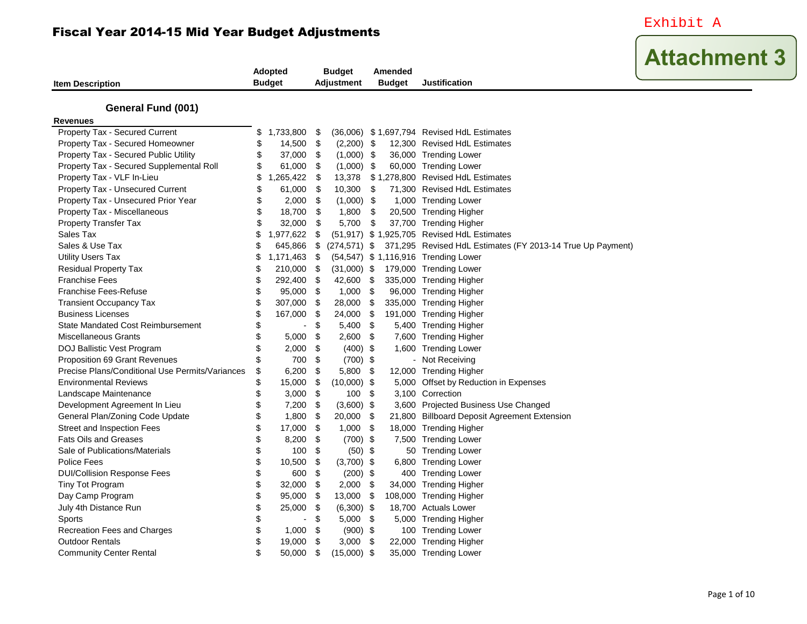Exhibit A

| <b>Item Description</b>                         | Adopted<br><b>Budget</b> |     | <b>Budget</b><br><b>Adjustment</b> |     | Amended<br><b>Budget</b> | <b>Justification</b>                                       |
|-------------------------------------------------|--------------------------|-----|------------------------------------|-----|--------------------------|------------------------------------------------------------|
|                                                 |                          |     |                                    |     |                          |                                                            |
| <b>General Fund (001)</b><br><b>Revenues</b>    |                          |     |                                    |     |                          |                                                            |
| Property Tax - Secured Current                  | \$<br>1,733,800 \$       |     |                                    |     |                          | (36,006) \$1,697,794 Revised HdL Estimates                 |
| Property Tax - Secured Homeowner                | \$<br>14,500             | \$  | $(2,200)$ \$                       |     |                          | 12,300 Revised HdL Estimates                               |
| Property Tax - Secured Public Utility           | \$<br>37,000 \$          |     | $(1,000)$ \$                       |     |                          | 36,000 Trending Lower                                      |
| Property Tax - Secured Supplemental Roll        | \$<br>61,000             | \$  | (1,000)                            | \$  |                          | 60,000 Trending Lower                                      |
| Property Tax - VLF In-Lieu                      | \$<br>1,265,422          | \$  | 13,378                             |     |                          | \$1,278,800 Revised HdL Estimates                          |
| Property Tax - Unsecured Current                | \$<br>61,000             | \$  | 10,300                             | \$  |                          | 71,300 Revised HdL Estimates                               |
| Property Tax - Unsecured Prior Year             | \$<br>2,000              | \$  | (1,000)                            | -\$ |                          | 1,000 Trending Lower                                       |
| Property Tax - Miscellaneous                    | \$<br>18,700             | \$  | 1,800                              | \$  |                          | 20,500 Trending Higher                                     |
| <b>Property Transfer Tax</b>                    | \$<br>32,000             | \$  | 5,700                              | \$  |                          | 37,700 Trending Higher                                     |
| Sales Tax                                       | \$<br>1,977,622          | \$  |                                    |     |                          | (51,917) \$ 1,925,705 Revised HdL Estimates                |
| Sales & Use Tax                                 | \$<br>645,866            | \$  | $(274, 571)$ \$                    |     |                          | 371,295 Revised HdL Estimates (FY 2013-14 True Up Payment) |
| <b>Utility Users Tax</b>                        | \$<br>1,171,463          | -\$ |                                    |     |                          | (54,547) \$ 1,116,916 Trending Lower                       |
| <b>Residual Property Tax</b>                    | \$<br>210,000            | -\$ | $(31,000)$ \$                      |     |                          | 179,000 Trending Lower                                     |
| <b>Franchise Fees</b>                           | \$<br>292,400 \$         |     | 42,600                             | \$  |                          | 335,000 Trending Higher                                    |
| <b>Franchise Fees-Refuse</b>                    | \$<br>95,000             | -\$ | 1,000                              | \$  |                          | 96,000 Trending Higher                                     |
| <b>Transient Occupancy Tax</b>                  | \$<br>307,000            | \$  | 28,000                             | \$  |                          | 335,000 Trending Higher                                    |
| <b>Business Licenses</b>                        | \$<br>167,000            | \$  | 24,000                             | \$  |                          | 191,000 Trending Higher                                    |
| <b>State Mandated Cost Reimbursement</b>        | \$<br>$\blacksquare$     | \$  | 5,400                              | \$  |                          | 5,400 Trending Higher                                      |
| <b>Miscellaneous Grants</b>                     | \$<br>5,000              | \$  | 2,600                              | \$  |                          | 7,600 Trending Higher                                      |
| DOJ Ballistic Vest Program                      | \$<br>2,000              | \$  | $(400)$ \$                         |     |                          | 1,600 Trending Lower                                       |
| Proposition 69 Grant Revenues                   | \$<br>700 \$             |     | $(700)$ \$                         |     |                          | - Not Receiving                                            |
| Precise Plans/Conditional Use Permits/Variances | \$<br>6,200              | \$  | 5,800                              | \$  |                          | 12,000 Trending Higher                                     |
| <b>Environmental Reviews</b>                    | \$<br>15,000             | \$  | (10,000)                           | \$  |                          | 5,000 Offset by Reduction in Expenses                      |
| Landscape Maintenance                           | \$<br>3,000              | \$  | 100                                | \$  |                          | 3,100 Correction                                           |
| Development Agreement In Lieu                   | \$<br>7,200              | -\$ | (3,600)                            | \$  |                          | 3,600 Projected Business Use Changed                       |
| General Plan/Zoning Code Update                 | \$<br>1,800              | \$  | 20,000                             | \$  |                          | 21,800 Billboard Deposit Agreement Extension               |
| Street and Inspection Fees                      | \$<br>17,000             | \$  | 1,000                              | \$  |                          | 18,000 Trending Higher                                     |
| <b>Fats Oils and Greases</b>                    | \$<br>8,200              | \$  | $(700)$ \$                         |     |                          | 7,500 Trending Lower                                       |
| Sale of Publications/Materials                  | \$<br>100                | \$  | $(50)$ \$                          |     |                          | 50 Trending Lower                                          |
| Police Fees                                     | \$<br>10,500             | \$  | $(3,700)$ \$                       |     |                          | 6,800 Trending Lower                                       |
| <b>DUI/Collision Response Fees</b>              | \$<br>600                | \$  | $(200)$ \$                         |     |                          | 400 Trending Lower                                         |
| <b>Tiny Tot Program</b>                         | \$<br>32,000             | \$  | 2,000                              | \$  |                          | 34,000 Trending Higher                                     |
| Day Camp Program                                | \$<br>95,000             | \$  | 13,000                             | \$  |                          | 108,000 Trending Higher                                    |
| July 4th Distance Run                           | \$<br>25,000             | \$  | (6,300)                            | \$  |                          | 18,700 Actuals Lower                                       |
| Sports                                          | \$<br>$\overline{a}$     | \$  | 5,000                              | \$  |                          | 5,000 Trending Higher                                      |
| Recreation Fees and Charges                     | \$<br>1,000              | -\$ | $(900)$ \$                         |     |                          | 100 Trending Lower                                         |
| <b>Outdoor Rentals</b>                          | \$<br>19,000             | \$  | 3,000                              | \$  |                          | 22,000 Trending Higher                                     |
| <b>Community Center Rental</b>                  | \$<br>50,000             | \$  | (15,000)                           | \$  |                          | 35,000 Trending Lower                                      |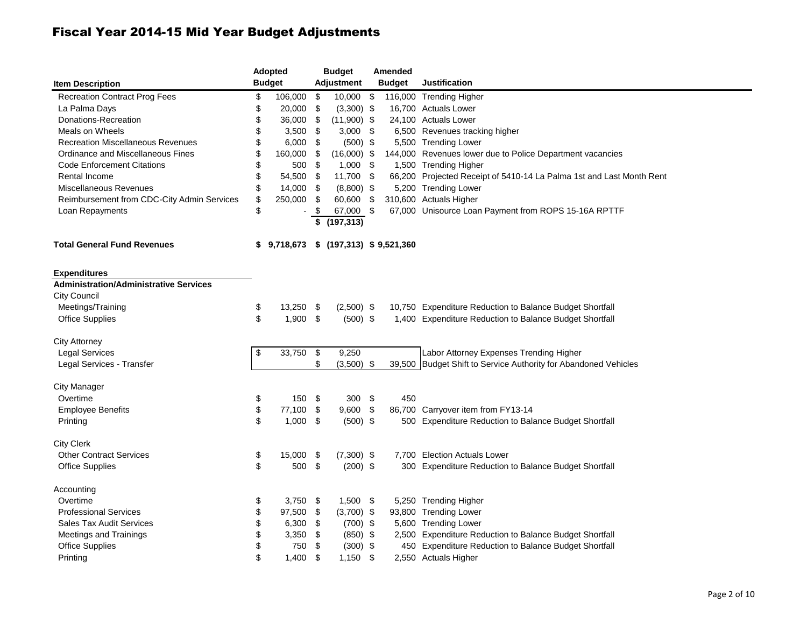|                                               | Adopted          | <b>Budget</b> |                             | Amended |               |                                                                      |  |  |  |  |  |  |  |
|-----------------------------------------------|------------------|---------------|-----------------------------|---------|---------------|----------------------------------------------------------------------|--|--|--|--|--|--|--|
| <b>Item Description</b>                       | <b>Budget</b>    |               | <b>Adjustment</b>           |         | <b>Budget</b> | Justification                                                        |  |  |  |  |  |  |  |
| <b>Recreation Contract Prog Fees</b>          | \$<br>106,000    | \$            | 10,000 \$                   |         |               | 116,000 Trending Higher                                              |  |  |  |  |  |  |  |
| La Palma Days                                 | \$<br>20,000     | \$            | $(3,300)$ \$                |         |               | 16,700 Actuals Lower                                                 |  |  |  |  |  |  |  |
| Donations-Recreation                          | \$<br>36,000     | \$            | $(11,900)$ \$               |         |               | 24,100 Actuals Lower                                                 |  |  |  |  |  |  |  |
| Meals on Wheels                               | \$<br>3,500      | - \$          | $3,000$ \$                  |         |               | 6,500 Revenues tracking higher                                       |  |  |  |  |  |  |  |
| <b>Recreation Miscellaneous Revenues</b>      | \$<br>6,000      | - \$          | $(500)$ \$                  |         |               | 5,500 Trending Lower                                                 |  |  |  |  |  |  |  |
| Ordinance and Miscellaneous Fines             | \$<br>160,000    | \$            | $(16,000)$ \$               |         |               | 144,000 Revenues lower due to Police Department vacancies            |  |  |  |  |  |  |  |
| <b>Code Enforcement Citations</b>             | \$<br>500        | - \$          | $1,000$ \$                  |         |               | 1,500 Trending Higher                                                |  |  |  |  |  |  |  |
| Rental Income                                 | \$<br>54,500 \$  |               | 11,700 \$                   |         |               | 66,200 Projected Receipt of 5410-14 La Palma 1st and Last Month Rent |  |  |  |  |  |  |  |
| Miscellaneous Revenues                        | \$<br>14,000 \$  |               | $(8,800)$ \$                |         |               | 5,200 Trending Lower                                                 |  |  |  |  |  |  |  |
| Reimbursement from CDC-City Admin Services    | \$<br>250,000    | - \$          | 60,600 \$                   |         |               | 310,600 Actuals Higher                                               |  |  |  |  |  |  |  |
| Loan Repayments                               | \$               | -\$           | 67,000 \$                   |         |               | 67,000 Unisource Loan Payment from ROPS 15-16A RPTTF                 |  |  |  |  |  |  |  |
|                                               |                  | \$            | (197, 313)                  |         |               |                                                                      |  |  |  |  |  |  |  |
| <b>Total General Fund Revenues</b>            | \$<br>9,718,673  |               | $$$ (197,313) $$$ 9,521,360 |         |               |                                                                      |  |  |  |  |  |  |  |
| <b>Expenditures</b>                           |                  |               |                             |         |               |                                                                      |  |  |  |  |  |  |  |
| <b>Administration/Administrative Services</b> |                  |               |                             |         |               |                                                                      |  |  |  |  |  |  |  |
| City Council                                  |                  |               |                             |         |               |                                                                      |  |  |  |  |  |  |  |
| Meetings/Training                             | \$<br>13,250 \$  |               | $(2,500)$ \$                |         |               | 10,750 Expenditure Reduction to Balance Budget Shortfall             |  |  |  |  |  |  |  |
| <b>Office Supplies</b>                        | \$<br>$1,900$ \$ |               | $(500)$ \$                  |         |               | 1,400 Expenditure Reduction to Balance Budget Shortfall              |  |  |  |  |  |  |  |
| City Attorney                                 |                  |               |                             |         |               |                                                                      |  |  |  |  |  |  |  |
| <b>Legal Services</b>                         | \$<br>33,750     | $\sqrt{3}$    | 9,250                       |         |               | Labor Attorney Expenses Trending Higher                              |  |  |  |  |  |  |  |
| Legal Services - Transfer                     |                  | \$            | $(3,500)$ \$                |         |               | 39,500 Budget Shift to Service Authority for Abandoned Vehicles      |  |  |  |  |  |  |  |
| <b>City Manager</b>                           |                  |               |                             |         |               |                                                                      |  |  |  |  |  |  |  |
| Overtime                                      | \$<br>150 \$     |               | $300*$                      |         | 450           |                                                                      |  |  |  |  |  |  |  |
| <b>Employee Benefits</b>                      | \$<br>77,100     | \$            | $9,600$ \$                  |         |               | 86,700 Carryover item from FY13-14                                   |  |  |  |  |  |  |  |
| Printing                                      | \$<br>$1,000$ \$ |               | $(500)$ \$                  |         |               | 500 Expenditure Reduction to Balance Budget Shortfall                |  |  |  |  |  |  |  |
| <b>City Clerk</b>                             |                  |               |                             |         |               |                                                                      |  |  |  |  |  |  |  |
| <b>Other Contract Services</b>                | \$<br>15,000     | - \$          | $(7,300)$ \$                |         |               | 7,700 Election Actuals Lower                                         |  |  |  |  |  |  |  |
| <b>Office Supplies</b>                        | \$<br>500 \$     |               | $(200)$ \$                  |         |               | 300 Expenditure Reduction to Balance Budget Shortfall                |  |  |  |  |  |  |  |
| Accounting                                    |                  |               |                             |         |               |                                                                      |  |  |  |  |  |  |  |
| Overtime                                      | \$<br>3,750 \$   |               | $1,500$ \$                  |         |               | 5,250 Trending Higher                                                |  |  |  |  |  |  |  |
| <b>Professional Services</b>                  | \$<br>97,500     | - \$          | $(3,700)$ \$                |         |               | 93,800 Trending Lower                                                |  |  |  |  |  |  |  |
| <b>Sales Tax Audit Services</b>               | \$<br>6,300      | \$            | $(700)$ \$                  |         |               | 5,600 Trending Lower                                                 |  |  |  |  |  |  |  |
| Meetings and Trainings                        | \$<br>3,350      | - \$          | $(850)$ \$                  |         |               | 2,500 Expenditure Reduction to Balance Budget Shortfall              |  |  |  |  |  |  |  |
| <b>Office Supplies</b>                        | \$<br>750        | \$            | $(300)$ \$                  |         |               | 450 Expenditure Reduction to Balance Budget Shortfall                |  |  |  |  |  |  |  |
| Printing                                      | \$<br>1,400      | \$            | $1,150$ \$                  |         |               | 2,550 Actuals Higher                                                 |  |  |  |  |  |  |  |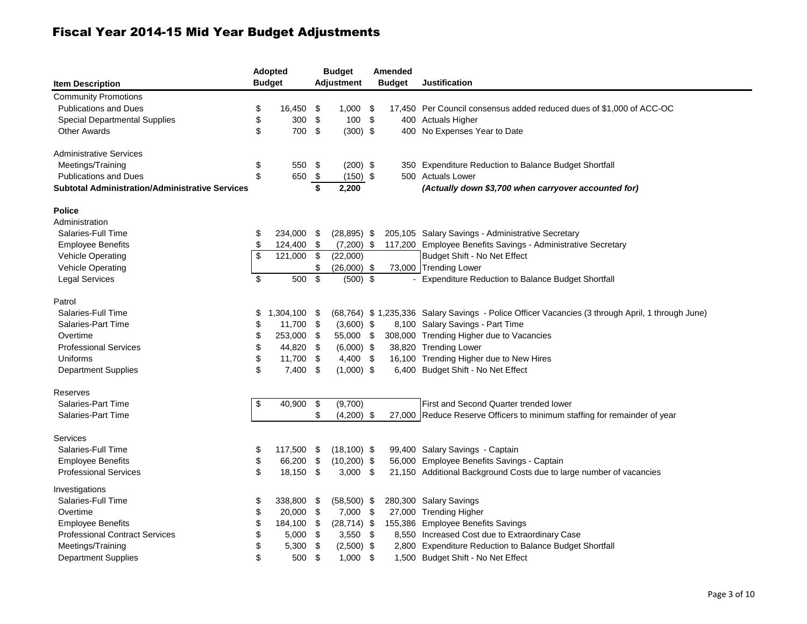| <b>Item Description</b>                         | <b>Adopted</b><br><b>Budget</b> |      | <b>Budget</b><br><b>Adjustment</b> | Amended<br><b>Budget</b> | <b>Justification</b>                                                                             |
|-------------------------------------------------|---------------------------------|------|------------------------------------|--------------------------|--------------------------------------------------------------------------------------------------|
| <b>Community Promotions</b>                     |                                 |      |                                    |                          |                                                                                                  |
| <b>Publications and Dues</b>                    | \$<br>16,450                    | \$   | $1,000$ \$                         |                          | 17,450 Per Council consensus added reduced dues of \$1,000 of ACC-OC                             |
| <b>Special Departmental Supplies</b>            | \$<br>300                       | \$   | $100*$                             |                          | 400 Actuals Higher                                                                               |
| <b>Other Awards</b>                             | \$<br>700                       | \$   | $(300)$ \$                         |                          | 400 No Expenses Year to Date                                                                     |
| Administrative Services                         |                                 |      |                                    |                          |                                                                                                  |
| Meetings/Training                               | \$<br>550 \$                    |      | $(200)$ \$                         |                          | 350 Expenditure Reduction to Balance Budget Shortfall                                            |
| <b>Publications and Dues</b>                    | \$<br>650 \$                    |      | $(150)$ \$                         |                          | 500 Actuals Lower                                                                                |
| Subtotal Administration/Administrative Services |                                 | \$   | 2,200                              |                          | (Actually down \$3,700 when carryover accounted for)                                             |
| <b>Police</b>                                   |                                 |      |                                    |                          |                                                                                                  |
| Administration                                  |                                 |      |                                    |                          |                                                                                                  |
| Salaries-Full Time                              | \$<br>234,000                   | -\$  | $(28, 895)$ \$                     |                          | 205,105 Salary Savings - Administrative Secretary                                                |
| <b>Employee Benefits</b>                        | \$<br>124,400                   | \$   | $(7,200)$ \$                       |                          | 117,200 Employee Benefits Savings - Administrative Secretary                                     |
| Vehicle Operating                               | \$<br>121,000                   | \$   | (22,000)                           |                          | Budget Shift - No Net Effect                                                                     |
| <b>Vehicle Operating</b>                        |                                 | \$   | $(26,000)$ \$                      |                          | 73,000 Trending Lower                                                                            |
| <b>Legal Services</b>                           | \$<br>500                       | \$   | $(500)$ \$                         |                          | <b>Expenditure Reduction to Balance Budget Shortfall</b>                                         |
| Patrol                                          |                                 |      |                                    |                          |                                                                                                  |
| Salaries-Full Time                              | \$<br>1,304,100 \$              |      |                                    |                          | (68,764) \$1,235,336 Salary Savings - Police Officer Vacancies (3 through April, 1 through June) |
| Salaries-Part Time                              | \$<br>11,700 \$                 |      | $(3,600)$ \$                       |                          | 8,100 Salary Savings - Part Time                                                                 |
| Overtime                                        | \$<br>253,000                   | - \$ | 55,000 \$                          |                          | 308,000 Trending Higher due to Vacancies                                                         |
| <b>Professional Services</b>                    | \$<br>44,820 \$                 |      | $(6,000)$ \$                       |                          | 38,820 Trending Lower                                                                            |
| Uniforms                                        | \$<br>11,700 \$                 |      | $4,400$ \$                         |                          | 16,100 Trending Higher due to New Hires                                                          |
| <b>Department Supplies</b>                      | \$<br>7,400 \$                  |      | $(1,000)$ \$                       |                          | 6,400 Budget Shift - No Net Effect                                                               |
| Reserves                                        |                                 |      |                                    |                          |                                                                                                  |
| Salaries-Part Time                              | \$<br>40,900                    | \$   | (9,700)                            |                          | First and Second Quarter trended lower                                                           |
| Salaries-Part Time                              |                                 | \$   | $(4,200)$ \$                       |                          | 27,000 Reduce Reserve Officers to minimum staffing for remainder of year                         |
| Services                                        |                                 |      |                                    |                          |                                                                                                  |
| Salaries-Full Time                              | \$<br>117,500                   | \$   | $(18, 100)$ \$                     |                          | 99,400 Salary Savings - Captain                                                                  |
| <b>Employee Benefits</b>                        | \$<br>66,200                    | \$   | $(10,200)$ \$                      |                          | 56,000 Employee Benefits Savings - Captain                                                       |
| <b>Professional Services</b>                    | \$<br>18,150 \$                 |      | $3,000$ \$                         |                          | 21,150 Additional Background Costs due to large number of vacancies                              |
| Investigations                                  |                                 |      |                                    |                          |                                                                                                  |
| Salaries-Full Time                              | \$<br>338,800                   | \$   | $(58,500)$ \$                      |                          | 280,300 Salary Savings                                                                           |
| Overtime                                        | \$<br>20,000 \$                 |      | 7,000 \$                           |                          | 27,000 Trending Higher                                                                           |
| <b>Employee Benefits</b>                        | \$<br>184,100                   | \$   | $(28, 714)$ \$                     |                          | 155,386 Employee Benefits Savings                                                                |
| <b>Professional Contract Services</b>           | \$<br>5,000                     | -\$  | $3,550$ \$                         |                          | 8,550 Increased Cost due to Extraordinary Case                                                   |
| Meetings/Training                               | \$<br>5,300                     | \$   | $(2,500)$ \$                       |                          | 2,800 Expenditure Reduction to Balance Budget Shortfall                                          |
| <b>Department Supplies</b>                      | \$<br>500                       | \$   | $1,000$ \$                         |                          | 1,500 Budget Shift - No Net Effect                                                               |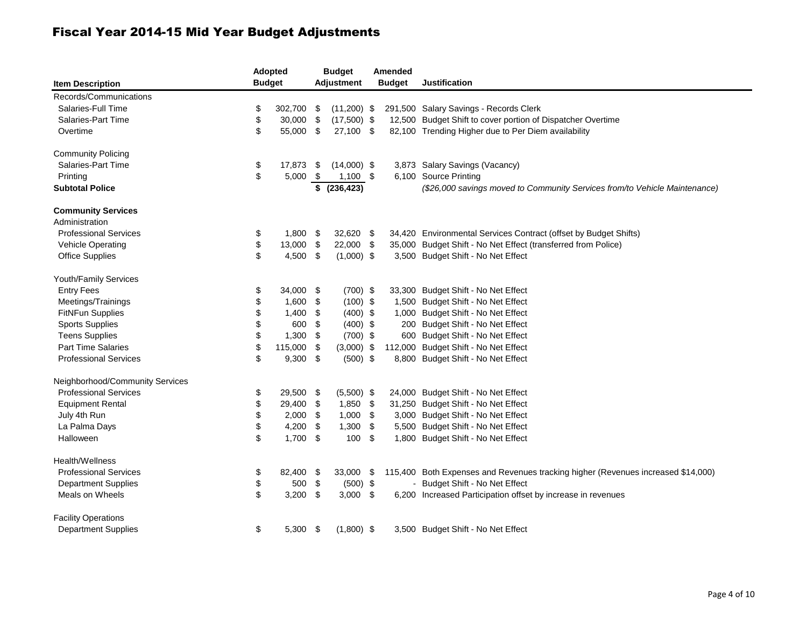| <b>Item Description</b>         | Adopted<br><b>Budget</b> |            | <b>Budget</b><br><b>Adjustment</b> |     | Amended<br><b>Budget</b> | <b>Justification</b>                                                             |
|---------------------------------|--------------------------|------------|------------------------------------|-----|--------------------------|----------------------------------------------------------------------------------|
| Records/Communications          |                          |            |                                    |     |                          |                                                                                  |
| Salaries-Full Time              | \$<br>302,700            | -\$        | $(11,200)$ \$                      |     |                          | 291,500 Salary Savings - Records Clerk                                           |
| Salaries-Part Time              | \$<br>30,000 \$          |            | $(17,500)$ \$                      |     |                          | 12,500 Budget Shift to cover portion of Dispatcher Overtime                      |
| Overtime                        | \$<br>55,000 \$          |            | 27,100 \$                          |     |                          | 82,100 Trending Higher due to Per Diem availability                              |
| <b>Community Policing</b>       |                          |            |                                    |     |                          |                                                                                  |
| Salaries-Part Time              | \$<br>17,873             | - \$       | $(14,000)$ \$                      |     |                          | 3,873 Salary Savings (Vacancy)                                                   |
| Printing                        | \$<br>5,000              | - \$       | $1,100$ \$                         |     |                          | 6,100 Source Printing                                                            |
| <b>Subtotal Police</b>          |                          | \$         | (236, 423)                         |     |                          | (\$26,000 savings moved to Community Services from/to Vehicle Maintenance)       |
| <b>Community Services</b>       |                          |            |                                    |     |                          |                                                                                  |
| Administration                  |                          |            |                                    |     |                          |                                                                                  |
| <b>Professional Services</b>    | \$<br>$1,800$ \$         |            | 32,620 \$                          |     |                          | 34,420 Environmental Services Contract (offset by Budget Shifts)                 |
| Vehicle Operating               | \$<br>13,000 \$          |            | 22,000 \$                          |     |                          | 35,000 Budget Shift - No Net Effect (transferred from Police)                    |
| <b>Office Supplies</b>          | \$<br>4,500 \$           |            | $(1,000)$ \$                       |     |                          | 3,500 Budget Shift - No Net Effect                                               |
| Youth/Family Services           |                          |            |                                    |     |                          |                                                                                  |
| <b>Entry Fees</b>               | \$<br>34,000 \$          |            | $(700)$ \$                         |     |                          | 33,300 Budget Shift - No Net Effect                                              |
| Meetings/Trainings              | \$<br>1,600              | -\$        | $(100)$ \$                         |     |                          | 1,500 Budget Shift - No Net Effect                                               |
| <b>FitNFun Supplies</b>         | \$<br>1,400              | \$         | $(400)$ \$                         |     |                          | 1,000 Budget Shift - No Net Effect                                               |
| <b>Sports Supplies</b>          | \$<br>600                | \$         | $(400)$ \$                         |     |                          | 200 Budget Shift - No Net Effect                                                 |
| <b>Teens Supplies</b>           | \$<br>1,300              | \$         | $(700)$ \$                         |     |                          | 600 Budget Shift - No Net Effect                                                 |
| <b>Part Time Salaries</b>       | \$<br>115,000            | -\$        | $(3,000)$ \$                       |     |                          | 112,000 Budget Shift - No Net Effect                                             |
| <b>Professional Services</b>    | \$<br>$9,300$ \$         |            | $(500)$ \$                         |     |                          | 8,800 Budget Shift - No Net Effect                                               |
| Neighborhood/Community Services |                          |            |                                    |     |                          |                                                                                  |
| <b>Professional Services</b>    | \$<br>29,500 \$          |            | $(5,500)$ \$                       |     |                          | 24,000 Budget Shift - No Net Effect                                              |
| <b>Equipment Rental</b>         | \$<br>29,400             | - \$       | $1,850$ \$                         |     |                          | 31,250 Budget Shift - No Net Effect                                              |
| July 4th Run                    | \$<br>$2,000$ \$         |            | $1,000$ \$                         |     |                          | 3,000 Budget Shift - No Net Effect                                               |
| La Palma Days                   | \$<br>4,200              | -\$        | 1,300                              | -\$ |                          | 5,500 Budget Shift - No Net Effect                                               |
| Halloween                       | \$<br>$1,700$ \$         |            | 100S                               |     |                          | 1,800 Budget Shift - No Net Effect                                               |
| Health/Wellness                 |                          |            |                                    |     |                          |                                                                                  |
| <b>Professional Services</b>    | \$<br>82,400 \$          |            | 33,000 \$                          |     |                          | 115,400 Both Expenses and Revenues tracking higher (Revenues increased \$14,000) |
| <b>Department Supplies</b>      | \$<br>500                | $\sqrt{3}$ | $(500)$ \$                         |     |                          | - Budget Shift - No Net Effect                                                   |
| Meals on Wheels                 | \$<br>$3,200$ \$         |            | $3,000$ \$                         |     |                          | 6,200 Increased Participation offset by increase in revenues                     |
| <b>Facility Operations</b>      |                          |            |                                    |     |                          |                                                                                  |
| <b>Department Supplies</b>      | \$<br>$5,300$ \$         |            | $(1,800)$ \$                       |     |                          | 3,500 Budget Shift - No Net Effect                                               |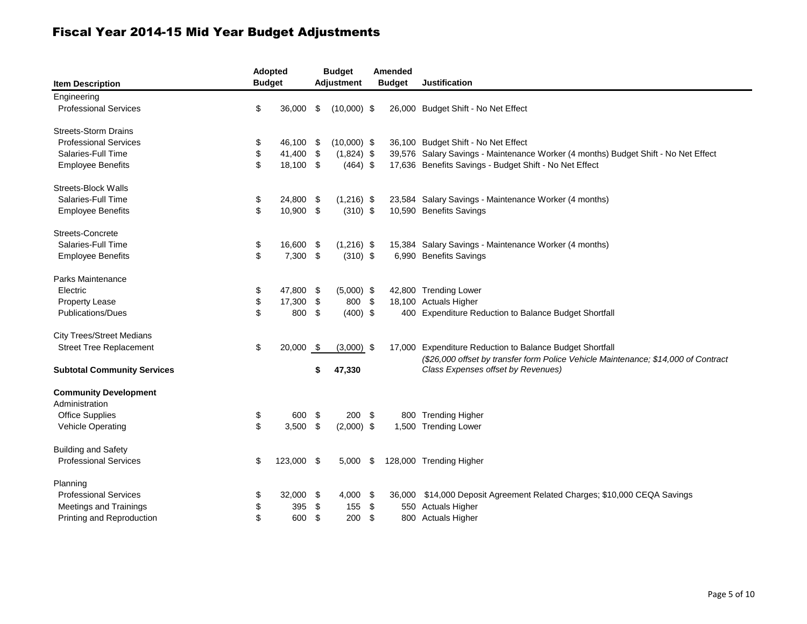| <b>Item Description</b>            | <b>Budget</b> | <b>Adopted</b> |      | <b>Budget</b><br><b>Adjustment</b> |      | Amended<br><b>Budget</b> | <b>Justification</b>                                                               |
|------------------------------------|---------------|----------------|------|------------------------------------|------|--------------------------|------------------------------------------------------------------------------------|
| Engineering                        |               |                |      |                                    |      |                          |                                                                                    |
| <b>Professional Services</b>       | \$            | 36,000         | \$   | $(10,000)$ \$                      |      |                          | 26,000 Budget Shift - No Net Effect                                                |
| <b>Streets-Storm Drains</b>        |               |                |      |                                    |      |                          |                                                                                    |
| <b>Professional Services</b>       | \$            | 46,100         | -\$  | $(10,000)$ \$                      |      |                          | 36,100 Budget Shift - No Net Effect                                                |
| Salaries-Full Time                 | \$            | 41,400 \$      |      | $(1,824)$ \$                       |      |                          | 39,576 Salary Savings - Maintenance Worker (4 months) Budget Shift - No Net Effect |
| <b>Employee Benefits</b>           | \$            | 18,100 \$      |      | $(464)$ \$                         |      |                          | 17,636 Benefits Savings - Budget Shift - No Net Effect                             |
| <b>Streets-Block Walls</b>         |               |                |      |                                    |      |                          |                                                                                    |
| Salaries-Full Time                 | \$            | 24,800 \$      |      | $(1,216)$ \$                       |      |                          | 23,584 Salary Savings - Maintenance Worker (4 months)                              |
| <b>Employee Benefits</b>           | \$            | 10,900 \$      |      | $(310)$ \$                         |      |                          | 10,590 Benefits Savings                                                            |
| Streets-Concrete                   |               |                |      |                                    |      |                          |                                                                                    |
| Salaries-Full Time                 | \$            | 16,600         | -\$  | $(1,216)$ \$                       |      |                          | 15,384 Salary Savings - Maintenance Worker (4 months)                              |
| <b>Employee Benefits</b>           | \$            | $7,300$ \$     |      | $(310)$ \$                         |      |                          | 6,990 Benefits Savings                                                             |
| Parks Maintenance                  |               |                |      |                                    |      |                          |                                                                                    |
| Electric                           | \$            | 47,800         | -\$  | $(5,000)$ \$                       |      |                          | 42,800 Trending Lower                                                              |
| <b>Property Lease</b>              | \$            | 17,300         | -\$  | 800 \$                             |      |                          | 18,100 Actuals Higher                                                              |
| <b>Publications/Dues</b>           | \$            | 800            | \$   | $(400)$ \$                         |      |                          | 400 Expenditure Reduction to Balance Budget Shortfall                              |
| <b>City Trees/Street Medians</b>   |               |                |      |                                    |      |                          |                                                                                    |
| <b>Street Tree Replacement</b>     | \$            | 20,000         | - \$ | $(3,000)$ \$                       |      |                          | 17,000 Expenditure Reduction to Balance Budget Shortfall                           |
|                                    |               |                |      |                                    |      |                          | (\$26,000 offset by transfer form Police Vehicle Maintenance; \$14,000 of Contract |
| <b>Subtotal Community Services</b> |               |                | S    | 47,330                             |      |                          | Class Expenses offset by Revenues)                                                 |
| <b>Community Development</b>       |               |                |      |                                    |      |                          |                                                                                    |
| Administration                     |               |                |      |                                    |      |                          |                                                                                    |
| <b>Office Supplies</b>             | \$            | 600            | \$   | $200*$                             |      |                          | 800 Trending Higher                                                                |
| <b>Vehicle Operating</b>           | \$            | 3,500          | -\$  | $(2,000)$ \$                       |      |                          | 1,500 Trending Lower                                                               |
| <b>Building and Safety</b>         |               |                |      |                                    |      |                          |                                                                                    |
| <b>Professional Services</b>       | \$            | 123,000 \$     |      | $5,000$ \$                         |      |                          | 128,000 Trending Higher                                                            |
| Planning                           |               |                |      |                                    |      |                          |                                                                                    |
| <b>Professional Services</b>       | \$            | 32,000         | -\$  | 4,000                              | - \$ |                          | 36,000 \$14,000 Deposit Agreement Related Charges; \$10,000 CEQA Savings           |
| Meetings and Trainings             | \$            | 395            | \$   | 155                                | -\$  |                          | 550 Actuals Higher                                                                 |
| Printing and Reproduction          | \$            | 600            | \$   | 200                                | \$   |                          | 800 Actuals Higher                                                                 |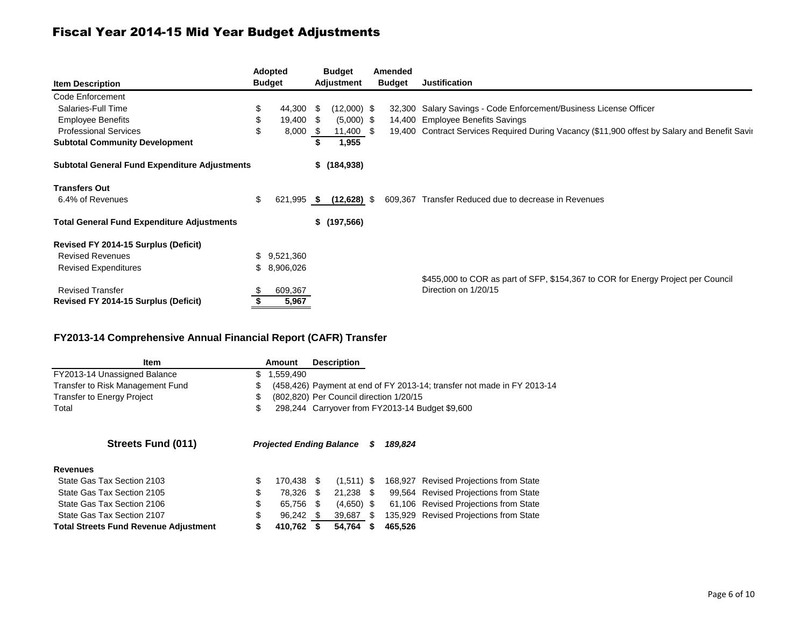|                                                      |     | <b>Adopted</b> | <b>Budget</b>    | Amended       |                                                                                               |
|------------------------------------------------------|-----|----------------|------------------|---------------|-----------------------------------------------------------------------------------------------|
| <b>Item Description</b>                              |     | <b>Budget</b>  | Adjustment       | <b>Budget</b> | <b>Justification</b>                                                                          |
| Code Enforcement                                     |     |                |                  |               |                                                                                               |
| Salaries-Full Time                                   | \$  | 44,300 \$      | $(12,000)$ \$    |               | 32,300 Salary Savings - Code Enforcement/Business License Officer                             |
| <b>Employee Benefits</b>                             | S   | 19,400 \$      | $(5,000)$ \$     | 14,400        | <b>Employee Benefits Savings</b>                                                              |
| <b>Professional Services</b>                         | \$  | 8,000 \$       | $11,400$ \$      |               | 19,400 Contract Services Required During Vacancy (\$11,900 offest by Salary and Benefit Savir |
| <b>Subtotal Community Development</b>                |     |                | 1,955            |               |                                                                                               |
| <b>Subtotal General Fund Expenditure Adjustments</b> |     |                | $$^{(184,938)}$$ |               |                                                                                               |
| <b>Transfers Out</b>                                 |     |                |                  |               |                                                                                               |
| 6.4% of Revenues                                     | \$  | 621,995 \$     | $(12,628)$ \$    |               | 609,367 Transfer Reduced due to decrease in Revenues                                          |
| <b>Total General Fund Expenditure Adjustments</b>    |     |                | $$$ (197,566)    |               |                                                                                               |
| Revised FY 2014-15 Surplus (Deficit)                 |     |                |                  |               |                                                                                               |
| <b>Revised Revenues</b>                              | \$. | 9,521,360      |                  |               |                                                                                               |
| <b>Revised Expenditures</b>                          | S.  | 8,906,026      |                  |               |                                                                                               |
|                                                      |     |                |                  |               | \$455,000 to COR as part of SFP, \$154,367 to COR for Energy Project per Council              |
| <b>Revised Transfer</b>                              |     | 609,367        |                  |               | Direction on 1/20/15                                                                          |
| Revised FY 2014-15 Surplus (Deficit)                 |     | 5,967          |                  |               |                                                                                               |

#### **FY2013-14 Comprehensive Annual Financial Report (CAFR) Transfer**

| Item                                         | Amount                          |      | <b>Description</b>                      |     |         |                                                                         |
|----------------------------------------------|---------------------------------|------|-----------------------------------------|-----|---------|-------------------------------------------------------------------------|
| FY2013-14 Unassigned Balance                 | \$<br>1,559,490                 |      |                                         |     |         |                                                                         |
| Transfer to Risk Management Fund             | \$                              |      |                                         |     |         | (458,426) Payment at end of FY 2013-14; transfer not made in FY 2013-14 |
| <b>Transfer to Energy Project</b>            | \$                              |      | (802,820) Per Council direction 1/20/15 |     |         |                                                                         |
| Total                                        | \$                              |      |                                         |     |         | 298,244 Carryover from FY2013-14 Budget \$9,600                         |
| <b>Streets Fund (011)</b>                    | <b>Projected Ending Balance</b> |      |                                         | S   | 189.824 |                                                                         |
| <b>Revenues</b>                              |                                 |      |                                         |     |         |                                                                         |
| State Gas Tax Section 2103                   | \$<br>170.438                   | - \$ | $(1,511)$ \$                            |     |         | 168,927 Revised Projections from State                                  |
| State Gas Tax Section 2105                   | \$<br>78,326                    | -S   | 21,238 \$                               |     |         | 99,564 Revised Projections from State                                   |
| State Gas Tax Section 2106                   | \$<br>65.756                    | - \$ | $(4,650)$ \$                            |     |         | 61,106 Revised Projections from State                                   |
| State Gas Tax Section 2107                   | \$<br>96,242                    | - \$ | 39,687                                  | -SS |         | 135,929 Revised Projections from State                                  |
| <b>Total Streets Fund Revenue Adjustment</b> | \$<br>410.762                   |      | 54.764                                  |     | 465.526 |                                                                         |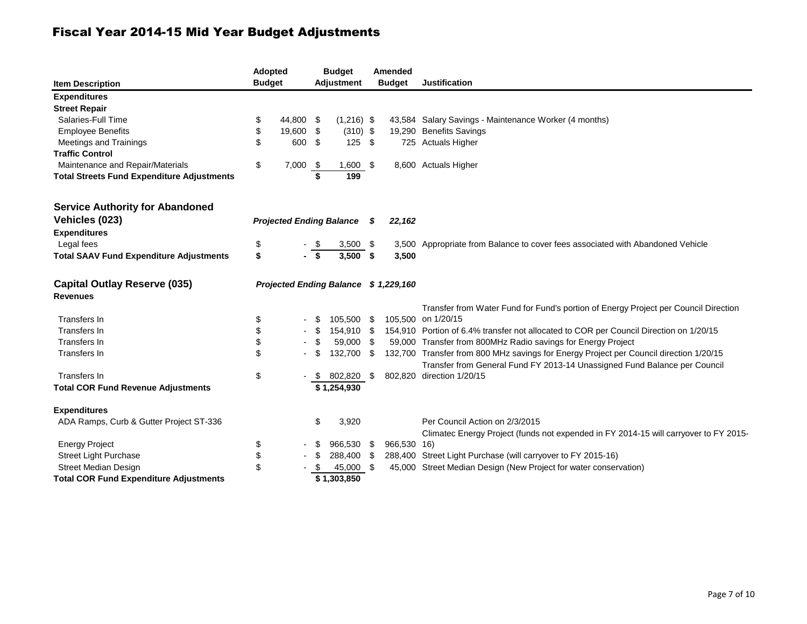| <b>Item Description</b>                                | <b>Adopted</b><br><b>Budget</b> |                                 |      | <b>Budget</b><br><b>Adjustment</b>    |      | Amended<br><b>Budget</b> | <b>Justification</b>                                                                   |
|--------------------------------------------------------|---------------------------------|---------------------------------|------|---------------------------------------|------|--------------------------|----------------------------------------------------------------------------------------|
| <b>Expenditures</b>                                    |                                 |                                 |      |                                       |      |                          |                                                                                        |
| <b>Street Repair</b>                                   |                                 |                                 |      |                                       |      |                          |                                                                                        |
| Salaries-Full Time                                     | \$                              | 44,800                          | -\$  | $(1,216)$ \$                          |      |                          | 43,584 Salary Savings - Maintenance Worker (4 months)                                  |
| <b>Employee Benefits</b>                               | \$                              | 19,600                          | \$   | $(310)$ \$                            |      |                          | 19,290 Benefits Savings                                                                |
| Meetings and Trainings                                 | \$                              | 600 \$                          |      | $125 - $$                             |      |                          | 725 Actuals Higher                                                                     |
| <b>Traffic Control</b>                                 |                                 |                                 |      |                                       |      |                          |                                                                                        |
| Maintenance and Repair/Materials                       | \$                              | 7,000                           | - \$ | 1,600 \$                              |      |                          | 8,600 Actuals Higher                                                                   |
| <b>Total Streets Fund Expenditure Adjustments</b>      |                                 |                                 | \$   | 199                                   |      |                          |                                                                                        |
| <b>Service Authority for Abandoned</b>                 |                                 |                                 |      |                                       |      |                          |                                                                                        |
| Vehicles (023)                                         |                                 | <b>Projected Ending Balance</b> |      |                                       | S    | 22,162                   |                                                                                        |
| <b>Expenditures</b>                                    |                                 |                                 |      |                                       |      |                          |                                                                                        |
| Legal fees                                             | \$                              |                                 |      | $3,500$ \$                            |      |                          | 3,500 Appropriate from Balance to cover fees associated with Abandoned Vehicle         |
| <b>Total SAAV Fund Expenditure Adjustments</b>         | \$                              |                                 |      | 3,500                                 | \$   | 3,500                    |                                                                                        |
| <b>Capital Outlay Reserve (035)</b><br><b>Revenues</b> |                                 |                                 |      | Projected Ending Balance \$ 1,229,160 |      |                          |                                                                                        |
|                                                        |                                 |                                 |      |                                       |      |                          | Transfer from Water Fund for Fund's portion of Energy Project per Council Direction    |
| Transfers In                                           | \$                              |                                 |      | 105,500 \$                            |      |                          | 105,500 on 1/20/15                                                                     |
| Transfers In                                           | \$                              |                                 |      | 154,910 \$                            |      |                          | 154,910 Portion of 6.4% transfer not allocated to COR per Council Direction on 1/20/15 |
| Transfers In                                           | \$                              |                                 |      | 59,000                                | - \$ |                          | 59,000 Transfer from 800MHz Radio savings for Energy Project                           |
| Transfers In                                           | \$                              |                                 |      | 132.700                               | \$   |                          | 132,700 Transfer from 800 MHz savings for Energy Project per Council direction 1/20/15 |
|                                                        |                                 |                                 |      |                                       |      |                          | Transfer from General Fund FY 2013-14 Unassigned Fund Balance per Council              |
| Transfers In                                           | \$                              |                                 | - \$ | 802,820 \$                            |      |                          | 802,820 direction 1/20/15                                                              |
| <b>Total COR Fund Revenue Adjustments</b>              |                                 |                                 |      | \$1,254,930                           |      |                          |                                                                                        |
| <b>Expenditures</b>                                    |                                 |                                 |      |                                       |      |                          |                                                                                        |
| ADA Ramps, Curb & Gutter Project ST-336                |                                 |                                 | \$   | 3,920                                 |      |                          | Per Council Action on 2/3/2015                                                         |
|                                                        |                                 |                                 |      |                                       |      |                          | Climatec Energy Project (funds not expended in FY 2014-15 will carryover to FY 2015-   |
| <b>Energy Project</b>                                  | \$                              |                                 |      | 966,530                               | \$   | 966,530 16)              |                                                                                        |
| <b>Street Light Purchase</b>                           | \$                              |                                 | \$   | 288,400                               | \$   |                          | 288,400 Street Light Purchase (will carryover to FY 2015-16)                           |
| <b>Street Median Design</b>                            | \$                              |                                 |      | 45,000                                | \$   |                          | 45,000 Street Median Design (New Project for water conservation)                       |
| <b>Total COR Fund Expenditure Adjustments</b>          |                                 |                                 |      | \$1,303,850                           |      |                          |                                                                                        |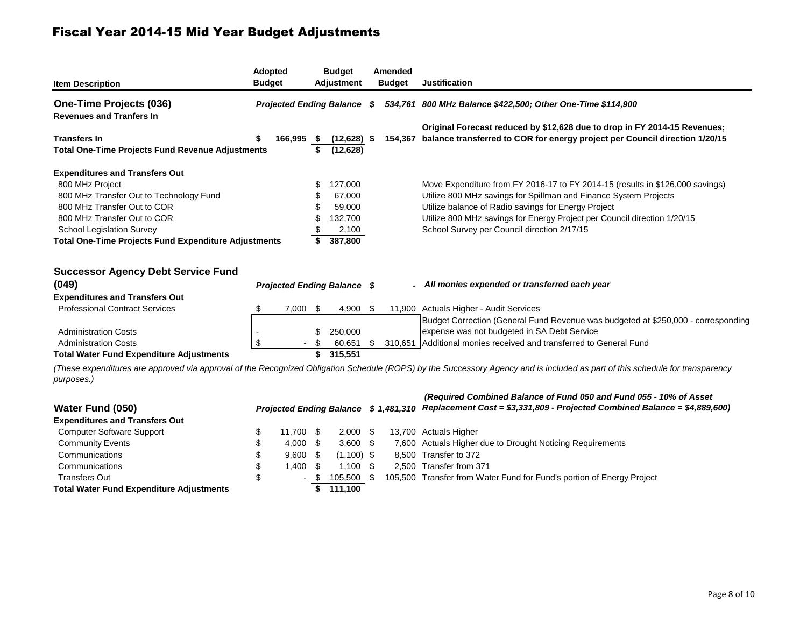| <b>Item Description</b>                                     | <b>Budget</b>                      | Adopted    |      | <b>Budget</b><br>Adjustment                                 |     | Amended<br><b>Budget</b> | <b>Justification</b>                                                                                                                                                          |
|-------------------------------------------------------------|------------------------------------|------------|------|-------------------------------------------------------------|-----|--------------------------|-------------------------------------------------------------------------------------------------------------------------------------------------------------------------------|
| One-Time Projects (036)                                     | <b>Projected Ending Balance \$</b> |            |      | 534,761 800 MHz Balance \$422,500; Other One-Time \$114,900 |     |                          |                                                                                                                                                                               |
| <b>Revenues and Tranfers In</b>                             |                                    |            |      |                                                             |     |                          |                                                                                                                                                                               |
| <b>Transfers In</b>                                         | \$                                 | 166,995 \$ |      | $(12,628)$ \$                                               |     |                          | Original Forecast reduced by \$12,628 due to drop in FY 2014-15 Revenues;<br>154,367 balance transferred to COR for energy project per Council direction 1/20/15              |
| <b>Total One-Time Projects Fund Revenue Adjustments</b>     |                                    |            | \$   | (12, 628)                                                   |     |                          |                                                                                                                                                                               |
| <b>Expenditures and Transfers Out</b>                       |                                    |            |      |                                                             |     |                          |                                                                                                                                                                               |
| 800 MHz Project                                             |                                    |            | S    | 127,000                                                     |     |                          | Move Expenditure from FY 2016-17 to FY 2014-15 (results in \$126,000 savings)                                                                                                 |
| 800 MHz Transfer Out to Technology Fund                     |                                    |            |      | 67,000                                                      |     |                          | Utilize 800 MHz savings for Spillman and Finance System Projects                                                                                                              |
| 800 MHz Transfer Out to COR                                 |                                    |            |      | 59,000                                                      |     |                          | Utilize balance of Radio savings for Energy Project                                                                                                                           |
| 800 MHz Transfer Out to COR                                 |                                    |            |      | 132,700                                                     |     |                          | Utilize 800 MHz savings for Energy Project per Council direction 1/20/15                                                                                                      |
| School Legislation Survey                                   |                                    |            |      | 2,100                                                       |     |                          | School Survey per Council direction 2/17/15                                                                                                                                   |
| <b>Total One-Time Projects Fund Expenditure Adjustments</b> |                                    |            |      | 387,800                                                     |     |                          |                                                                                                                                                                               |
|                                                             |                                    |            |      |                                                             |     |                          |                                                                                                                                                                               |
|                                                             |                                    |            |      |                                                             |     |                          |                                                                                                                                                                               |
| <b>Successor Agency Debt Service Fund</b>                   |                                    |            |      |                                                             |     |                          |                                                                                                                                                                               |
| (049)                                                       |                                    |            |      | <b>Projected Ending Balance \$</b>                          |     |                          | - All monies expended or transferred each year                                                                                                                                |
| <b>Expenditures and Transfers Out</b>                       |                                    |            |      |                                                             |     |                          |                                                                                                                                                                               |
| <b>Professional Contract Services</b>                       | \$                                 | 7,000      | -\$  | 4,900 \$                                                    |     |                          | 11,900 Actuals Higher - Audit Services                                                                                                                                        |
|                                                             |                                    |            |      |                                                             |     |                          | Budget Correction (General Fund Revenue was budgeted at \$250,000 - corresponding                                                                                             |
| <b>Administration Costs</b>                                 |                                    |            | \$   | 250,000                                                     |     |                          | expense was not budgeted in SA Debt Service                                                                                                                                   |
| <b>Administration Costs</b>                                 | \$                                 |            | -\$  | 60,651                                                      | \$  |                          | 310,651 Additional monies received and transferred to General Fund                                                                                                            |
| <b>Total Water Fund Expenditure Adjustments</b>             |                                    |            | \$   | 315,551                                                     |     |                          |                                                                                                                                                                               |
| purposes.)                                                  |                                    |            |      |                                                             |     |                          | (These expenditures are approved via approval of the Recognized Obligation Schedule (ROPS) by the Successory Agency and is included as part of this schedule for transparency |
|                                                             |                                    |            |      |                                                             |     |                          | (Required Combined Balance of Fund 050 and Fund 055 - 10% of Asset                                                                                                            |
| Water Fund (050)                                            |                                    |            |      |                                                             |     |                          | Projected Ending Balance \$1,481,310 Replacement Cost = \$3,331,809 - Projected Combined Balance = \$4,889,600)                                                               |
| <b>Expenditures and Transfers Out</b>                       |                                    |            |      |                                                             |     |                          |                                                                                                                                                                               |
| <b>Computer Software Support</b>                            | \$                                 | 11,700     | - \$ | $2,000$ \$                                                  |     |                          | 13,700 Actuals Higher                                                                                                                                                         |
| <b>Community Events</b>                                     | \$                                 | $4,000$ \$ |      | $3,600$ \$                                                  |     |                          | 7,600 Actuals Higher due to Drought Noticing Requirements                                                                                                                     |
| Communications                                              | \$                                 | $9,600$ \$ |      | $(1,100)$ \$                                                |     |                          | 8,500 Transfer to 372                                                                                                                                                         |
| Communications                                              | \$                                 | 1,400      | - \$ | $1,100$ \$                                                  |     |                          | 2.500 Transfer from 371                                                                                                                                                       |
| <b>Transfers Out</b>                                        | \$                                 |            | \$   | 105,500                                                     | -\$ |                          | 105,500 Transfer from Water Fund for Fund's portion of Energy Project                                                                                                         |
| <b>Total Water Fund Expenditure Adjustments</b>             |                                    |            | \$   | 111,100                                                     |     |                          |                                                                                                                                                                               |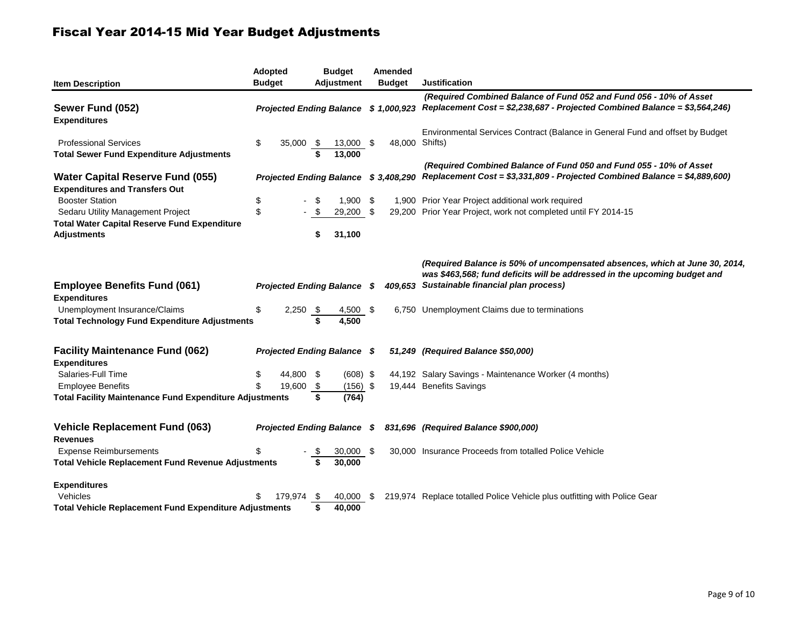| <b>Item Description</b>                                                               | <b>Adopted</b><br><b>Budget</b> |           |                  | <b>Budget</b><br><b>Adjustment</b>   |      | Amended<br><b>Budget</b> | <b>Justification</b>                                                                                                                                                                                    |
|---------------------------------------------------------------------------------------|---------------------------------|-----------|------------------|--------------------------------------|------|--------------------------|---------------------------------------------------------------------------------------------------------------------------------------------------------------------------------------------------------|
| Sewer Fund (052)<br><b>Expenditures</b>                                               |                                 |           |                  |                                      |      |                          | (Required Combined Balance of Fund 052 and Fund 056 - 10% of Asset<br>Projected Ending Balance \$ 1,000,923 Replacement Cost = \$2,238,687 - Projected Combined Balance = \$3,564,246)                  |
|                                                                                       |                                 |           |                  |                                      |      |                          | Environmental Services Contract (Balance in General Fund and offset by Budget                                                                                                                           |
| <b>Professional Services</b>                                                          | \$                              | 35,000    | - \$             | 13,000 \$                            |      | 48,000 Shifts)           |                                                                                                                                                                                                         |
| <b>Total Sewer Fund Expenditure Adjustments</b>                                       |                                 |           |                  | 13,000                               |      |                          |                                                                                                                                                                                                         |
| <b>Water Capital Reserve Fund (055)</b>                                               |                                 |           |                  | Projected Ending Balance \$3,408,290 |      |                          | (Required Combined Balance of Fund 050 and Fund 055 - 10% of Asset<br>Replacement Cost = \$3,331,809 - Projected Combined Balance = \$4,889,600)                                                        |
| <b>Expenditures and Transfers Out</b>                                                 |                                 |           |                  |                                      |      |                          |                                                                                                                                                                                                         |
| <b>Booster Station</b>                                                                | \$                              |           |                  | $1,900$ \$                           |      |                          | 1,900 Prior Year Project additional work required                                                                                                                                                       |
| Sedaru Utility Management Project                                                     | \$                              |           |                  | 29,200 \$                            |      |                          | 29,200 Prior Year Project, work not completed until FY 2014-15                                                                                                                                          |
| <b>Total Water Capital Reserve Fund Expenditure</b>                                   |                                 |           |                  |                                      |      |                          |                                                                                                                                                                                                         |
| Adjustments                                                                           |                                 |           |                  | 31,100                               |      |                          |                                                                                                                                                                                                         |
| <b>Employee Benefits Fund (061)</b>                                                   |                                 |           |                  | <b>Projected Ending Balance</b>      | - \$ |                          | (Required Balance is 50% of uncompensated absences, which at June 30, 2014,<br>was \$463,568; fund deficits will be addressed in the upcoming budget and<br>409.653 Sustainable financial plan process) |
| <b>Expenditures</b>                                                                   |                                 |           |                  |                                      |      |                          |                                                                                                                                                                                                         |
| Unemployment Insurance/Claims<br><b>Total Technology Fund Expenditure Adjustments</b> | \$                              | 2,250     | <u>_\$</u><br>\$ | 4,500 \$<br>4,500                    |      |                          | 6,750 Unemployment Claims due to terminations                                                                                                                                                           |
|                                                                                       |                                 |           |                  |                                      |      |                          |                                                                                                                                                                                                         |
| <b>Facility Maintenance Fund (062)</b><br><b>Expenditures</b>                         |                                 |           |                  | <b>Projected Ending Balance \$</b>   |      |                          | 51,249 (Required Balance \$50,000)                                                                                                                                                                      |
| Salaries-Full Time                                                                    | \$                              | 44,800 \$ |                  | $(608)$ \$                           |      |                          | 44,192 Salary Savings - Maintenance Worker (4 months)                                                                                                                                                   |
| <b>Employee Benefits</b>                                                              | \$                              | 19,600    | - \$             | $(156)$ \$                           |      |                          | 19,444 Benefits Savings                                                                                                                                                                                 |
| <b>Total Facility Maintenance Fund Expenditure Adjustments</b>                        |                                 |           | \$               | (764)                                |      |                          |                                                                                                                                                                                                         |
| <b>Vehicle Replacement Fund (063)</b>                                                 |                                 |           |                  | <b>Projected Ending Balance \$</b>   |      |                          | 831,696 (Required Balance \$900,000)                                                                                                                                                                    |
| <b>Revenues</b>                                                                       |                                 |           |                  |                                      |      |                          |                                                                                                                                                                                                         |
| <b>Expense Reimbursements</b>                                                         | \$                              |           |                  | $30,000$ \$                          |      |                          | 30,000 Insurance Proceeds from totalled Police Vehicle                                                                                                                                                  |
| <b>Total Vehicle Replacement Fund Revenue Adjustments</b>                             |                                 |           |                  | 30,000                               |      |                          |                                                                                                                                                                                                         |
| <b>Expenditures</b>                                                                   |                                 |           |                  |                                      |      |                          |                                                                                                                                                                                                         |
| Vehicles                                                                              | \$                              | 179.974   | \$               | 40,000                               | S.   |                          | 219,974 Replace totalled Police Vehicle plus outfitting with Police Gear                                                                                                                                |
| <b>Total Vehicle Replacement Fund Expenditure Adjustments</b>                         |                                 |           | \$               | 40,000                               |      |                          |                                                                                                                                                                                                         |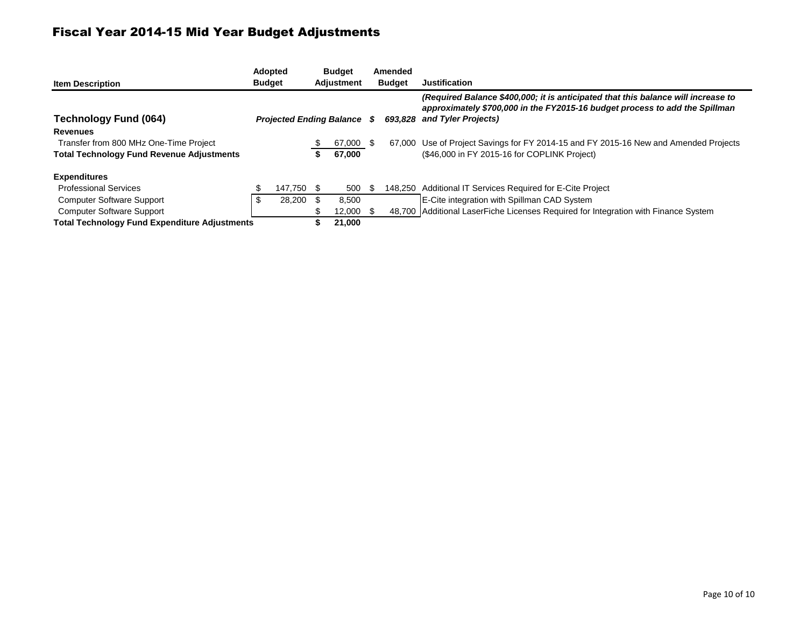| <b>Item Description</b>                              |    | <b>Adopted</b><br><b>Budget</b> | <b>Budget</b><br><b>Adjustment</b> |      | Amended<br><b>Budget</b> | <b>Justification</b>                                                                                                                                                                            |
|------------------------------------------------------|----|---------------------------------|------------------------------------|------|--------------------------|-------------------------------------------------------------------------------------------------------------------------------------------------------------------------------------------------|
| <b>Technology Fund (064)</b>                         |    | <b>Projected Ending Balance</b> |                                    | S.   |                          | (Required Balance \$400,000; it is anticipated that this balance will increase to<br>approximately \$700,000 in the FY2015-16 budget process to add the Spillman<br>693,828 and Tyler Projects) |
| <b>Revenues</b>                                      |    |                                 |                                    |      |                          |                                                                                                                                                                                                 |
| Transfer from 800 MHz One-Time Project               |    |                                 | 67,000                             | - 95 |                          | 67,000 Use of Project Savings for FY 2014-15 and FY 2015-16 New and Amended Projects                                                                                                            |
| <b>Total Technology Fund Revenue Adjustments</b>     |    |                                 | 67.000                             |      |                          | (\$46,000 in FY 2015-16 for COPLINK Project)                                                                                                                                                    |
| <b>Expenditures</b>                                  |    |                                 |                                    |      |                          |                                                                                                                                                                                                 |
| <b>Professional Services</b>                         |    | 147.750 \$                      | 500                                |      |                          | 148,250 Additional IT Services Required for E-Cite Project                                                                                                                                      |
| <b>Computer Software Support</b>                     | S. | 28,200                          | 8,500                              |      |                          | E-Cite integration with Spillman CAD System                                                                                                                                                     |
| <b>Computer Software Support</b>                     |    |                                 | 12,000                             |      |                          | 48,700 Additional LaserFiche Licenses Required for Integration with Finance System                                                                                                              |
| <b>Total Technology Fund Expenditure Adjustments</b> |    |                                 | 21,000                             |      |                          |                                                                                                                                                                                                 |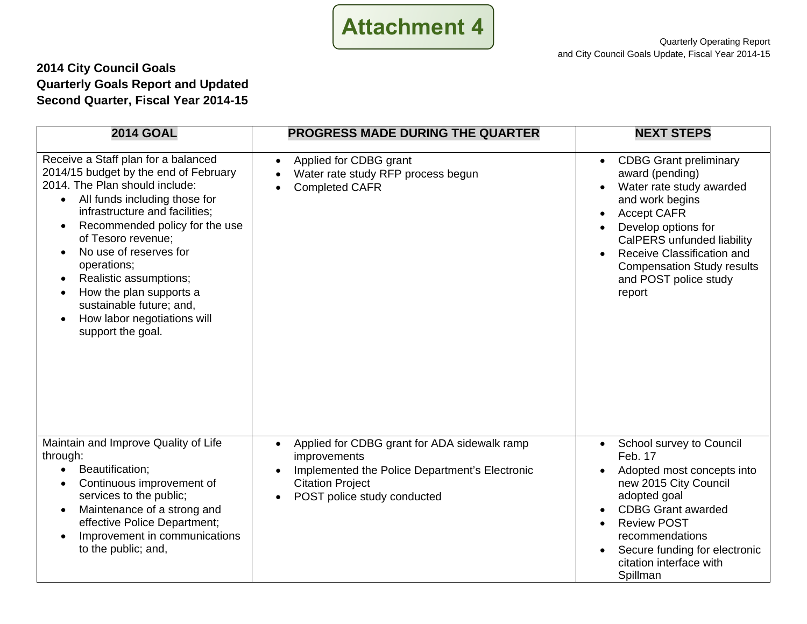

### **2014 City Council Goals Quarterly Goals Report and Updated Second Quarter, Fiscal Year 2014-15**

| <b>2014 GOAL</b>                                                                                                                                                                                                                                                                                                                                                                                                                                                                         | <b>PROGRESS MADE DURING THE QUARTER</b>                                                                                                                                                                         | <b>NEXT STEPS</b>                                                                                                                                                                                                                                                                             |
|------------------------------------------------------------------------------------------------------------------------------------------------------------------------------------------------------------------------------------------------------------------------------------------------------------------------------------------------------------------------------------------------------------------------------------------------------------------------------------------|-----------------------------------------------------------------------------------------------------------------------------------------------------------------------------------------------------------------|-----------------------------------------------------------------------------------------------------------------------------------------------------------------------------------------------------------------------------------------------------------------------------------------------|
| Receive a Staff plan for a balanced<br>2014/15 budget by the end of February<br>2014. The Plan should include:<br>All funds including those for<br>infrastructure and facilities;<br>Recommended policy for the use<br>$\bullet$<br>of Tesoro revenue;<br>No use of reserves for<br>$\bullet$<br>operations;<br>Realistic assumptions;<br>$\bullet$<br>How the plan supports a<br>$\bullet$<br>sustainable future; and,<br>How labor negotiations will<br>$\bullet$<br>support the goal. | Applied for CDBG grant<br>$\bullet$<br>Water rate study RFP process begun<br>$\bullet$<br><b>Completed CAFR</b><br>$\bullet$                                                                                    | <b>CDBG Grant preliminary</b><br>$\bullet$<br>award (pending)<br>Water rate study awarded<br>and work begins<br><b>Accept CAFR</b><br>Develop options for<br>CalPERS unfunded liability<br>Receive Classification and<br><b>Compensation Study results</b><br>and POST police study<br>report |
| Maintain and Improve Quality of Life<br>through:<br>Beautification;<br>$\bullet$<br>Continuous improvement of<br>$\bullet$<br>services to the public;<br>Maintenance of a strong and<br>$\bullet$<br>effective Police Department;<br>Improvement in communications<br>$\bullet$<br>to the public; and,                                                                                                                                                                                   | Applied for CDBG grant for ADA sidewalk ramp<br>$\bullet$<br>improvements<br>Implemented the Police Department's Electronic<br>$\bullet$<br><b>Citation Project</b><br>POST police study conducted<br>$\bullet$ | School survey to Council<br>$\bullet$<br>Feb. 17<br>Adopted most concepts into<br>new 2015 City Council<br>adopted goal<br><b>CDBG Grant awarded</b><br><b>Review POST</b><br>recommendations<br>Secure funding for electronic<br>$\bullet$<br>citation interface with<br>Spillman            |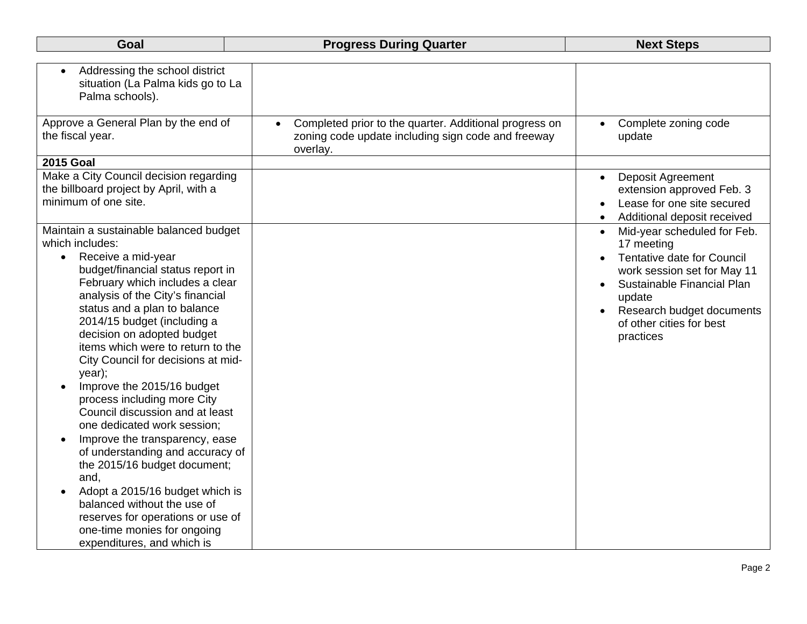| Goal                                                                                                                                                                                                                                                                                                                                                                                                                                                                                                                                                                                                                                                                                                                                                                                                                                  | <b>Progress During Quarter</b>                                                                                                        | <b>Next Steps</b>                                                                                                                                                                                                                                                  |
|---------------------------------------------------------------------------------------------------------------------------------------------------------------------------------------------------------------------------------------------------------------------------------------------------------------------------------------------------------------------------------------------------------------------------------------------------------------------------------------------------------------------------------------------------------------------------------------------------------------------------------------------------------------------------------------------------------------------------------------------------------------------------------------------------------------------------------------|---------------------------------------------------------------------------------------------------------------------------------------|--------------------------------------------------------------------------------------------------------------------------------------------------------------------------------------------------------------------------------------------------------------------|
| Addressing the school district<br>situation (La Palma kids go to La<br>Palma schools).                                                                                                                                                                                                                                                                                                                                                                                                                                                                                                                                                                                                                                                                                                                                                |                                                                                                                                       |                                                                                                                                                                                                                                                                    |
| Approve a General Plan by the end of<br>the fiscal year.                                                                                                                                                                                                                                                                                                                                                                                                                                                                                                                                                                                                                                                                                                                                                                              | Completed prior to the quarter. Additional progress on<br>$\bullet$<br>zoning code update including sign code and freeway<br>overlay. | Complete zoning code<br>update                                                                                                                                                                                                                                     |
| <b>2015 Goal</b>                                                                                                                                                                                                                                                                                                                                                                                                                                                                                                                                                                                                                                                                                                                                                                                                                      |                                                                                                                                       |                                                                                                                                                                                                                                                                    |
| Make a City Council decision regarding<br>the billboard project by April, with a<br>minimum of one site.                                                                                                                                                                                                                                                                                                                                                                                                                                                                                                                                                                                                                                                                                                                              |                                                                                                                                       | <b>Deposit Agreement</b><br>$\bullet$<br>extension approved Feb. 3<br>Lease for one site secured<br>Additional deposit received<br>$\bullet$                                                                                                                       |
| Maintain a sustainable balanced budget<br>which includes:<br>Receive a mid-year<br>$\bullet$<br>budget/financial status report in<br>February which includes a clear<br>analysis of the City's financial<br>status and a plan to balance<br>2014/15 budget (including a<br>decision on adopted budget<br>items which were to return to the<br>City Council for decisions at mid-<br>year);<br>Improve the 2015/16 budget<br>process including more City<br>Council discussion and at least<br>one dedicated work session;<br>Improve the transparency, ease<br>$\bullet$<br>of understanding and accuracy of<br>the 2015/16 budget document;<br>and,<br>Adopt a 2015/16 budget which is<br>$\bullet$<br>balanced without the use of<br>reserves for operations or use of<br>one-time monies for ongoing<br>expenditures, and which is |                                                                                                                                       | Mid-year scheduled for Feb.<br>$\bullet$<br>17 meeting<br><b>Tentative date for Council</b><br>$\bullet$<br>work session set for May 11<br>Sustainable Financial Plan<br>$\bullet$<br>update<br>Research budget documents<br>of other cities for best<br>practices |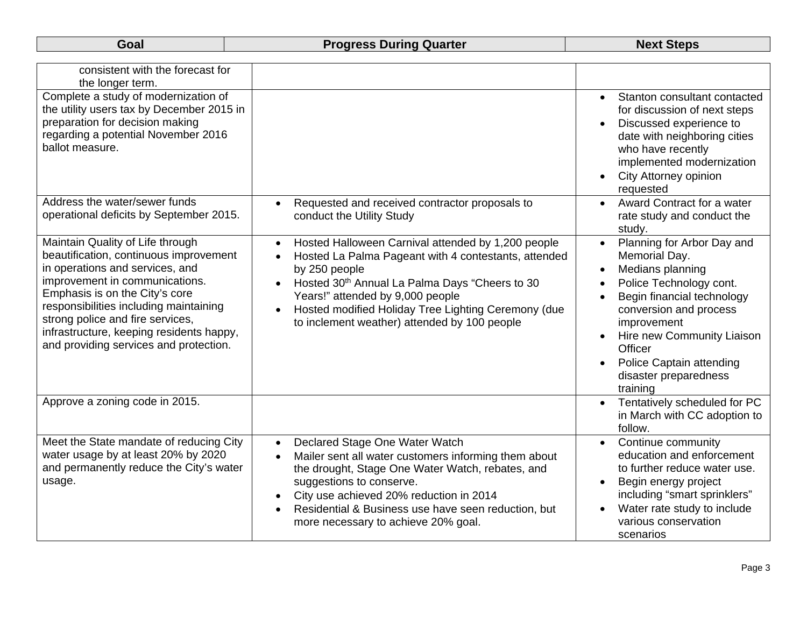| consistent with the forecast for<br>the longer term.                                                                                                                                                                                                                                                                                                  |                                                                                                                                                                                                                                                                                                                                                                              |                                                                                                                                                                                                                                                                                                                    |
|-------------------------------------------------------------------------------------------------------------------------------------------------------------------------------------------------------------------------------------------------------------------------------------------------------------------------------------------------------|------------------------------------------------------------------------------------------------------------------------------------------------------------------------------------------------------------------------------------------------------------------------------------------------------------------------------------------------------------------------------|--------------------------------------------------------------------------------------------------------------------------------------------------------------------------------------------------------------------------------------------------------------------------------------------------------------------|
| Complete a study of modernization of<br>the utility users tax by December 2015 in<br>preparation for decision making<br>regarding a potential November 2016<br>ballot measure.                                                                                                                                                                        |                                                                                                                                                                                                                                                                                                                                                                              | Stanton consultant contacted<br>$\bullet$<br>for discussion of next steps<br>Discussed experience to<br>date with neighboring cities<br>who have recently<br>implemented modernization<br>City Attorney opinion<br>requested                                                                                       |
| Address the water/sewer funds<br>operational deficits by September 2015.                                                                                                                                                                                                                                                                              | Requested and received contractor proposals to<br>$\bullet$<br>conduct the Utility Study                                                                                                                                                                                                                                                                                     | Award Contract for a water<br>rate study and conduct the<br>study.                                                                                                                                                                                                                                                 |
| Maintain Quality of Life through<br>beautification, continuous improvement<br>in operations and services, and<br>improvement in communications.<br>Emphasis is on the City's core<br>responsibilities including maintaining<br>strong police and fire services,<br>infrastructure, keeping residents happy,<br>and providing services and protection. | Hosted Halloween Carnival attended by 1,200 people<br>$\bullet$<br>Hosted La Palma Pageant with 4 contestants, attended<br>$\bullet$<br>by 250 people<br>Hosted 30th Annual La Palma Days "Cheers to 30<br>$\bullet$<br>Years!" attended by 9,000 people<br>Hosted modified Holiday Tree Lighting Ceremony (due<br>$\bullet$<br>to inclement weather) attended by 100 people | Planning for Arbor Day and<br>$\bullet$<br>Memorial Day.<br>Medians planning<br>$\bullet$<br>Police Technology cont.<br>$\bullet$<br>Begin financial technology<br>conversion and process<br>improvement<br>Hire new Community Liaison<br>Officer<br>Police Captain attending<br>disaster preparedness<br>training |
| Approve a zoning code in 2015.                                                                                                                                                                                                                                                                                                                        |                                                                                                                                                                                                                                                                                                                                                                              | Tentatively scheduled for PC<br>$\bullet$<br>in March with CC adoption to<br>follow.                                                                                                                                                                                                                               |
| Meet the State mandate of reducing City<br>water usage by at least 20% by 2020<br>and permanently reduce the City's water<br>usage.                                                                                                                                                                                                                   | Declared Stage One Water Watch<br>$\bullet$<br>Mailer sent all water customers informing them about<br>$\bullet$<br>the drought, Stage One Water Watch, rebates, and<br>suggestions to conserve.<br>City use achieved 20% reduction in 2014<br>$\bullet$<br>Residential & Business use have seen reduction, but<br>$\bullet$<br>more necessary to achieve 20% goal.          | Continue community<br>$\bullet$<br>education and enforcement<br>to further reduce water use.<br>Begin energy project<br>$\bullet$<br>including "smart sprinklers"<br>Water rate study to include<br>various conservation<br>scenarios                                                                              |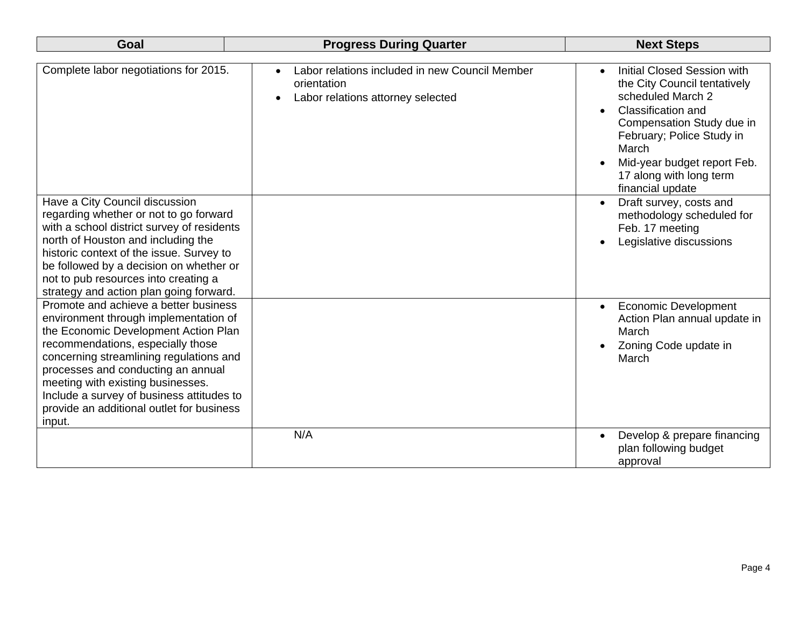| Goal                                                                                                                                                                                                                                                                                                                                                                                  | <b>Progress During Quarter</b>                                                                                  | <b>Next Steps</b>                                                                                                                                                                                                                                                     |  |  |  |
|---------------------------------------------------------------------------------------------------------------------------------------------------------------------------------------------------------------------------------------------------------------------------------------------------------------------------------------------------------------------------------------|-----------------------------------------------------------------------------------------------------------------|-----------------------------------------------------------------------------------------------------------------------------------------------------------------------------------------------------------------------------------------------------------------------|--|--|--|
| Complete labor negotiations for 2015.                                                                                                                                                                                                                                                                                                                                                 | Labor relations included in new Council Member<br>orientation<br>Labor relations attorney selected<br>$\bullet$ | <b>Initial Closed Session with</b><br>the City Council tentatively<br>scheduled March 2<br><b>Classification and</b><br>Compensation Study due in<br>February; Police Study in<br>March<br>Mid-year budget report Feb.<br>17 along with long term<br>financial update |  |  |  |
| Have a City Council discussion<br>regarding whether or not to go forward<br>with a school district survey of residents<br>north of Houston and including the<br>historic context of the issue. Survey to<br>be followed by a decision on whether or<br>not to pub resources into creating a<br>strategy and action plan going forward.                                                |                                                                                                                 | Draft survey, costs and<br>methodology scheduled for<br>Feb. 17 meeting<br>Legislative discussions                                                                                                                                                                    |  |  |  |
| Promote and achieve a better business<br>environment through implementation of<br>the Economic Development Action Plan<br>recommendations, especially those<br>concerning streamlining regulations and<br>processes and conducting an annual<br>meeting with existing businesses.<br>Include a survey of business attitudes to<br>provide an additional outlet for business<br>input. |                                                                                                                 | <b>Economic Development</b><br>$\bullet$<br>Action Plan annual update in<br>March<br>Zoning Code update in<br>March                                                                                                                                                   |  |  |  |
|                                                                                                                                                                                                                                                                                                                                                                                       | N/A                                                                                                             | Develop & prepare financing<br>plan following budget<br>approval                                                                                                                                                                                                      |  |  |  |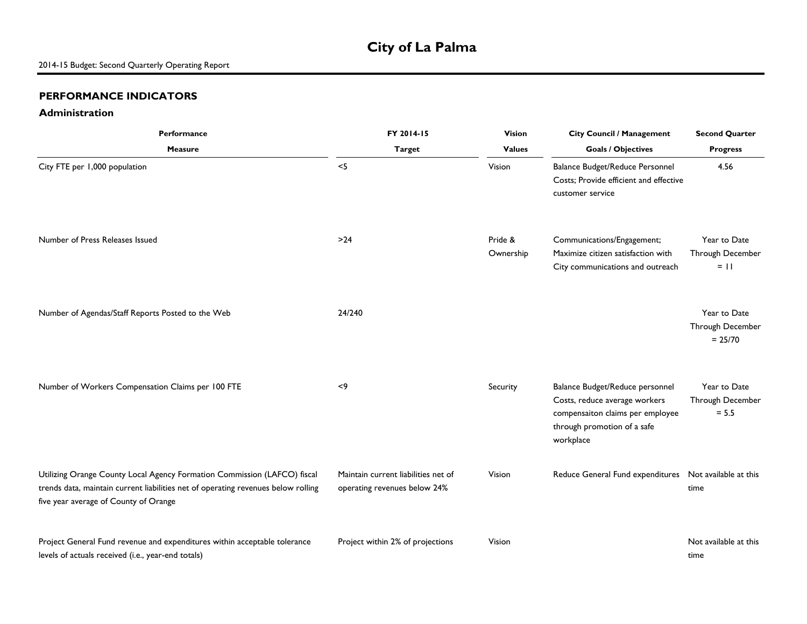## **City of La Palma**

#### **PERFORMANCE INDICATORS**

#### **Administration**

| Performance                                                                                                                                                                                            | FY 2014-15                                                          | <b>Vision</b>        | <b>City Council / Management</b>                                                                                                                 | <b>Second Quarter</b>                         |  |
|--------------------------------------------------------------------------------------------------------------------------------------------------------------------------------------------------------|---------------------------------------------------------------------|----------------------|--------------------------------------------------------------------------------------------------------------------------------------------------|-----------------------------------------------|--|
| <b>Measure</b>                                                                                                                                                                                         | <b>Target</b>                                                       | <b>Values</b>        | <b>Goals / Objectives</b>                                                                                                                        | <b>Progress</b>                               |  |
| City FTE per 1,000 population                                                                                                                                                                          | $<$ 5                                                               | Vision               | Balance Budget/Reduce Personnel<br>Costs; Provide efficient and effective<br>customer service                                                    | 4.56                                          |  |
| Number of Press Releases Issued                                                                                                                                                                        | $>24$                                                               | Pride &<br>Ownership | Communications/Engagement;<br>Maximize citizen satisfaction with<br>City communications and outreach                                             | Year to Date<br>Through December<br>$=$ 11    |  |
| Number of Agendas/Staff Reports Posted to the Web                                                                                                                                                      | 24/240                                                              |                      |                                                                                                                                                  | Year to Date<br>Through December<br>$= 25/70$ |  |
| Number of Workers Compensation Claims per 100 FTE                                                                                                                                                      | < 9                                                                 | Security             | Balance Budget/Reduce personnel<br>Costs, reduce average workers<br>compensaiton claims per employee<br>through promotion of a safe<br>workplace | Year to Date<br>Through December<br>$= 5.5$   |  |
| Utilizing Orange County Local Agency Formation Commission (LAFCO) fiscal<br>trends data, maintain current liabilities net of operating revenues below rolling<br>five year average of County of Orange | Maintain current liabilities net of<br>operating revenues below 24% | Vision               | Reduce General Fund expenditures                                                                                                                 | Not available at this<br>time                 |  |
| Project General Fund revenue and expenditures within acceptable tolerance<br>levels of actuals received (i.e., year-end totals)                                                                        | Project within 2% of projections                                    | Vision               |                                                                                                                                                  | Not available at this<br>time                 |  |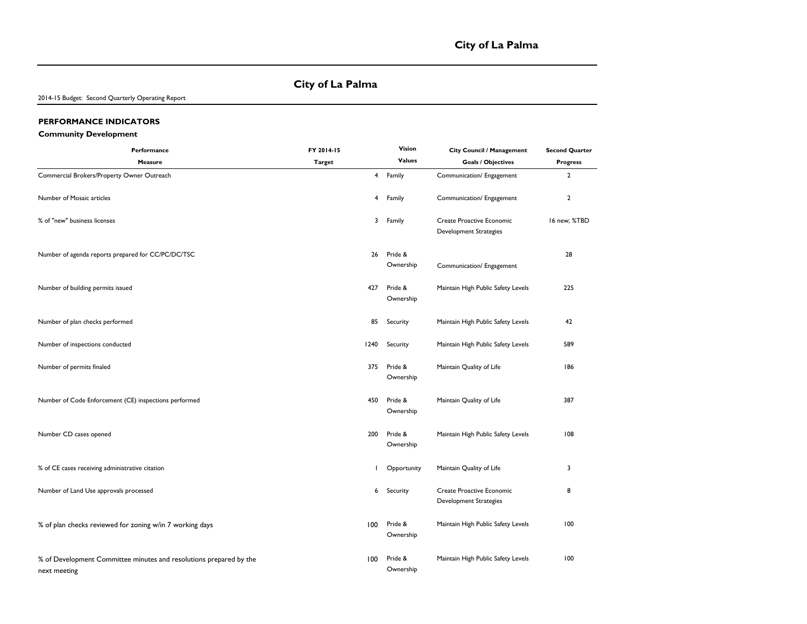#### **City of La Palma**

2014-15 Budget: Second Quarterly Operating Report

#### **PERFORMANCE INDICATORS**

#### **Community Development**

| Performance                                                                        | FY 2014-15    |                | Vision               | City Council / Management                           | <b>Second Quarter</b> |
|------------------------------------------------------------------------------------|---------------|----------------|----------------------|-----------------------------------------------------|-----------------------|
| <b>Measure</b>                                                                     | <b>Target</b> |                | <b>Values</b>        | <b>Goals / Objectives</b>                           | <b>Progress</b>       |
| Commercial Brokers/Property Owner Outreach                                         |               | $\overline{4}$ | Family               | Communication/ Engagement                           | $\overline{2}$        |
| Number of Mosaic articles                                                          |               | 4              | Family               | Communication/ Engagement                           | $\overline{2}$        |
| % of "new" business licenses                                                       |               | 3              | Family               | Create Proactive Economic<br>Development Strategies | 16 new; %TBD          |
| Number of agenda reports prepared for CC/PC/DC/TSC                                 |               | 26             | Pride &<br>Ownership | Communication/ Engagement                           | 28                    |
| Number of building permits issued                                                  |               | 427            | Pride &<br>Ownership | Maintain High Public Safety Levels                  | 225                   |
| Number of plan checks performed                                                    |               | 85             | Security             | Maintain High Public Safety Levels                  | 42                    |
| Number of inspections conducted                                                    |               | 1240           | Security             | Maintain High Public Safety Levels                  | 589                   |
| Number of permits finaled                                                          |               | 375            | Pride &<br>Ownership | Maintain Quality of Life                            | 186                   |
| Number of Code Enforcement (CE) inspections performed                              |               | 450            | Pride &<br>Ownership | Maintain Quality of Life                            | 387                   |
| Number CD cases opened                                                             |               | 200            | Pride &<br>Ownership | Maintain High Public Safety Levels                  | 108                   |
| % of CE cases receiving administrative citation                                    |               | $\mathbf{I}$   | Opportunity          | Maintain Quality of Life                            | 3                     |
| Number of Land Use approvals processed                                             |               | 6              | Security             | Create Proactive Economic<br>Development Strategies | 8                     |
| % of plan checks reviewed for zoning w/in 7 working days                           |               | 100            | Pride &<br>Ownership | Maintain High Public Safety Levels                  | 100                   |
| % of Development Committee minutes and resolutions prepared by the<br>next meeting |               | 100            | Pride &<br>Ownership | Maintain High Public Safety Levels                  | 100                   |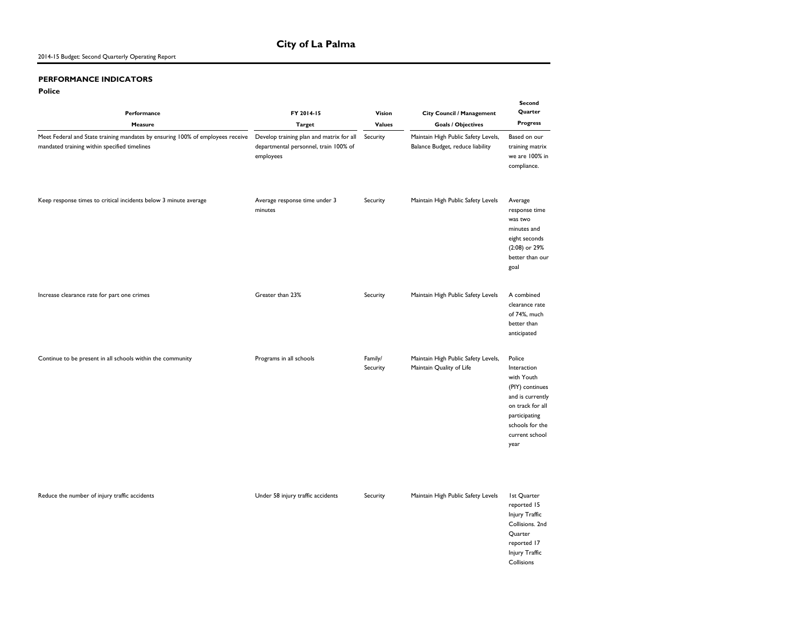#### 2014-15 Budget: Second Quarterly Operating Report

#### **PERFORMANCE INDICATORS**

#### **Police**

| Performance<br>Measure                                                                                                         | FY 2014-15<br><b>Target</b>                                                                    | Vision<br><b>Values</b> | City Council / Management<br><b>Goals / Objectives</b>                  | Second<br>Quarter<br><b>Progress</b>                                                                                                                         |  |
|--------------------------------------------------------------------------------------------------------------------------------|------------------------------------------------------------------------------------------------|-------------------------|-------------------------------------------------------------------------|--------------------------------------------------------------------------------------------------------------------------------------------------------------|--|
| Meet Federal and State training mandates by ensuring 100% of employees receive<br>mandated training within specified timelines | Develop training plan and matrix for all<br>departmental personnel, train 100% of<br>employees | Security                | Maintain High Public Safety Levels,<br>Balance Budget, reduce liability | Based on our<br>training matrix<br>we are 100% in<br>compliance.                                                                                             |  |
| Keep response times to critical incidents below 3 minute average                                                               | Average response time under 3<br>minutes                                                       | Security                | Maintain High Public Safety Levels                                      | Average<br>response time<br>was two<br>minutes and<br>eight seconds<br>(2:08) or 29%<br>better than our<br>goal                                              |  |
| Increase clearance rate for part one crimes                                                                                    | Greater than 23%                                                                               | Security                | Maintain High Public Safety Levels                                      | A combined<br>clearance rate<br>of 74%, much<br>better than<br>anticipated                                                                                   |  |
| Continue to be present in all schools within the community                                                                     | Programs in all schools                                                                        | Family/<br>Security     | Maintain High Public Safety Levels,<br>Maintain Quality of Life         | Police<br>Interaction<br>with Youth<br>(PIY) continues<br>and is currently<br>on track for all<br>participating<br>schools for the<br>current school<br>year |  |
| Reduce the number of injury traffic accidents                                                                                  | Under 58 injury traffic accidents                                                              | Security                | Maintain High Public Safety Levels                                      | 1st Quarter<br>reported 15<br>Injury Traffic<br>Collisions. 2nd<br>Quarter<br>reported 17<br>Injury Traffic<br>Collisions                                    |  |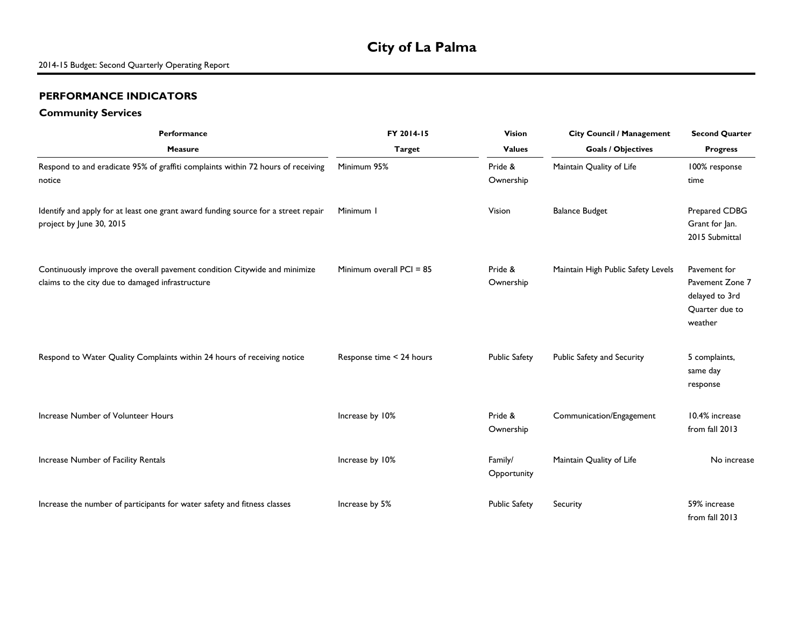## **City of La Palma**

#### **PERFORMANCE INDICATORS**

#### **Community Services**

| Performance                                                                                                                   | FY 2014-15<br>Vision       |                        | <b>City Council / Management</b>   | <b>Second Quarter</b>                                                          |  |
|-------------------------------------------------------------------------------------------------------------------------------|----------------------------|------------------------|------------------------------------|--------------------------------------------------------------------------------|--|
| <b>Measure</b>                                                                                                                | <b>Target</b>              | <b>Values</b>          | <b>Goals / Objectives</b>          | <b>Progress</b>                                                                |  |
| Respond to and eradicate 95% of graffiti complaints within 72 hours of receiving<br>notice                                    | Minimum 95%                | Pride &<br>Ownership   | Maintain Quality of Life           | 100% response<br>time                                                          |  |
| Identify and apply for at least one grant award funding source for a street repair<br>project by June 30, 2015                | Minimum I                  | Vision                 | <b>Balance Budget</b>              | Prepared CDBG<br>Grant for Jan.<br>2015 Submittal                              |  |
| Continuously improve the overall pavement condition Citywide and minimize<br>claims to the city due to damaged infrastructure | Minimum overall $PCI = 85$ | Pride &<br>Ownership   | Maintain High Public Safety Levels | Pavement for<br>Pavement Zone 7<br>delayed to 3rd<br>Quarter due to<br>weather |  |
| Respond to Water Quality Complaints within 24 hours of receiving notice                                                       | Response time < 24 hours   | <b>Public Safety</b>   | Public Safety and Security         | 5 complaints,<br>same day<br>response                                          |  |
| Increase Number of Volunteer Hours                                                                                            | Increase by 10%            | Pride &<br>Ownership   | Communication/Engagement           | 10.4% increase<br>from fall 2013                                               |  |
| Increase Number of Facility Rentals                                                                                           | Increase by 10%            | Family/<br>Opportunity | Maintain Quality of Life           | No increase                                                                    |  |
| Increase the number of participants for water safety and fitness classes                                                      | Increase by 5%             | <b>Public Safety</b>   | Security                           | 59% increase<br>from fall 2013                                                 |  |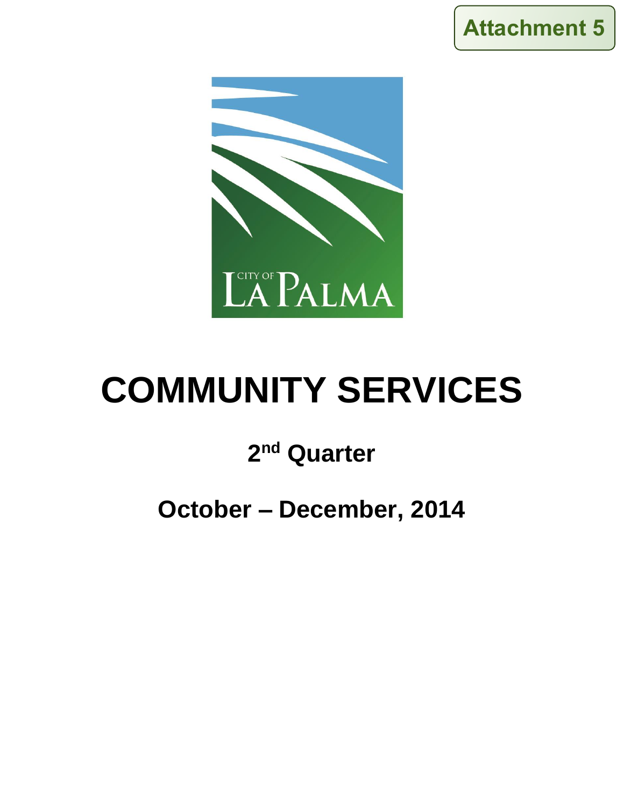



# **COMMUNITY SERVICES**

## **2 nd Quarter**

## **October – December, 2014**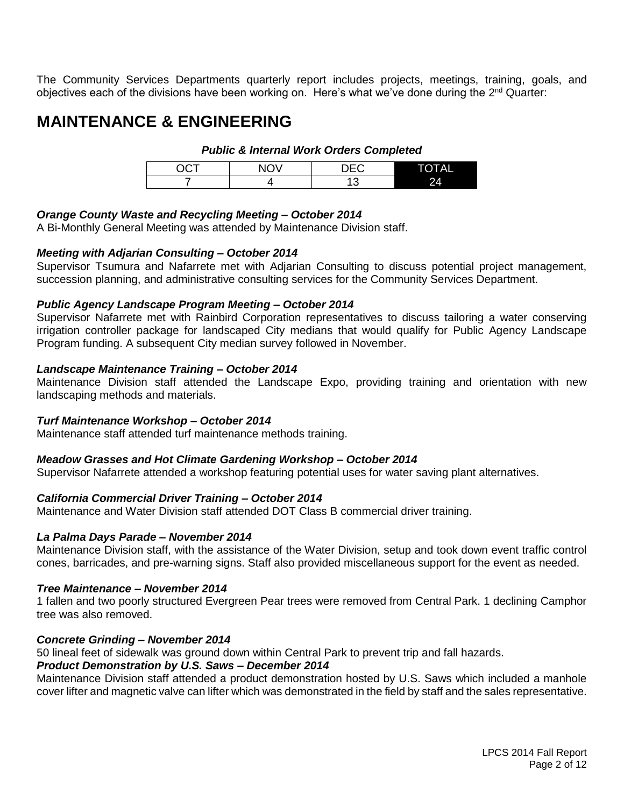The Community Services Departments quarterly report includes projects, meetings, training, goals, and objectives each of the divisions have been working on. Here's what we've done during the 2<sup>nd</sup> Quarter:

## **MAINTENANCE & ENGINEERING**

#### *Public & Internal Work Orders Completed*

| ~~~ | $\sim$ | ---<br>۱⊢<br>$\check{ }$ | <b>TAL</b> |
|-----|--------|--------------------------|------------|
|     |        | ◠<br>J                   | 24         |

#### *Orange County Waste and Recycling Meeting – October 2014*

A Bi-Monthly General Meeting was attended by Maintenance Division staff.

#### *Meeting with Adjarian Consulting – October 2014*

Supervisor Tsumura and Nafarrete met with Adjarian Consulting to discuss potential project management, succession planning, and administrative consulting services for the Community Services Department.

#### *Public Agency Landscape Program Meeting – October 2014*

Supervisor Nafarrete met with Rainbird Corporation representatives to discuss tailoring a water conserving irrigation controller package for landscaped City medians that would qualify for Public Agency Landscape Program funding. A subsequent City median survey followed in November.

#### *Landscape Maintenance Training – October 2014*

Maintenance Division staff attended the Landscape Expo, providing training and orientation with new landscaping methods and materials.

#### *Turf Maintenance Workshop – October 2014*

Maintenance staff attended turf maintenance methods training.

#### *Meadow Grasses and Hot Climate Gardening Workshop – October 2014*

Supervisor Nafarrete attended a workshop featuring potential uses for water saving plant alternatives.

#### *California Commercial Driver Training – October 2014*

Maintenance and Water Division staff attended DOT Class B commercial driver training.

#### *La Palma Days Parade – November 2014*

Maintenance Division staff, with the assistance of the Water Division, setup and took down event traffic control cones, barricades, and pre-warning signs. Staff also provided miscellaneous support for the event as needed.

#### *Tree Maintenance – November 2014*

1 fallen and two poorly structured Evergreen Pear trees were removed from Central Park. 1 declining Camphor tree was also removed.

#### *Concrete Grinding – November 2014*

50 lineal feet of sidewalk was ground down within Central Park to prevent trip and fall hazards.

#### *Product Demonstration by U.S. Saws – December 2014*

Maintenance Division staff attended a product demonstration hosted by U.S. Saws which included a manhole cover lifter and magnetic valve can lifter which was demonstrated in the field by staff and the sales representative.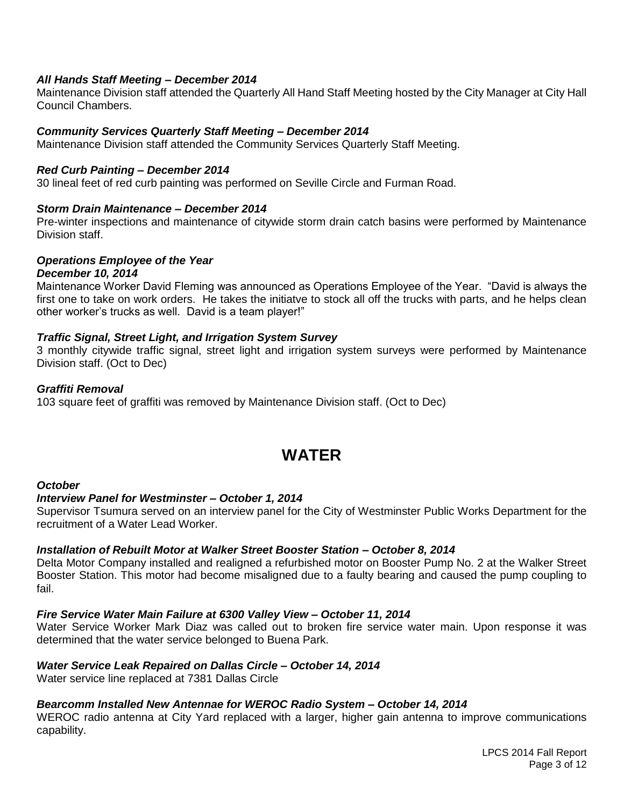#### *All Hands Staff Meeting – December 2014*

Maintenance Division staff attended the Quarterly All Hand Staff Meeting hosted by the City Manager at City Hall Council Chambers.

#### *Community Services Quarterly Staff Meeting – December 2014*

Maintenance Division staff attended the Community Services Quarterly Staff Meeting.

#### *Red Curb Painting – December 2014*

30 lineal feet of red curb painting was performed on Seville Circle and Furman Road.

#### *Storm Drain Maintenance – December 2014*

Pre-winter inspections and maintenance of citywide storm drain catch basins were performed by Maintenance Division staff.

#### *Operations Employee of the Year*

#### *December 10, 2014*

Maintenance Worker David Fleming was announced as Operations Employee of the Year. "David is always the first one to take on work orders. He takes the initiatve to stock all off the trucks with parts, and he helps clean other worker's trucks as well. David is a team player!"

#### *Traffic Signal, Street Light, and Irrigation System Survey*

3 monthly citywide traffic signal, street light and irrigation system surveys were performed by Maintenance Division staff. (Oct to Dec)

#### *Graffiti Removal*

103 square feet of graffiti was removed by Maintenance Division staff. (Oct to Dec)

## **WATER**

#### *October*

#### *Interview Panel for Westminster – October 1, 2014*

Supervisor Tsumura served on an interview panel for the City of Westminster Public Works Department for the recruitment of a Water Lead Worker.

#### *Installation of Rebuilt Motor at Walker Street Booster Station – October 8, 2014*

Delta Motor Company installed and realigned a refurbished motor on Booster Pump No. 2 at the Walker Street Booster Station. This motor had become misaligned due to a faulty bearing and caused the pump coupling to fail.

#### *Fire Service Water Main Failure at 6300 Valley View – October 11, 2014*

Water Service Worker Mark Diaz was called out to broken fire service water main. Upon response it was determined that the water service belonged to Buena Park.

#### *Water Service Leak Repaired on Dallas Circle – October 14, 2014*

Water service line replaced at 7381 Dallas Circle

#### *Bearcomm Installed New Antennae for WEROC Radio System – October 14, 2014*

WEROC radio antenna at City Yard replaced with a larger, higher gain antenna to improve communications capability.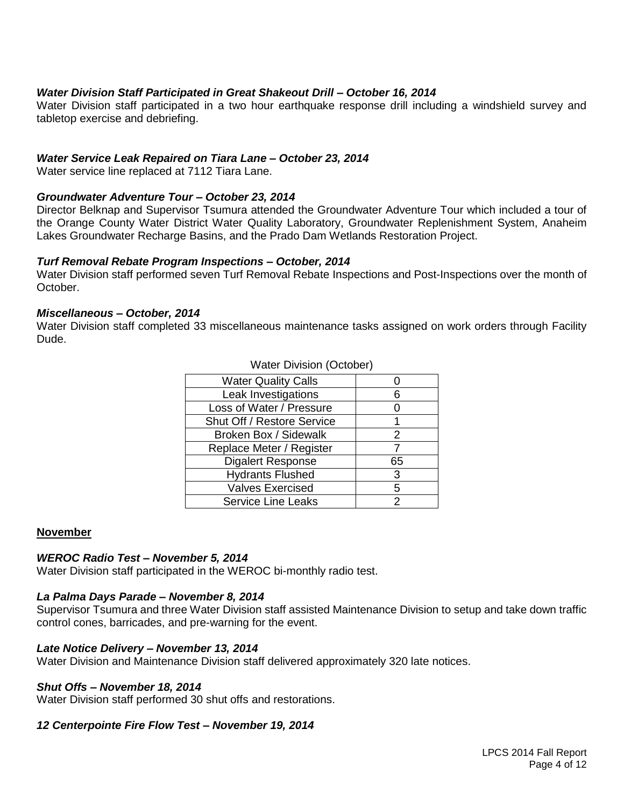#### *Water Division Staff Participated in Great Shakeout Drill – October 16, 2014*

Water Division staff participated in a two hour earthquake response drill including a windshield survey and tabletop exercise and debriefing.

#### *Water Service Leak Repaired on Tiara Lane – October 23, 2014*

Water service line replaced at 7112 Tiara Lane.

#### *Groundwater Adventure Tour – October 23, 2014*

Director Belknap and Supervisor Tsumura attended the Groundwater Adventure Tour which included a tour of the Orange County Water District Water Quality Laboratory, Groundwater Replenishment System, Anaheim Lakes Groundwater Recharge Basins, and the Prado Dam Wetlands Restoration Project.

#### *Turf Removal Rebate Program Inspections – October, 2014*

Water Division staff performed seven Turf Removal Rebate Inspections and Post-Inspections over the month of October.

#### *Miscellaneous – October, 2014*

Water Division staff completed 33 miscellaneous maintenance tasks assigned on work orders through Facility Dude.

Water Division (October)

| <b>Water Quality Calls</b> |    |
|----------------------------|----|
| Leak Investigations        | 6  |
| Loss of Water / Pressure   |    |
| Shut Off / Restore Service |    |
| Broken Box / Sidewalk      | 2  |
| Replace Meter / Register   |    |
| <b>Digalert Response</b>   | 65 |
| <b>Hydrants Flushed</b>    | 3  |
| <b>Valves Exercised</b>    | 5  |
| <b>Service Line Leaks</b>  | 2  |

#### **November**

#### *WEROC Radio Test – November 5, 2014*

Water Division staff participated in the WEROC bi-monthly radio test.

#### *La Palma Days Parade – November 8, 2014*

Supervisor Tsumura and three Water Division staff assisted Maintenance Division to setup and take down traffic control cones, barricades, and pre-warning for the event.

#### *Late Notice Delivery – November 13, 2014*

Water Division and Maintenance Division staff delivered approximately 320 late notices.

#### *Shut Offs – November 18, 2014*

Water Division staff performed 30 shut offs and restorations.

#### *12 Centerpointe Fire Flow Test – November 19, 2014*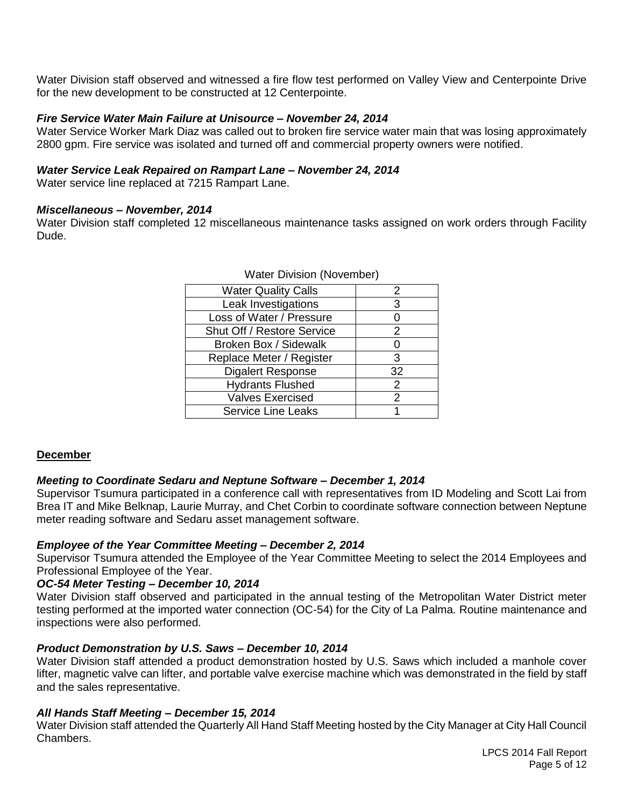Water Division staff observed and witnessed a fire flow test performed on Valley View and Centerpointe Drive for the new development to be constructed at 12 Centerpointe.

#### *Fire Service Water Main Failure at Unisource – November 24, 2014*

Water Service Worker Mark Diaz was called out to broken fire service water main that was losing approximately 2800 gpm. Fire service was isolated and turned off and commercial property owners were notified.

#### *Water Service Leak Repaired on Rampart Lane – November 24, 2014*

Water service line replaced at 7215 Rampart Lane.

#### *Miscellaneous – November, 2014*

Water Division staff completed 12 miscellaneous maintenance tasks assigned on work orders through Facility Dude.

| <b>Water Quality Calls</b> | 2  |
|----------------------------|----|
| Leak Investigations        | З  |
| Loss of Water / Pressure   |    |
| Shut Off / Restore Service | 2  |
| Broken Box / Sidewalk      |    |
| Replace Meter / Register   | 3  |
| <b>Digalert Response</b>   | 32 |
| <b>Hydrants Flushed</b>    | 2  |
| <b>Valves Exercised</b>    | 2  |
| <b>Service Line Leaks</b>  |    |

#### Water Division (November)

#### **December**

#### *Meeting to Coordinate Sedaru and Neptune Software – December 1, 2014*

Supervisor Tsumura participated in a conference call with representatives from ID Modeling and Scott Lai from Brea IT and Mike Belknap, Laurie Murray, and Chet Corbin to coordinate software connection between Neptune meter reading software and Sedaru asset management software.

#### *Employee of the Year Committee Meeting – December 2, 2014*

Supervisor Tsumura attended the Employee of the Year Committee Meeting to select the 2014 Employees and Professional Employee of the Year.

#### *OC-54 Meter Testing – December 10, 2014*

Water Division staff observed and participated in the annual testing of the Metropolitan Water District meter testing performed at the imported water connection (OC-54) for the City of La Palma. Routine maintenance and inspections were also performed.

#### *Product Demonstration by U.S. Saws – December 10, 2014*

Water Division staff attended a product demonstration hosted by U.S. Saws which included a manhole cover lifter, magnetic valve can lifter, and portable valve exercise machine which was demonstrated in the field by staff and the sales representative.

#### *All Hands Staff Meeting – December 15, 2014*

Water Division staff attended the Quarterly All Hand Staff Meeting hosted by the City Manager at City Hall Council Chambers.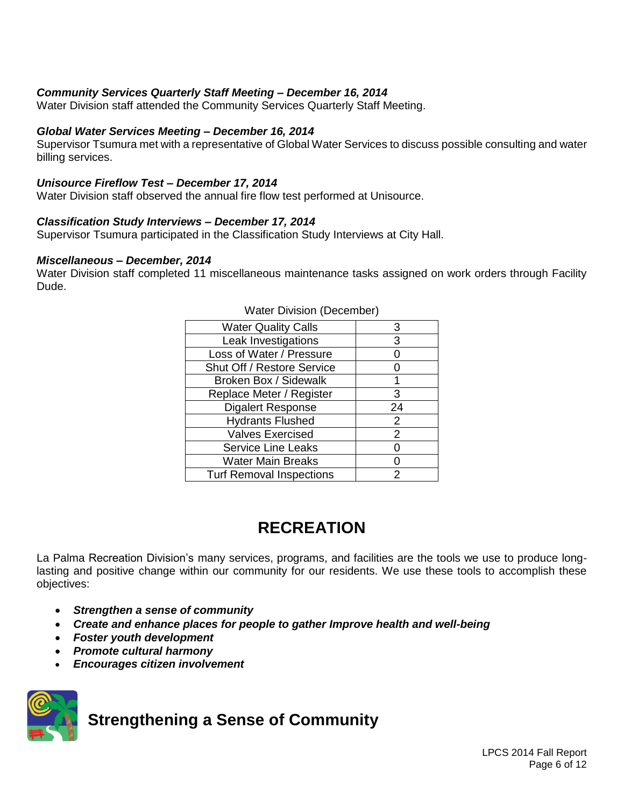#### *Community Services Quarterly Staff Meeting – December 16, 2014*

Water Division staff attended the Community Services Quarterly Staff Meeting.

#### *Global Water Services Meeting – December 16, 2014*

Supervisor Tsumura met with a representative of Global Water Services to discuss possible consulting and water billing services.

#### *Unisource Fireflow Test – December 17, 2014*

Water Division staff observed the annual fire flow test performed at Unisource.

#### *Classification Study Interviews – December 17, 2014*

Supervisor Tsumura participated in the Classification Study Interviews at City Hall.

#### *Miscellaneous – December, 2014*

Water Division staff completed 11 miscellaneous maintenance tasks assigned on work orders through Facility Dude.

| <b>Water Quality Calls</b>      | 3  |
|---------------------------------|----|
| Leak Investigations             | 3  |
| Loss of Water / Pressure        |    |
| Shut Off / Restore Service      |    |
| Broken Box / Sidewalk           |    |
| Replace Meter / Register        | 3  |
| Digalert Response               | 24 |
| <b>Hydrants Flushed</b>         | 2  |
| <b>Valves Exercised</b>         | 2  |
| <b>Service Line Leaks</b>       | 0  |
| <b>Water Main Breaks</b>        | 0  |
| <b>Turf Removal Inspections</b> | 2  |

#### Water Division (December)

## **RECREATION**

La Palma Recreation Division's many services, programs, and facilities are the tools we use to produce longlasting and positive change within our community for our residents. We use these tools to accomplish these objectives:

- *Strengthen a sense of community*
- *Create and enhance places for people to gather Improve health and well-being*
- *Foster youth development*
- *Promote cultural harmony*
- *Encourages citizen involvement*



## **Strengthening a Sense of Community**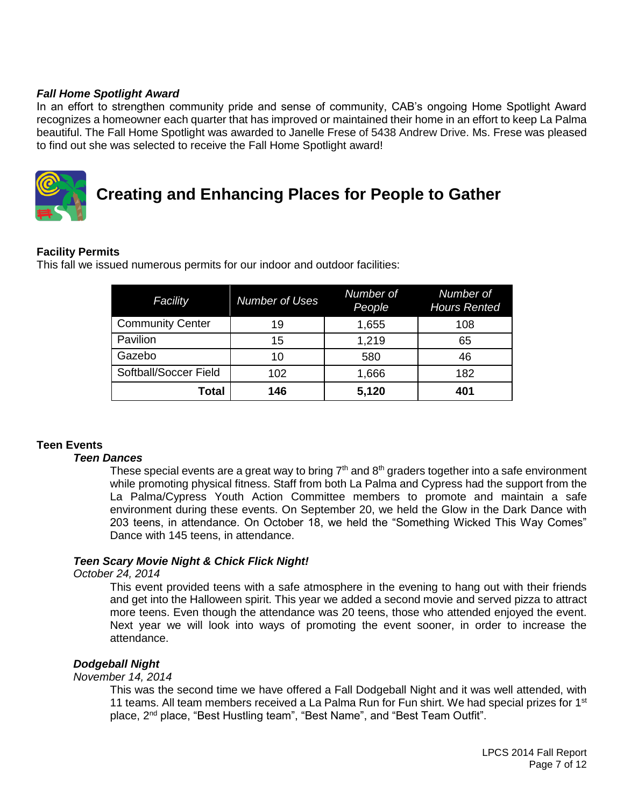#### *Fall Home Spotlight Award*

In an effort to strengthen community pride and sense of community, CAB's ongoing Home Spotlight Award recognizes a homeowner each quarter that has improved or maintained their home in an effort to keep La Palma beautiful. The Fall Home Spotlight was awarded to Janelle Frese of 5438 Andrew Drive. Ms. Frese was pleased to find out she was selected to receive the Fall Home Spotlight award!



## **Creating and Enhancing Places for People to Gather**

#### **Facility Permits**

This fall we issued numerous permits for our indoor and outdoor facilities:

| Facility                | <b>Number of Uses</b> | Number of<br>People | Number of<br><b>Hours Rented</b> |
|-------------------------|-----------------------|---------------------|----------------------------------|
| <b>Community Center</b> | 19                    | 1,655               | 108                              |
| Pavilion                | 15                    | 1,219               | 65                               |
| Gazebo                  | 10                    | 580                 | 46                               |
| Softball/Soccer Field   | 102                   | 1,666               | 182                              |
| <b>Total</b>            | 146                   | 5,120               | 401                              |

#### **Teen Events**

#### *Teen Dances*

These special events are a great way to bring  $7<sup>th</sup>$  and  $8<sup>th</sup>$  graders together into a safe environment while promoting physical fitness. Staff from both La Palma and Cypress had the support from the La Palma/Cypress Youth Action Committee members to promote and maintain a safe environment during these events. On September 20, we held the Glow in the Dark Dance with 203 teens, in attendance. On October 18, we held the "Something Wicked This Way Comes" Dance with 145 teens, in attendance.

#### *Teen Scary Movie Night & Chick Flick Night!*

#### *October 24, 2014*

This event provided teens with a safe atmosphere in the evening to hang out with their friends and get into the Halloween spirit. This year we added a second movie and served pizza to attract more teens. Even though the attendance was 20 teens, those who attended enjoyed the event. Next year we will look into ways of promoting the event sooner, in order to increase the attendance.

#### *Dodgeball Night*

#### *November 14, 2014*

This was the second time we have offered a Fall Dodgeball Night and it was well attended, with 11 teams. All team members received a La Palma Run for Fun shirt. We had special prizes for 1<sup>st</sup> place, 2<sup>nd</sup> place, "Best Hustling team", "Best Name", and "Best Team Outfit".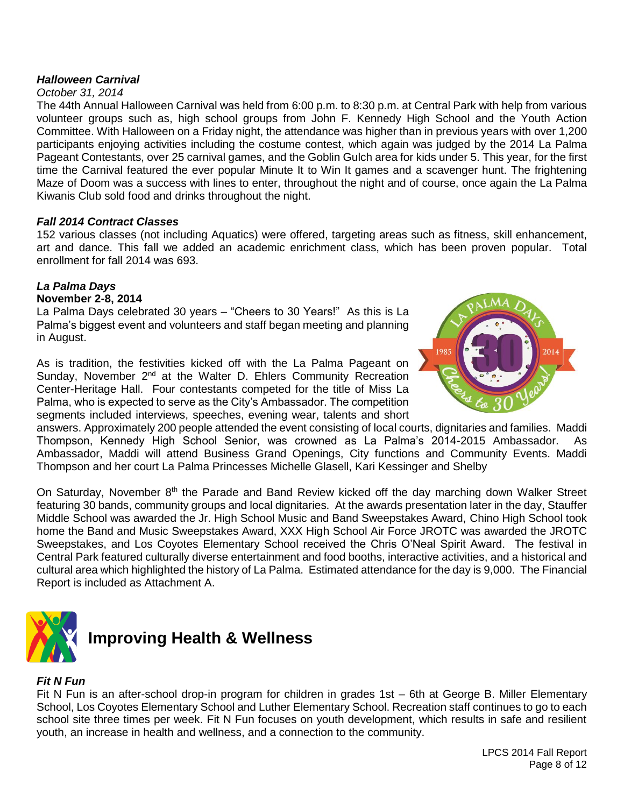#### *Halloween Carnival*

#### *October 31, 2014*

The 44th Annual Halloween Carnival was held from 6:00 p.m. to 8:30 p.m. at Central Park with help from various volunteer groups such as, high school groups from John F. Kennedy High School and the Youth Action Committee. With Halloween on a Friday night, the attendance was higher than in previous years with over 1,200 participants enjoying activities including the costume contest, which again was judged by the 2014 La Palma Pageant Contestants, over 25 carnival games, and the Goblin Gulch area for kids under 5. This year, for the first time the Carnival featured the ever popular Minute It to Win It games and a scavenger hunt. The frightening Maze of Doom was a success with lines to enter, throughout the night and of course, once again the La Palma Kiwanis Club sold food and drinks throughout the night.

#### *Fall 2014 Contract Classes*

152 various classes (not including Aquatics) were offered, targeting areas such as fitness, skill enhancement, art and dance. This fall we added an academic enrichment class, which has been proven popular. Total enrollment for fall 2014 was 693.

#### *La Palma Days* **November 2-8, 2014**

La Palma Days celebrated 30 years – "Cheers to 30 Years!" As this is La Palma's biggest event and volunteers and staff began meeting and planning in August.

As is tradition, the festivities kicked off with the La Palma Pageant on Sunday, November  $2^{nd}$  at the Walter D. Ehlers Community Recreation Center-Heritage Hall. Four contestants competed for the title of Miss La Palma, who is expected to serve as the City's Ambassador. The competition segments included interviews, speeches, evening wear, talents and short



answers. Approximately 200 people attended the event consisting of local courts, dignitaries and families. Maddi Thompson, Kennedy High School Senior, was crowned as La Palma's 2014-2015 Ambassador. As Ambassador, Maddi will attend Business Grand Openings, City functions and Community Events. Maddi Thompson and her court La Palma Princesses Michelle Glasell, Kari Kessinger and Shelby

On Saturday, November 8<sup>th</sup> the Parade and Band Review kicked off the day marching down Walker Street featuring 30 bands, community groups and local dignitaries. At the awards presentation later in the day, Stauffer Middle School was awarded the Jr. High School Music and Band Sweepstakes Award, Chino High School took home the Band and Music Sweepstakes Award, XXX High School Air Force JROTC was awarded the JROTC Sweepstakes, and Los Coyotes Elementary School received the Chris O'Neal Spirit Award. The festival in Central Park featured culturally diverse entertainment and food booths, interactive activities, and a historical and cultural area which highlighted the history of La Palma. Estimated attendance for the day is 9,000. The Financial Report is included as Attachment A.



## **Improving Health & Wellness**

#### *Fit N Fun*

Fit N Fun is an after-school drop-in program for children in grades 1st – 6th at George B. Miller Elementary School, Los Coyotes Elementary School and Luther Elementary School. Recreation staff continues to go to each school site three times per week. Fit N Fun focuses on youth development, which results in safe and resilient youth, an increase in health and wellness, and a connection to the community.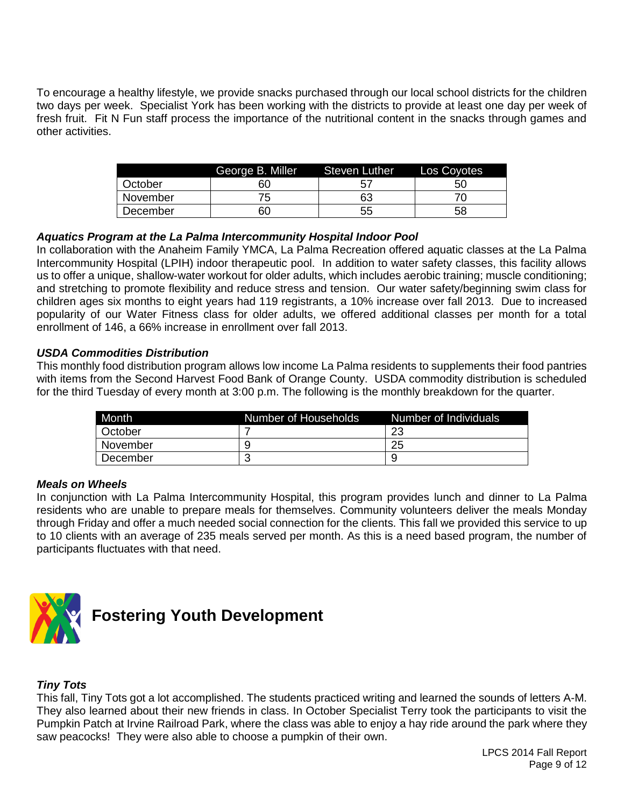To encourage a healthy lifestyle, we provide snacks purchased through our local school districts for the children two days per week. Specialist York has been working with the districts to provide at least one day per week of fresh fruit. Fit N Fun staff process the importance of the nutritional content in the snacks through games and other activities.

|          | George B. Miller | Steven Luther | Los Coyotes |
|----------|------------------|---------------|-------------|
| October  | 60               | 5.            | 50          |
| November |                  | 63            |             |
| December | 60               | 55            | 58          |

#### *Aquatics Program at the La Palma Intercommunity Hospital Indoor Pool*

In collaboration with the Anaheim Family YMCA, La Palma Recreation offered aquatic classes at the La Palma Intercommunity Hospital (LPIH) indoor therapeutic pool. In addition to water safety classes, this facility allows us to offer a unique, shallow-water workout for older adults, which includes aerobic training; muscle conditioning; and stretching to promote flexibility and reduce stress and tension. Our water safety/beginning swim class for children ages six months to eight years had 119 registrants, a 10% increase over fall 2013. Due to increased popularity of our Water Fitness class for older adults, we offered additional classes per month for a total enrollment of 146, a 66% increase in enrollment over fall 2013.

#### *USDA Commodities Distribution*

This monthly food distribution program allows low income La Palma residents to supplements their food pantries with items from the Second Harvest Food Bank of Orange County. USDA commodity distribution is scheduled for the third Tuesday of every month at 3:00 p.m. The following is the monthly breakdown for the quarter.

| <b>Month</b> | Number of Households | Number of Individuals |
|--------------|----------------------|-----------------------|
| l October    |                      | າາ<br>۷Ć              |
| November     |                      | 25                    |
| December     |                      |                       |

#### *Meals on Wheels*

In conjunction with La Palma Intercommunity Hospital, this program provides lunch and dinner to La Palma residents who are unable to prepare meals for themselves. Community volunteers deliver the meals Monday through Friday and offer a much needed social connection for the clients. This fall we provided this service to up to 10 clients with an average of 235 meals served per month. As this is a need based program, the number of participants fluctuates with that need.



#### *Tiny Tots*

This fall, Tiny Tots got a lot accomplished. The students practiced writing and learned the sounds of letters A-M. They also learned about their new friends in class. In October Specialist Terry took the participants to visit the Pumpkin Patch at Irvine Railroad Park, where the class was able to enjoy a hay ride around the park where they saw peacocks! They were also able to choose a pumpkin of their own.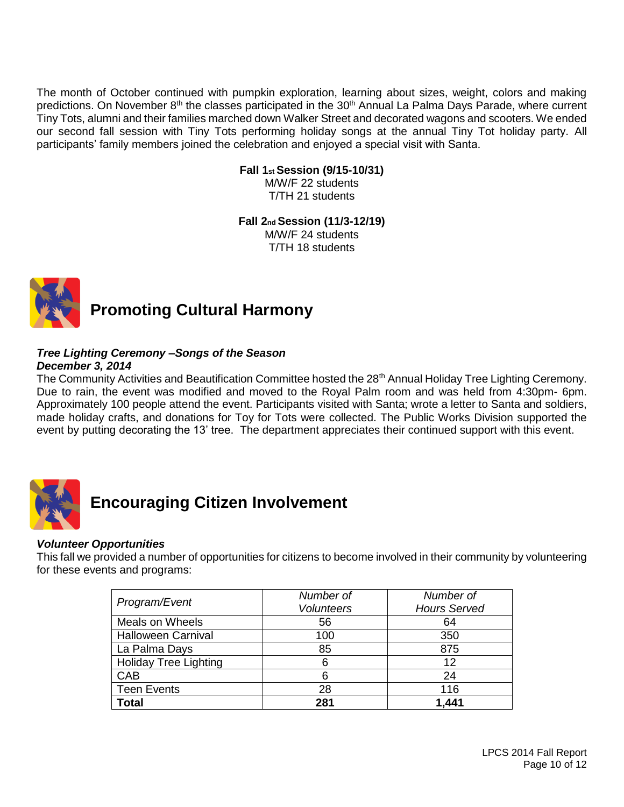The month of October continued with pumpkin exploration, learning about sizes, weight, colors and making predictions. On November 8<sup>th</sup> the classes participated in the 30<sup>th</sup> Annual La Palma Days Parade, where current Tiny Tots, alumni and their families marched down Walker Street and decorated wagons and scooters. We ended our second fall session with Tiny Tots performing holiday songs at the annual Tiny Tot holiday party. All participants' family members joined the celebration and enjoyed a special visit with Santa.

#### **Fall 1st Session (9/15-10/31)**

M/W/F 22 students T/TH 21 students

#### **Fall 2nd Session (11/3-12/19)** M/W/F 24 students

T/TH 18 students



## **Promoting Cultural Harmony**

## *Tree Lighting Ceremony –Songs of the Season*

*December 3, 2014*

The Community Activities and Beautification Committee hosted the 28<sup>th</sup> Annual Holiday Tree Lighting Ceremony. Due to rain, the event was modified and moved to the Royal Palm room and was held from 4:30pm- 6pm. Approximately 100 people attend the event. Participants visited with Santa; wrote a letter to Santa and soldiers, made holiday crafts, and donations for Toy for Tots were collected. The Public Works Division supported the event by putting decorating the 13' tree. The department appreciates their continued support with this event.



## **Encouraging Citizen Involvement**

#### *Volunteer Opportunities*

This fall we provided a number of opportunities for citizens to become involved in their community by volunteering for these events and programs:

|                              | Number of         | Number of           |  |  |  |
|------------------------------|-------------------|---------------------|--|--|--|
| Program/Event                | <b>Volunteers</b> | <b>Hours Served</b> |  |  |  |
| Meals on Wheels              | 56                | 64                  |  |  |  |
| <b>Halloween Carnival</b>    | 100               | 350                 |  |  |  |
| La Palma Days                | 85                | 875                 |  |  |  |
| <b>Holiday Tree Lighting</b> | ิธ                | 12                  |  |  |  |
| CAB                          | հ                 | 24                  |  |  |  |
| <b>Teen Events</b>           | 28                | 116                 |  |  |  |
| <b>Total</b>                 | 281               | 1,441               |  |  |  |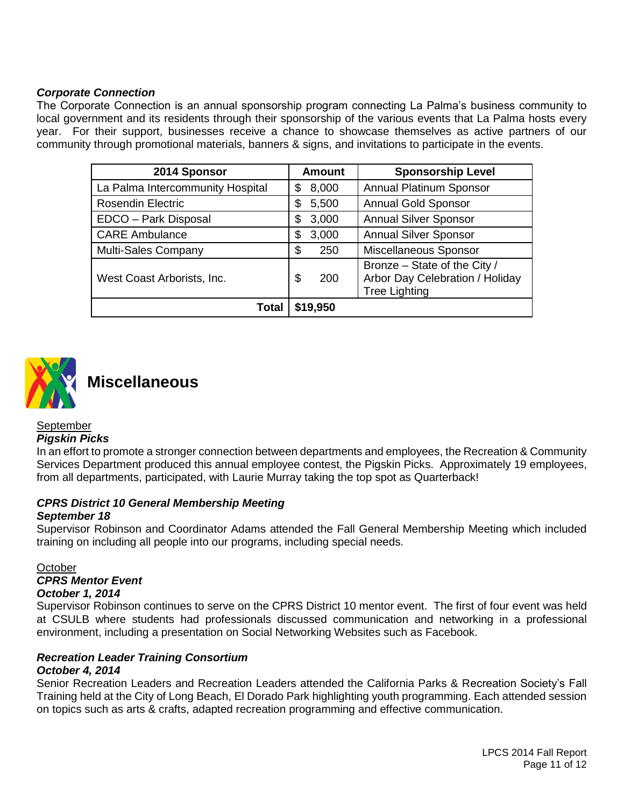#### *Corporate Connection*

The Corporate Connection is an annual sponsorship program connecting La Palma's business community to local government and its residents through their sponsorship of the various events that La Palma hosts every year. For their support, businesses receive a chance to showcase themselves as active partners of our community through promotional materials, banners & signs, and invitations to participate in the events.

| 2014 Sponsor                     | <b>Amount</b> | <b>Sponsorship Level</b>                                                                |
|----------------------------------|---------------|-----------------------------------------------------------------------------------------|
| La Palma Intercommunity Hospital | 8,000<br>\$   | <b>Annual Platinum Sponsor</b>                                                          |
| <b>Rosendin Electric</b>         | \$<br>5,500   | <b>Annual Gold Sponsor</b>                                                              |
| EDCO - Park Disposal             | 3,000<br>\$   | <b>Annual Silver Sponsor</b>                                                            |
| <b>CARE Ambulance</b>            | 3,000<br>\$   | <b>Annual Silver Sponsor</b>                                                            |
| Multi-Sales Company              | \$<br>250     | Miscellaneous Sponsor                                                                   |
| West Coast Arborists, Inc.       | S<br>200      | Bronze - State of the City /<br>Arbor Day Celebration / Holiday<br><b>Tree Lighting</b> |
| Total                            | \$19,950      |                                                                                         |



## **Miscellaneous**

#### **September**

#### *Pigskin Picks*

In an effort to promote a stronger connection between departments and employees, the Recreation & Community Services Department produced this annual employee contest, the Pigskin Picks. Approximately 19 employees, from all departments, participated, with Laurie Murray taking the top spot as Quarterback!

## *CPRS District 10 General Membership Meeting*

#### *September 18*

Supervisor Robinson and Coordinator Adams attended the Fall General Membership Meeting which included training on including all people into our programs, including special needs.

#### **October**

#### *CPRS Mentor Event*

#### *October 1, 2014*

Supervisor Robinson continues to serve on the CPRS District 10 mentor event. The first of four event was held at CSULB where students had professionals discussed communication and networking in a professional environment, including a presentation on Social Networking Websites such as Facebook.

#### *Recreation Leader Training Consortium*

#### *October 4, 2014*

Senior Recreation Leaders and Recreation Leaders attended the California Parks & Recreation Society's Fall Training held at the City of Long Beach, El Dorado Park highlighting youth programming. Each attended session on topics such as arts & crafts, adapted recreation programming and effective communication.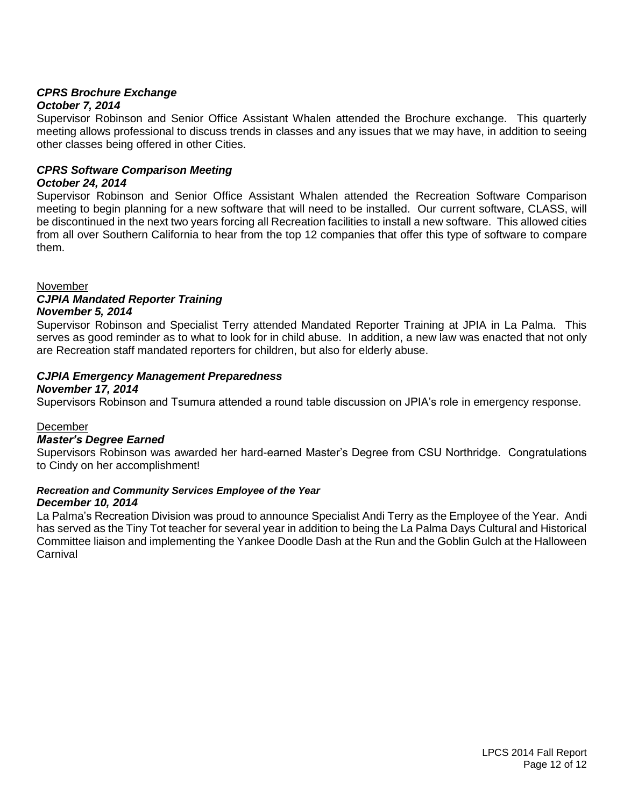### *CPRS Brochure Exchange*

#### *October 7, 2014*

Supervisor Robinson and Senior Office Assistant Whalen attended the Brochure exchange. This quarterly meeting allows professional to discuss trends in classes and any issues that we may have, in addition to seeing other classes being offered in other Cities.

#### *CPRS Software Comparison Meeting*

#### *October 24, 2014*

Supervisor Robinson and Senior Office Assistant Whalen attended the Recreation Software Comparison meeting to begin planning for a new software that will need to be installed. Our current software, CLASS, will be discontinued in the next two years forcing all Recreation facilities to install a new software. This allowed cities from all over Southern California to hear from the top 12 companies that offer this type of software to compare them.

#### November

#### *CJPIA Mandated Reporter Training*

#### *November 5, 2014*

Supervisor Robinson and Specialist Terry attended Mandated Reporter Training at JPIA in La Palma. This serves as good reminder as to what to look for in child abuse. In addition, a new law was enacted that not only are Recreation staff mandated reporters for children, but also for elderly abuse.

#### *CJPIA Emergency Management Preparedness*

#### *November 17, 2014*

Supervisors Robinson and Tsumura attended a round table discussion on JPIA's role in emergency response.

#### December

#### *Master's Degree Earned*

Supervisors Robinson was awarded her hard-earned Master's Degree from CSU Northridge. Congratulations to Cindy on her accomplishment!

#### *Recreation and Community Services Employee of the Year*

#### *December 10, 2014*

La Palma's Recreation Division was proud to announce Specialist Andi Terry as the Employee of the Year. Andi has served as the Tiny Tot teacher for several year in addition to being the La Palma Days Cultural and Historical Committee liaison and implementing the Yankee Doodle Dash at the Run and the Goblin Gulch at the Halloween **Carnival**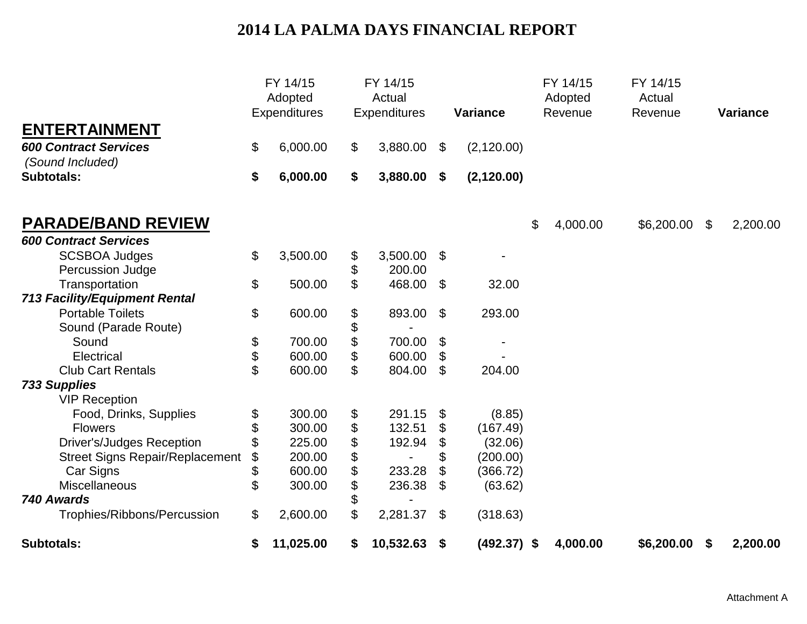## **2014 LA PALMA DAYS FINANCIAL REPORT**

|                                                  | FY 14/15<br>Adopted<br><b>Expenditures</b> |                | FY 14/15<br>Actual<br><b>Expenditures</b> | <b>Variance</b>     | FY 14/15<br>Adopted<br>Revenue | FY 14/15<br>Actual<br>Revenue | <b>Variance</b> |
|--------------------------------------------------|--------------------------------------------|----------------|-------------------------------------------|---------------------|--------------------------------|-------------------------------|-----------------|
| <b>ENTERTAINMENT</b>                             |                                            |                |                                           |                     |                                |                               |                 |
| <b>600 Contract Services</b><br>(Sound Included) | \$<br>6,000.00                             | \$             | 3,880.00                                  | \$<br>(2, 120.00)   |                                |                               |                 |
| <b>Subtotals:</b>                                | \$<br>6,000.00                             | \$             | 3,880.00                                  | \$<br>(2, 120.00)   |                                |                               |                 |
| <b>PARADE/BAND REVIEW</b>                        |                                            |                |                                           |                     | \$<br>4,000.00                 | \$6,200.00                    | \$<br>2,200.00  |
| <b>600 Contract Services</b>                     |                                            |                |                                           |                     |                                |                               |                 |
| <b>SCSBOA Judges</b><br>Percussion Judge         | \$<br>3,500.00                             | \$<br>\$       | 3,500.00<br>200.00                        | \$                  |                                |                               |                 |
| Transportation                                   | \$<br>500.00                               | $\mathfrak{L}$ | 468.00                                    | \$<br>32.00         |                                |                               |                 |
| <b>713 Facility/Equipment Rental</b>             |                                            |                |                                           |                     |                                |                               |                 |
| <b>Portable Toilets</b>                          | \$<br>600.00                               | \$             | 893.00                                    | \$<br>293.00        |                                |                               |                 |
| Sound (Parade Route)                             |                                            | \$             |                                           |                     |                                |                               |                 |
| Sound                                            | \$<br>700.00                               | \$             | 700.00                                    | \$                  |                                |                               |                 |
| Electrical                                       | \$<br>600.00                               | \$             | 600.00                                    | \$                  |                                |                               |                 |
| <b>Club Cart Rentals</b>                         | \$<br>600.00                               | \$             | 804.00                                    | \$<br>204.00        |                                |                               |                 |
| <b>733 Supplies</b><br><b>VIP Reception</b>      |                                            |                |                                           |                     |                                |                               |                 |
| Food, Drinks, Supplies                           | \$<br>300.00                               | \$             | 291.15                                    | \$<br>(8.85)        |                                |                               |                 |
| <b>Flowers</b>                                   | \$<br>300.00                               | \$             | 132.51                                    | \$<br>(167.49)      |                                |                               |                 |
| <b>Driver's/Judges Reception</b>                 | \$<br>225.00                               | \$             | 192.94                                    | \$<br>(32.06)       |                                |                               |                 |
| <b>Street Signs Repair/Replacement</b>           | \$<br>200.00                               | \$             |                                           | \$<br>(200.00)      |                                |                               |                 |
| Car Signs                                        | \$<br>600.00                               | \$             | 233.28                                    | \$<br>(366.72)      |                                |                               |                 |
| Miscellaneous                                    | \$<br>300.00                               | \$             | 236.38                                    | \$<br>(63.62)       |                                |                               |                 |
| 740 Awards                                       |                                            | \$             |                                           |                     |                                |                               |                 |
| Trophies/Ribbons/Percussion                      | \$<br>2,600.00                             | \$             | 2,281.37                                  | \$<br>(318.63)      |                                |                               |                 |
| <b>Subtotals:</b>                                | \$<br>11,025.00                            | \$             | 10,532.63                                 | \$<br>$(492.37)$ \$ | 4,000.00                       | \$6,200.00                    | \$<br>2,200.00  |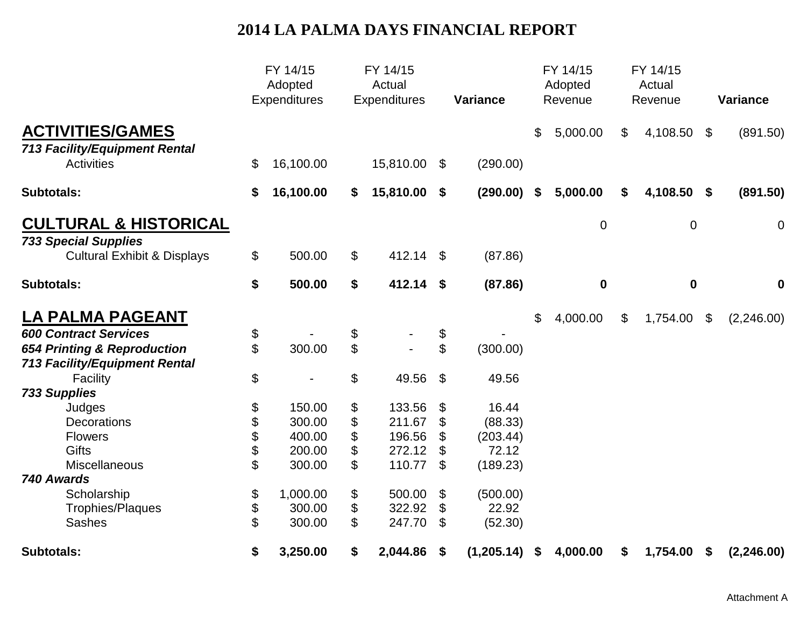## **2014 LA PALMA DAYS FINANCIAL REPORT**

|                                        |    | FY 14/15<br>Adopted<br><b>Expenditures</b> |                | FY 14/15<br>Actual<br><b>Expenditures</b> |                           | <b>Variance</b> |    | FY 14/15<br>Adopted<br>Revenue |                | FY 14/15<br>Actual<br>Revenue |                            | <b>Variance</b> |  |
|----------------------------------------|----|--------------------------------------------|----------------|-------------------------------------------|---------------------------|-----------------|----|--------------------------------|----------------|-------------------------------|----------------------------|-----------------|--|
| <b>ACTIVITIES/GAMES</b>                |    |                                            |                |                                           |                           |                 | \$ | 5,000.00                       | $\mathfrak{L}$ | 4,108.50                      | $\boldsymbol{\mathcal{S}}$ | (891.50)        |  |
| <b>713 Facility/Equipment Rental</b>   |    |                                            |                |                                           |                           |                 |    |                                |                |                               |                            |                 |  |
| <b>Activities</b>                      | \$ | 16,100.00                                  |                | 15,810.00                                 | \$                        | (290.00)        |    |                                |                |                               |                            |                 |  |
| <b>Subtotals:</b>                      | \$ | 16,100.00                                  | \$             | 15,810.00                                 | \$                        | (290.00)        | \$ | 5,000.00                       | \$             | 4,108.50                      | \$                         | (891.50)        |  |
| <b>CULTURAL &amp; HISTORICAL</b>       |    |                                            |                |                                           |                           |                 |    | $\mathbf 0$                    |                | $\mathbf 0$                   |                            | $\mathbf 0$     |  |
| <b>733 Special Supplies</b>            |    |                                            |                |                                           |                           |                 |    |                                |                |                               |                            |                 |  |
| <b>Cultural Exhibit &amp; Displays</b> | \$ | 500.00                                     | \$             | 412.14 \$                                 |                           | (87.86)         |    |                                |                |                               |                            |                 |  |
| <b>Subtotals:</b>                      | \$ | 500.00                                     | \$             | 412.14 \$                                 |                           | (87.86)         |    | $\mathbf 0$                    |                | $\bf{0}$                      |                            | $\mathbf 0$     |  |
| <b>LA PALMA PAGEANT</b>                |    |                                            |                |                                           |                           |                 | \$ | 4,000.00                       | \$             | 1,754.00                      | \$                         | (2,246.00)      |  |
| <b>600 Contract Services</b>           | \$ |                                            | \$             |                                           | \$                        |                 |    |                                |                |                               |                            |                 |  |
| 654 Printing & Reproduction            | \$ | 300.00                                     | $\mathfrak{S}$ |                                           | $\mathfrak{S}$            | (300.00)        |    |                                |                |                               |                            |                 |  |
| <b>713 Facility/Equipment Rental</b>   |    |                                            |                |                                           |                           |                 |    |                                |                |                               |                            |                 |  |
| Facility                               | \$ |                                            | \$             | 49.56                                     | $\boldsymbol{\mathsf{S}}$ | 49.56           |    |                                |                |                               |                            |                 |  |
| <b>733 Supplies</b>                    |    |                                            |                |                                           |                           |                 |    |                                |                |                               |                            |                 |  |
| Judges                                 | \$ | 150.00                                     | \$             | 133.56                                    | \$                        | 16.44           |    |                                |                |                               |                            |                 |  |
| <b>Decorations</b>                     | \$ | 300.00                                     | \$             | 211.67                                    | \$                        | (88.33)         |    |                                |                |                               |                            |                 |  |
| <b>Flowers</b>                         | \$ | 400.00                                     | \$             | 196.56                                    | \$                        | (203.44)        |    |                                |                |                               |                            |                 |  |
| <b>Gifts</b>                           | \$ | 200.00                                     | \$             | 272.12                                    | \$                        | 72.12           |    |                                |                |                               |                            |                 |  |
| Miscellaneous                          | \$ | 300.00                                     | \$             | 110.77                                    | \$                        | (189.23)        |    |                                |                |                               |                            |                 |  |
| 740 Awards                             |    |                                            |                |                                           |                           |                 |    |                                |                |                               |                            |                 |  |
| Scholarship                            | \$ | 1,000.00                                   | \$             | 500.00                                    | \$                        | (500.00)        |    |                                |                |                               |                            |                 |  |
| Trophies/Plaques                       | \$ | 300.00                                     | \$             | 322.92                                    | \$                        | 22.92           |    |                                |                |                               |                            |                 |  |
| <b>Sashes</b>                          | \$ | 300.00                                     | \$             | 247.70                                    | \$                        | (52.30)         |    |                                |                |                               |                            |                 |  |
| <b>Subtotals:</b>                      | \$ | 3,250.00                                   | \$             | 2,044.86                                  | \$                        | (1, 205.14)     | \$ | 4,000.00                       | \$             | 1,754.00                      | \$                         | (2, 246.00)     |  |